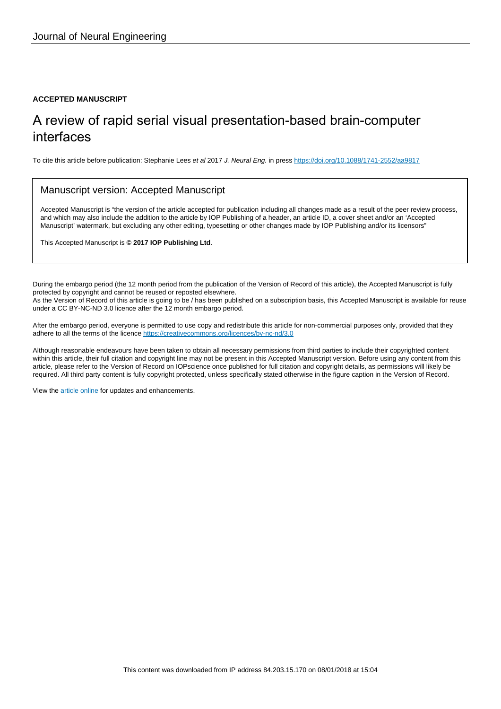## **ACCEPTED MANUSCRIPT**

## A review of rapid serial visual presentation-based brain-computer interfaces

To cite this article before publication: Stephanie Lees et al 2017 J. Neural Eng. in press <https://doi.org/10.1088/1741-2552/aa9817>

## Manuscript version: Accepted Manuscript

Accepted Manuscript is "the version of the article accepted for publication including all changes made as a result of the peer review process, and which may also include the addition to the article by IOP Publishing of a header, an article ID, a cover sheet and/or an 'Accepted Manuscript' watermark, but excluding any other editing, typesetting or other changes made by IOP Publishing and/or its licensors"

This Accepted Manuscript is **© 2017 IOP Publishing Ltd**.

During the embargo period (the 12 month period from the publication of the Version of Record of this article), the Accepted Manuscript is fully protected by copyright and cannot be reused or reposted elsewhere. As the Version of Record of this article is going to be / has been published on a subscription basis, this Accepted Manuscript is available for reuse under a CC BY-NC-ND 3.0 licence after the 12 month embargo period.

After the embargo period, everyone is permitted to use copy and redistribute this article for non-commercial purposes only, provided that they adhere to all the terms of the licence <https://creativecommons.org/licences/by-nc-nd/3.0>

Although reasonable endeavours have been taken to obtain all necessary permissions from third parties to include their copyrighted content within this article, their full citation and copyright line may not be present in this Accepted Manuscript version. Before using any content from this article, please refer to the Version of Record on IOPscience once published for full citation and copyright details, as permissions will likely be required. All third party content is fully copyright protected, unless specifically stated otherwise in the figure caption in the Version of Record.

View the [article online](https://doi.org/10.1088/1741-2552/aa9817) for updates and enhancements.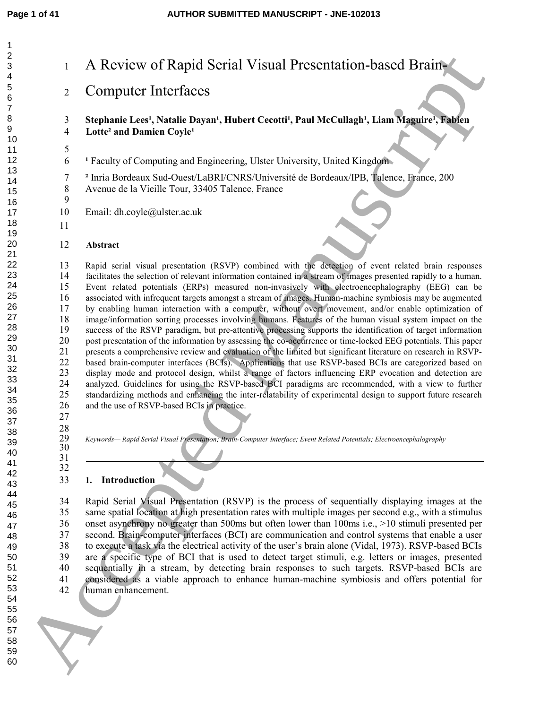## A Review of Rapid Serial Visual Presentation-based Brain-Computer Interfaces 3 **Stephanie Lees<sup>1</sup>, Natalie Dayan<sup>1</sup>, Hubert Cecotti<sup>1</sup>, Paul McCullagh<sup>1</sup>, Liam Maguire<sup>1</sup>, Fabien** 4 Lotte<sup>2</sup> and Damien Coyle<sup>1</sup> **¹** Faculty of Computing and Engineering, Ulster University, United Kingdom

**²** Inria Bordeaux Sud-Ouest/LaBRI/CNRS/Université de Bordeaux/IPB, Talence, France, 200 8 Avenue de la Vieille Tour, 33405 Talence, France

10 Email: dh.coyle@ulster.ac.uk

## **Abstract**

Rapid serial visual presentation (RSVP) combined with the detection of event related brain responses facilitates the selection of relevant information contained in a stream of images presented rapidly to a human. Event related potentials (ERPs) measured non-invasively with electroencephalography (EEG) can be associated with infrequent targets amongst a stream of images. Human-machine symbiosis may be augmented by enabling human interaction with a computer, without overt movement, and/or enable optimization of 18 image/information sorting processes involving humans. Features of the human visual system impact on the success of the RSVP paradigm, but pre-attentive processing supports the identification of target information success of the RSVP paradigm, but pre-attentive processing supports the identification of target information post presentation of the information by assessing the co-occurrence or time-locked EEG potentials. This paper presents a comprehensive review and evaluation of the limited but significant literature on research in RSVP-based brain-computer interfaces (BCIs). Applications that use RSVP-based BCIs are categorized based on 23 display mode and protocol design, whilst a range of factors influencing ERP evocation and detection are<br>24 analyzed. Guidelines for using the RSVP-based BCI paradigms are recommended, with a view to further 24 analyzed. Guidelines for using the RSVP-based BCI paradigms are recommended, with a view to further<br>25 standardizing methods and enhancing the inter-relatability of experimental design to support future research standardizing methods and enhancing the inter-relatability of experimental design to support future research and the use of RSVP-based BCIs in practice. A Review of Rapid Scrial Visual Presentation-based Brain<br>
2 Computer Interfaces<br>
2 Computer Interfaces<br>
2 Computer Interfaces<br>
2 Computer Interfaces<br>
2 Computer Interfaces<br>
2 Computer Interfaces<br>
2 Computer Scribtter (Fig

 

  *Keywords— Rapid Serial Visual Presentation; Brain-Computer Interface; Event Related Potentials; Electroencephalography*

## **1. Introduction**

34 Rapid Serial Visual Presentation (RSVP) is the process of sequentially displaying images at the 35 same spatial location at high presentation rates with multiple images per second e.g., with a stimulus 36 onset asynchrony no greater than 500ms but often lower than 100ms i.e., >10 stimuli presented per 37 second. Brain-computer interfaces (BCI) are communication and control systems that enable a user 38 to execute a task via the electrical activity of the user's brain alone (Vidal, 1973). RSVP-based BCIs<br>39 are a specific type of BCI that is used to detect target stimuli, e.g. letters or images, presented are a specific type of BCI that is used to detect target stimuli, e.g. letters or images, presented 40 sequentially in a stream, by detecting brain responses to such targets. RSVP-based BCIs are 41 considered as a viable approach to enhance human-machine symbiosis and offers potential for 42 human enhancement.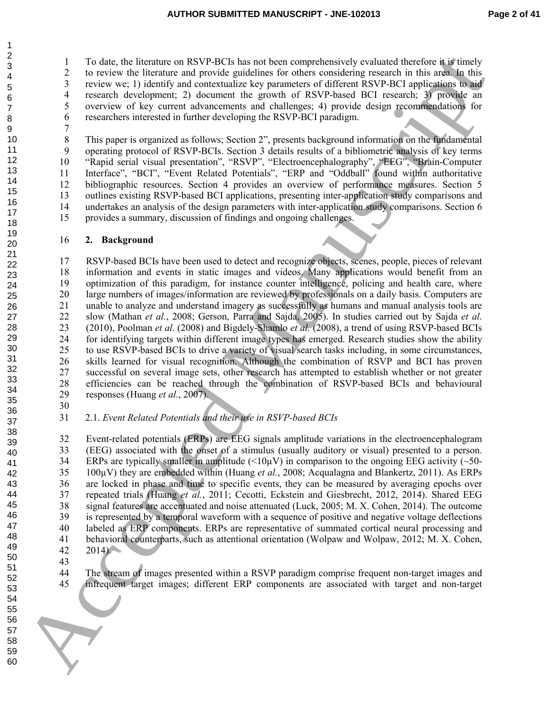1 To date, the literature on RSVP-BCIs has not been comprehensively evaluated therefore it is timely 2 to review the literature and provide guidelines for others considering research in this area. In this 3 review we; 1) identify and contextualize key parameters of different RSVP-BCI applications to aid 4 research development; 2) document the growth of RSVP-based BCI research; 3) provide an 5 overview of key current advancements and challenges; 4) provide design recommendations for 6 researchers interested in further developing the RSVP-BCI paradigm.

8 This paper is organized as follows; Section 2", presents background information on the fundamental 9 operating protocol of RSVP-BCIs. Section 3 details results of a bibliometric analysis of key terms<br>10 "Rapid serial visual presentation". "RSVP". "Electroencephalography". "EEG". "Brain-Computer "Rapid serial visual presentation", "RSVP", "Electroencephalography", "EEG", "Brain-Computer 11 Interface", "BCI", "Event Related Potentials", "ERP and "Oddball" found within authoritative 12 bibliographic resources. Section 4 provides an overview of performance measures. Section 5 13 outlines existing RSVP-based BCI applications, presenting inter-application study comparisons and 14 undertakes an analysis of the design parameters with inter-application study comparisons. Section 6 15 provides a summary, discussion of findings and ongoing challenges.

## 16 **2. Background**

7

17 RSVP-based BCIs have been used to detect and recognize objects, scenes, people, pieces of relevant 18 information and events in static images and videos. Many applications would benefit from an 19 optimization of this paradigm, for instance counter intelligence, policing and health care, where 20 large numbers of images/information are reviewed by professionals on a daily basis. Computers are 21 unable to analyze and understand imagery as successfully as humans and manual analysis tools are<br>22 slow (Mathan *et al.*, 2008: Gerson, Parra and Saida, 2005). In studies carried out by Saida *et al.* 22 slow (Mathan *et al.*, 2008; Gerson, Parra and Sajda, 2005). In studies carried out by Sajda *et al*. 23 (2010), Poolman *et al.* (2008) and Bigdely-Shamlo *et al.* (2008), a trend of using RSVP-based BCIs 24 for identifying targets within different image types has emerged. Research studies show the ability 25 to use RSVP-based BCIs to drive a variety of visual search tasks including, in some circumstances, 26 skills learned for visual recognition. Although the combination of RSVP and BCI has proven 27 successful on several image sets, other research has attempted to establish whether or not greater 28 efficiencies can be reached through the combination of RSVP-based BCIs and behavioural 29 responses (Huang *et al.*, 2007). 4 a to due the bit measure of 850 Palos in an optic between the other bit measure of the state in the state of the state of the state of the state of the state of the state of the state of the state of the state of the s

30

## 31 2.1. *Event Related Potentials and their use in RSVP-based BCIs*

32 Event-related potentials (ERPs) are EEG signals amplitude variations in the electroencephalogram 33 (EEG) associated with the onset of a stimulus (usually auditory or visual) presented to a person. 34 ERPs are typically smaller in amplitude  $(\leq 10 \mu V)$  in comparison to the ongoing EEG activity  $(\leq 50$ -35 100µV) they are embedded within (Huang *et al.*, 2008; Acqualagna and Blankertz, 2011). As ERPs 36 are locked in phase and time to specific events, they can be measured by averaging epochs over 37 repeated trials (Huang *et al.*, 2011; Cecotti, Eckstein and Giesbrecht, 2012, 2014). Shared EEG 38 signal features are accentuated and noise attenuated (Luck, 2005; M. X. Cohen, 2014). The outcome 39 is represented by a temporal waveform with a sequence of positive and negative voltage deflections 40 labeled as ERP components. ERPs are representative of summated cortical neural processing and 41 behavioral counterparts, such as attentional orientation (Wolpaw and Wolpaw, 2012; M. X. Cohen,  $42 \quad 2014$ .

43 44 The stream of images presented within a RSVP paradigm comprise frequent non-target images and 45 infrequent target images; different ERP components are associated with target and non-target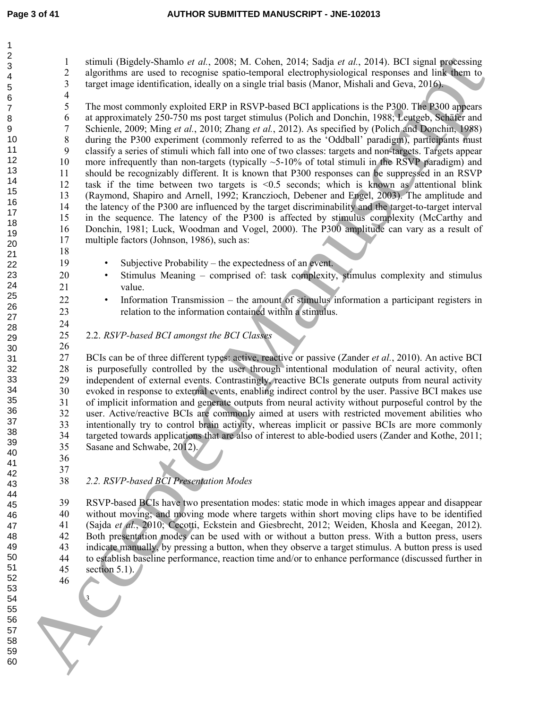1 stimuli (Bigdely-Shamlo *et al.*, 2008; M. Cohen, 2014; Sadja *et al.*, 2014). BCI signal processing 2 algorithms are used to recognise spatio-temporal electrophysiological responses and link them to 3 target image identification, ideally on a single trial basis (Manor, Mishali and Geva, 2016).  $\frac{4}{5}$ The most commonly exploited ERP in RSVP-based BCI applications is the P300. The P300 appears 6 at approximately 250-750 ms post target stimulus (Polich and Donchin, 1988; Leutgeb, Schäfer and<br>
7 Schienle, 2009; Ming *et al.*, 2010; Zhang *et al.*, 2012). As specified by (Polich and Donchin, 1988) 7 Schienle, 2009; Ming *et al.*, 2010; Zhang *et al.*, 2012). As specified by (Polich and Donchin, 1988) 8 during the P300 experiment (commonly referred to as the 'Oddball' paradigm), participants must 9 classify a series of stimuli which fall into one of two classes: targets and non-targets. Targets appear<br>10 more infrequently than non-targets (typically ~5-10% of total stimuli in the RSVP paradigm) and more infrequently than non-targets (typically  $~5$ -10% of total stimuli in the RSVP paradigm) and 11 should be recognizably different. It is known that P300 responses can be suppressed in an RSVP 12 task if the time between two targets is <0.5 seconds; which is known as attentional blink 13 (Raymond, Shapiro and Arnell, 1992; Kranczioch, Debener and Engel, 2003). The amplitude and 14 the latency of the P300 are influenced by the target discriminability and the target-to-target interval 15 in the sequence. The latency of the P300 is affected by stimulus complexity (McCarthy and 16 Donchin, 1981; Luck, Woodman and Vogel, 2000). The P300 amplitude can vary as a result of 17 multiple factors (Johnson, 1986), such as: • Subjective Probability – the expectedness of an event. • Stimulus Meaning – comprised of: task complexity, stimulus complexity and stimulus 21 value. • Information Transmission – the amount of stimulus information a participant registers in 23 relation to the information contained within a stimulus. 25 2.2. *RSVP-based BCI amongst the BCI Classes*  27 BCIs can be of three different types: active, reactive or passive (Zander *et al.*, 2010). An active BCI 28 is purposefully controlled by the user through intentional modulation of neural activity, often 29 independent of external events. Contrastingly, reactive BCIs generate outputs from neural activity 30 evoked in response to external events, enabling indirect control by the user. Passive BCI makes use 31 of implicit information and generate outputs from neural activity without purposeful control by the 32 user. Active/reactive BCIs are commonly aimed at users with restricted movement abilities who intentionally try to control brain activity, whereas implicit or passive BCIs are more commonly intentionally try to control brain activity, whereas implicit or passive BCIs are more commonly 34 targeted towards applications that are also of interest to able-bodied users (Zander and Kothe, 2011; 35 Sasane and Schwabe, 2012). *2.2. RSVP-based BCI Presentation Modes*  39 RSVP-based BCIs have two presentation modes: static mode in which images appear and disappear 40 without moving; and moving mode where targets within short moving clips have to be identified 41 (Sajda *et al.*, 2010; Cecotti, Eckstein and Giesbrecht, 2012; Weiden, Khosla and Keegan, 2012). 42 Both presentation modes can be used with or without a button press. With a button press, users 43 indicate manually, by pressing a button, when they observe a target stimulus. A button press is used 44 to establish baseline performance, reaction time and/or to enhance performance (discussed further in 45 section 5.1). 4 a statistic Symptom of *m*. A context, 2008, 10 a Statistic matrix that is a statistic matrix in the symptom of the symptom of the symptom of the symptom of the symptom of the symptom of the symptom of the symptom of t

- 
-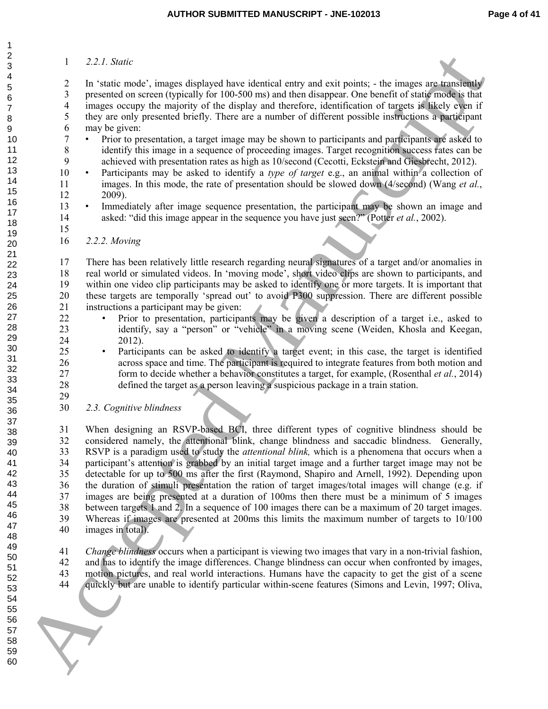## *2.2.1. Static*

2 In 'static mode', images displayed have identical entry and exit points; - the images are transiently 3 presented on screen (typically for 100-500 ms) and then disappear. One benefit of static mode is that<br>4 images occupy the majority of the display and therefore, identification of targets is likely even if images occupy the majority of the display and therefore, identification of targets is likely even if 5 they are only presented briefly. There are a number of different possible instructions a participant 6 may be given:

- Prior to presentation, a target image may be shown to participants and participants are asked to 8 identify this image in a sequence of proceeding images. Target recognition success rates can be 9 achieved with presentation rates as high as 10/second (Cecotti, Eckstein and Giesbrecht, 2012).
- Participants may be asked to identify a *type of target* e.g., an animal within a collection of 11 images. In this mode, the rate of presentation should be slowed down (4/second) (Wang *et al.*, 12 2009).
- Immediately after image sequence presentation, the participant may be shown an image and 14 asked: "did this image appear in the sequence you have just seen?" (Potter *et al.*, 2002).
- *2.2.2. Moving*

17 There has been relatively little research regarding neural signatures of a target and/or anomalies in 18 real world or simulated videos. In 'moving mode', short video clips are shown to participants, and 19 within one video clip participants may be asked to identify one or more targets. It is important that 20 these targets are temporally 'spread out' to avoid P300 suppression. There are different possible 20 these targets are temporally 'spread out' to avoid P300 suppression. There are different possible 21 instructions a participant may be given:

- Prior to presentation, participants may be given a description of a target i.e., asked to 23 identify, say a "person" or "vehicle" in a moving scene (Weiden, Khosla and Keegan, 24 2012).
- Participants can be asked to identify a target event; in this case, the target is identified 26 across space and time. The participant is required to integrate features from both motion and 27 form to decide whether a behavior constitutes a target, for example, (Rosenthal *et al.*, 2014) 28 defined the target as a person leaving a suspicious package in a train station.
- *2.3. Cognitive blindness*

31 When designing an RSVP-based BCI, three different types of cognitive blindness should be 32 considered namely, the attentional blink, change blindness and saccadic blindness. Generally, 33 RSVP is a paradigm used to study the *attentional blink,* which is a phenomena that occurs when a 34 participant's attention is grabbed by an initial target image and a further target image may not be 35 detectable for up to 500 ms after the first (Raymond, Shapiro and Arnell, 1992). Depending upon 36 the duration of stimuli presentation the ration of target images/total images will change (e.g. if 37 images are being presented at a duration of 100ms then there must be a minimum of 5 images 38 between targets 1 and 2. In a sequence of 100 images there can be a maximum of 20 target images.<br>39 Whereas if images are presented at 200ms this limits the maximum number of targets to 10/100 Whereas if images are presented at 200ms this limits the maximum number of targets to 10/100 40 images in total). 2.2.1 Some constrained images displayed losse advocated and panel and panel and the same of the same computer and the same computer of the same computer of the same computer of the same computer of the same computer of th

*Change blindness* occurs when a participant is viewing two images that vary in a non-trivial fashion, 42 and has to identify the image differences. Change blindness can occur when confronted by images,<br>43 motion pictures, and real world interactions. Humans have the capacity to get the gist of a scene motion pictures, and real world interactions. Humans have the capacity to get the gist of a scene 44 quickly but are unable to identify particular within-scene features (Simons and Levin, 1997; Oliva,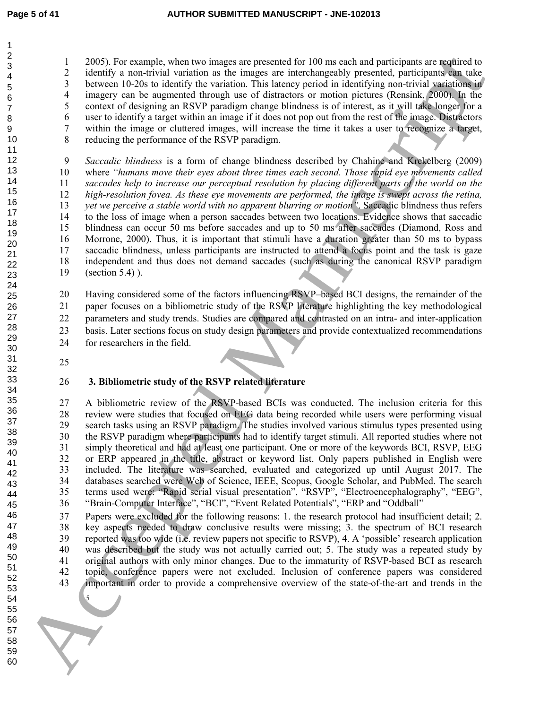1 2005). For example, when two images are presented for 100 ms each and participants are required to 2 identify a non-trivial variation as the images are interchangeably presented, participants can take 3 between 10-20s to identify the variation. This latency period in identifying non-trivial variations in 4 imagery can be augmented through use of distractors or motion pictures (Rensink, 2000). In the 5 context of designing an RSVP paradigm change blindness is of interest, as it will take longer for a 6 user to identify a target within an image if it does not pop out from the rest of the image. Distractors 7 within the image or cluttered images, will increase the time it takes a user to recognize a target, 8 reducing the performance of the RSVP paradigm. *Saccadic blindness* is a form of change blindness described by Chahine and Krekelberg (2009) where "humans move their eyes about three times each second. Those rapid eye movements called 

*saccades help to increase our perceptual resolution by placing different parts of the world on the high-resolution fovea. As these eye movements are performed, the image is swept across the retina, yet we perceive a stable world with no apparent blurring or motion"*. Saccadic blindness thus refers 14 to the loss of image when a person saccades between two locations. Evidence shows that saccadic 15 blindness can occur 50 ms before saccades and up to 50 ms after saccades (Diamond, Ross and 16 Morrone, 2000). Thus, it is important that stimuli have a duration greater than 50 ms to bypass 17 saccadic blindness, unless participants are instructed to attend a focus point and the task is gaze 18 independent and thus does not demand saccades (such as during the canonical RSVP paradigm 19 (section 5.4) ).

20 Having considered some of the factors influencing RSVP–based BCI designs, the remainder of the 21 paper focuses on a bibliometric study of the RSVP literature highlighting the key methodological 22 parameters and study trends. Studies are compared and contrasted on an intra- and inter-application 23 basis. Later sections focus on study design parameters and provide contextualized recommendations 24 for researchers in the field.

## **3. Bibliometric study of the RSVP related literature**

27 A bibliometric review of the RSVP-based BCIs was conducted. The inclusion criteria for this 28 review were studies that focused on EEG data being recorded while users were performing visual 29 search tasks using an RSVP paradigm. The studies involved various stimulus types presented using 30 the RSVP paradigm where participants had to identify target stimuli. All reported studies where not 31 simply theoretical and had at least one participant. One or more of the keywords BCI, RSVP, EEG 32 or ERP appeared in the title, abstract or keyword list. Only papers published in English were 33 included. The literature was searched, evaluated and categorized up until August 2017. The 34 databases searched were Web of Science, IEEE, Scopus, Google Scholar, and PubMed. The search 35 terms used were: "Rapid serial visual presentation", "RSVP", "Electroencephalography", "EEG", 36 "Brain-Computer Interface", "BCI", "Event Related Potentials", "ERP and "Oddball" 24 and 25 and 26 and 26 and 26 and 26 and 26 and 26 and 26 and 26 and 26 and 26 and 26 and 26 and 26 and 26 and 26 and 26 and 26 and 26 and 26 and 26 and 26 and 26 and 26 and 26 and 26 and 26 and 26 and 26 and 26 and 26 a

37 Papers were excluded for the following reasons: 1. the research protocol had insufficient detail; 2. 38 key aspects needed to draw conclusive results were missing; 3. the spectrum of BCI research 39 reported was too wide (i.e. review papers not specific to RSVP), 4. A 'possible' research application 40 was described but the study was not actually carried out; 5. The study was a repeated study by 41 original authors with only minor changes. Due to the immaturity of RSVP-based BCI as research 42 topic, conference papers were not excluded. Inclusion of conference papers was considered 43 important in order to provide a comprehensive overview of the state-of-the-art and trends in the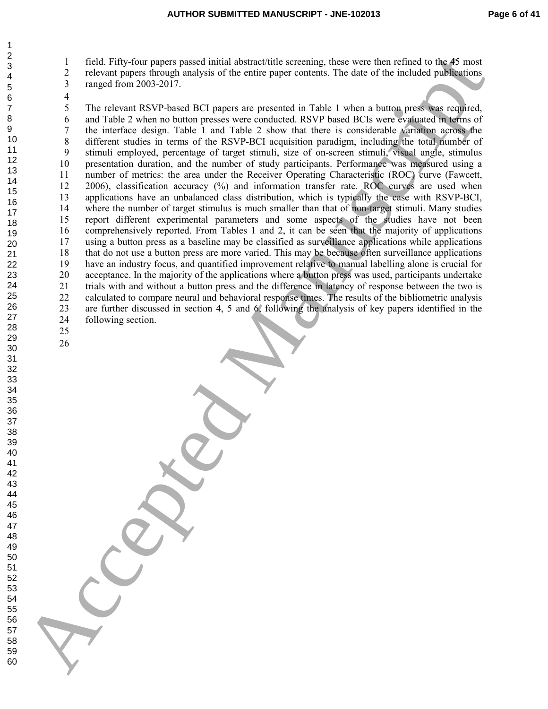1 field. Fifty-four papers passed initial abstract/title screening, these were then refined to the 45 most 2 relevant papers through analysis of the entire paper contents. The date of the included publications 3 ranged from 2003-2017.

 

5 The relevant RSVP-based BCI papers are presented in Table 1 when a button press was required,<br>6 and Table 2 when no button presses were conducted. RSVP based BCIs were evaluated in terms of and Table 2 when no button presses were conducted. RSVP based BCIs were evaluated in terms of 7 the interface design. Table 1 and Table 2 show that there is considerable variation across the 8 different studies in terms of the RSVP-BCI acquisition paradigm, including the total number of 9 stimuli employed, percentage of target stimuli, size of on-screen stimuli, visual angle, stimulus 10 presentation duration, and the number of study participants. Performance was measured using a 11 number of metrics: the area under the Receiver Operating Characteristic (ROC) curve (Fawcett, 12 2006), classification accuracy (%) and information transfer rate. ROC curves are used when 13 applications have an unbalanced class distribution, which is typically the case with RSVP-BCI, 14 where the number of target stimulus is much smaller than that of non-target stimuli. Many studies 15 report different experimental parameters and some aspects of the studies have not been 16 comprehensively reported. From Tables 1 and 2, it can be seen that the majority of applications 17 using a button press as a baseline may be classified as surveillance applications while applications 18 that do not use a button press are more varied. This may be because often surveillance applications 19 have an industry focus, and quantified improvement relative to manual labelling alone is crucial for 20 acceptance. In the majority of the applications where a button press was used, participants undertake 21 trials with and without a button press and the difference in latency of response between the two is 22 calculated to compare neural and behavioral response times. The results of the bibliometric analysis 23 are further discussed in section 4, 5 and 6, following the analysis of key papers identified in the 24 following section. 2 Accel Frieston property consistential description and consistent in the second resolution of the B Fresch Construction of the Construction of the Construction of the Construction of the Construction of the Construction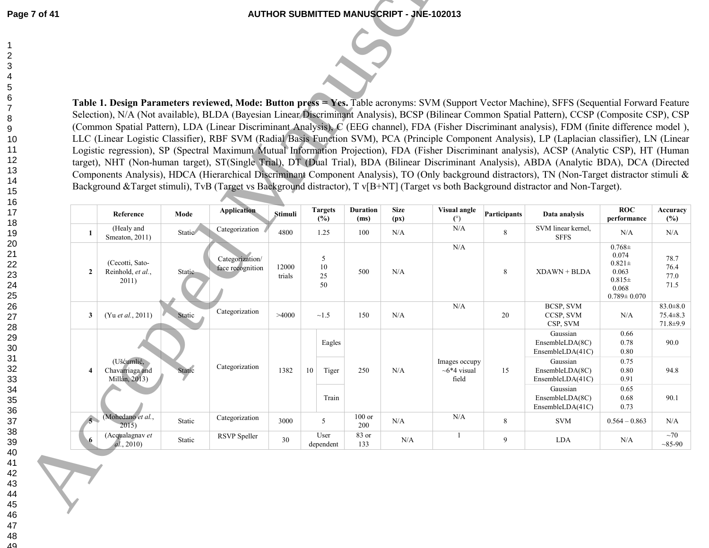## **AUTHOR SUBMITTED MANUSCRIPT \JNE-102013**

|                                                                                                                                                                                                                                                                                                       |               |                                       |         |    |                       |                          | <b>AUTHOR SUBMITTED MANUSCRIPT \JNE-102013</b> |                                |              |                                        |                           |                            |
|-------------------------------------------------------------------------------------------------------------------------------------------------------------------------------------------------------------------------------------------------------------------------------------------------------|---------------|---------------------------------------|---------|----|-----------------------|--------------------------|------------------------------------------------|--------------------------------|--------------|----------------------------------------|---------------------------|----------------------------|
|                                                                                                                                                                                                                                                                                                       |               |                                       |         |    |                       |                          |                                                |                                |              |                                        |                           |                            |
|                                                                                                                                                                                                                                                                                                       |               |                                       |         |    |                       |                          |                                                |                                |              |                                        |                           |                            |
|                                                                                                                                                                                                                                                                                                       |               |                                       |         |    |                       |                          |                                                |                                |              |                                        |                           |                            |
| Table 1. Design Parameters reviewed, Mode: Button press = Yes. Table acronyms: SVM (Support Vector Machine), SFFS (Sequential Forward Feature                                                                                                                                                         |               |                                       |         |    |                       |                          |                                                |                                |              |                                        |                           |                            |
| Selection), N/A (Not available), BLDA (Bayesian Linear Discriminant Analysis), BCSP (Bilinear Common Spatial Pattern), CCSP (Composite CSP), CSP<br>(Common Spatial Pattern), LDA (Linear Discriminant Analysis), C (EEG channel), FDA (Fisher Discriminant analysis), FDM (finite difference model), |               |                                       |         |    |                       |                          |                                                |                                |              |                                        |                           |                            |
| LLC (Linear Logistic Classifier), RBF SVM (Radial Basis Function SVM), PCA (Principle Component Analysis), LP (Laplacian classifier), LN (Linear                                                                                                                                                      |               |                                       |         |    |                       |                          |                                                |                                |              |                                        |                           |                            |
| Logistic regression), SP (Spectral Maximum Mutual Information Projection), FDA (Fisher Discriminant analysis), ACSP (Analytic CSP), HT (Human<br>target), NHT (Non-human target), ST(Single Trial), DT (Dual Trial), BDA (Bilinear Discriminant Analysis), ABDA (Analytic BDA), DCA (Directed         |               |                                       |         |    |                       |                          |                                                |                                |              |                                        |                           |                            |
| Components Analysis), HDCA (Hierarchical Discriminant Component Analysis), TO (Only background distractors), TN (Non-Target distractor stimuli &                                                                                                                                                      |               |                                       |         |    |                       |                          |                                                |                                |              |                                        |                           |                            |
| Background &Target stimuli), TvB (Target vs Background distractor), T v[B+NT] (Target vs both Background distractor and Non-Target).                                                                                                                                                                  |               |                                       |         |    |                       |                          |                                                |                                |              |                                        |                           |                            |
| Reference                                                                                                                                                                                                                                                                                             | Mode          | <b>Application</b>                    | Stimuli |    | <b>Targets</b><br>(%) | <b>Duration</b><br>(ms)  | <b>Size</b><br>(px)                            | Visual angle<br>(°)            | Participants | Data analysis                          | <b>ROC</b><br>performance | Accuracy<br>(%)            |
| (Healy and                                                                                                                                                                                                                                                                                            |               | Categorization                        |         |    |                       |                          |                                                |                                |              | SVM linear kernel,                     |                           |                            |
| 1<br>Smeaton, 2011)                                                                                                                                                                                                                                                                                   | Static        |                                       | 4800    |    | 1.25                  | 100                      | N/A                                            | N/A                            | 8            | <b>SFFS</b>                            | N/A                       | N/A                        |
|                                                                                                                                                                                                                                                                                                       |               |                                       |         |    | 5                     |                          |                                                | N/A                            |              |                                        | $0.768 \pm$<br>0.074      | 78.7                       |
| (Cecotti, Sato-<br>Reinhold, et al.,<br>$\overline{2}$                                                                                                                                                                                                                                                | <b>Static</b> | Categorization/<br>face recognition   | 12000   |    | 10                    | 500                      | N/A                                            |                                | 8            | <b>XDAWN + BLDA</b>                    | $0.821 \pm$<br>0.063      | 76.4                       |
| 2011)                                                                                                                                                                                                                                                                                                 |               |                                       | trials  |    | 25<br>50              |                          |                                                |                                |              |                                        | $0.815+$<br>0.068         | 77.0<br>71.5               |
|                                                                                                                                                                                                                                                                                                       |               |                                       |         |    |                       |                          |                                                | N/A                            |              | <b>BCSP, SVM</b>                       | $0.789 \pm 0.070$         | $83.0 \pm 8.0$             |
| (Yu et al., 2011)<br>$\mathbf{3}$                                                                                                                                                                                                                                                                     | Static        | Categorization                        | >4000   |    | ~1.5                  | 150                      | N/A                                            |                                | 20           | CCSP, SVM<br>CSP, SVM                  | N/A                       | $75.4 \pm 8.3$<br>71.8±9.9 |
|                                                                                                                                                                                                                                                                                                       |               |                                       |         |    | Eagles                |                          |                                                |                                |              | Gaussian<br>EnsembleLDA(8C)            | 0.66<br>0.78              | 90.0                       |
|                                                                                                                                                                                                                                                                                                       |               |                                       |         |    |                       |                          |                                                |                                |              | EnsembleLDA $(41C)$                    | 0.80                      |                            |
| (Ušćumlić,<br>Chavarriaga and<br>$\overline{\mathbf{4}}$                                                                                                                                                                                                                                              | Static        | Categorization                        | 1382    | 10 | Tiger                 | 250                      | N/A                                            | Images occupy<br>$~6*4$ visual | 15           | Gaussian<br>EnsembleLDA(8C)            | 0.75<br>0.80              | 94.8                       |
| Millán, 2013)                                                                                                                                                                                                                                                                                         |               |                                       |         |    |                       |                          |                                                | field                          |              | EnsembleLDA(41C)<br>Gaussian           | 0.91<br>0.65              |                            |
|                                                                                                                                                                                                                                                                                                       |               |                                       |         |    | Train                 |                          |                                                |                                |              | EnsembleLDA(8C)<br>EnsembleLDA $(41C)$ | 0.68<br>0.73              | 90.1                       |
| (Mohedano et al.,<br>$\sqrt{5}$<br>2015)<br>(Acqualagnav et                                                                                                                                                                                                                                           | Static        | Categorization<br><b>RSVP</b> Speller | 3000    |    | 5<br>User             | $100$ or<br>200<br>83 or | N/A                                            | N/A<br>$\mathbf{1}$            | 8            | <b>SVM</b>                             | $0.564 - 0.863$           | N/A<br>~1                  |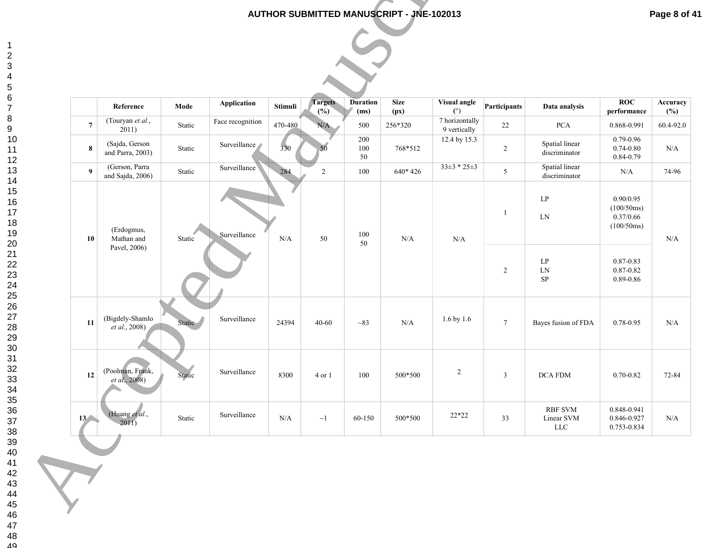| Page 8 of 41 |
|--------------|
|              |

|                  |                                    |        |                  |           |                          |                      | <b>AUTHOR SUBMITTED MANUSCRIPT \JNE-102013</b> |                                |                 |                                                    |                                                    | Page 8 of 4     |
|------------------|------------------------------------|--------|------------------|-----------|--------------------------|----------------------|------------------------------------------------|--------------------------------|-----------------|----------------------------------------------------|----------------------------------------------------|-----------------|
|                  | Reference                          | Mode   | Application      | Stimuli   | <b>Targets</b><br>$($ %) | Duration<br>(ms)     | <b>Size</b><br>$(\mathbf{p}x)$                 | <b>Visual angle</b><br>(°)     | Participants    | Data analysis                                      | ROC<br>performance                                 | Accuracy<br>(%) |
| $\boldsymbol{7}$ | (Touryan et al.,<br>2011)          | Static | Face recognition | 470-480   | N/A                      | 500                  | 256*320                                        | 7 horizontally<br>9 vertically | $22\,$          | <b>PCA</b>                                         | 0.868-0.991                                        | 60.4-92.0       |
| $\pmb{8}$        | (Sajda, Gerson<br>and Parra, 2003) | Static | Surveillance     | 330       | 50                       | 200<br>$100\,$<br>50 | 768*512                                        | 12.4 by 15.3                   | $\sqrt{2}$      | Spatial linear<br>discriminator                    | 0.79-0.96<br>$0.74 - 0.80$<br>0.84-0.79            | N/A             |
| $\overline{9}$   | (Gerson, Parra<br>and Sajda, 2006) | Static | Surveillance     | 284       | $\overline{2}$           | 100                  | 640*426                                        | $33\pm3*25\pm3$                | $\sqrt{5}$      | Spatial linear<br>discriminator                    | N/A                                                | 74-96           |
| 10               | (Erdogmus,<br>Mathan and           | Static | Surveillance     | $\rm N/A$ | 50                       | 100<br>$50\,$        | $\rm N/A$                                      | $\rm N/A$                      | 1               | $\mathbf{L}\mathbf{P}$<br>${\rm LN}$               | 0.90/0.95<br>(100/50ms)<br>0.37/0.66<br>(100/50ms) | N/A             |
|                  | Pavel, 2006)                       |        |                  |           |                          |                      |                                                |                                | $\sqrt{2}$      | $\mathbf{L}\mathbf{P}$<br>${\rm LN}$<br>${\bf SP}$ | $0.87 - 0.83$<br>$0.87 - 0.82$<br>$0.89 - 0.86$    |                 |
| 11               | (Bigdely-Shamlo<br>et al., 2008)   | Static | Surveillance     | 24394     | 40-60                    | $\sim\!\!83$         | $\rm N/A$                                      | $1.6 \text{ by } 1.6$          | $7\phantom{.0}$ | Bayes fusion of FDA                                | 0.78-0.95                                          | N/A             |
| 12               | (Poolman, Frank,<br>et al., 2008)  | Static | Surveillance     | 8300      | 4 or 1                   | 100                  | 500*500                                        | $\overline{c}$                 | $\mathbf{3}$    | DCA FDM                                            | $0.70 - 0.82$                                      | 72-84           |
| 13               | (Huang et al.,<br>2011)            | Static | Surveillance     | $\rm N/A$ | $\sim$ 1                 | 60-150               | 500*500                                        | $22*22$                        | 33              | <b>RBF SVM</b><br>Linear SVM<br>${\rm LLC}$        | 0.848-0.941<br>0.846-0.927<br>0.753-0.834          | $\rm N/A$       |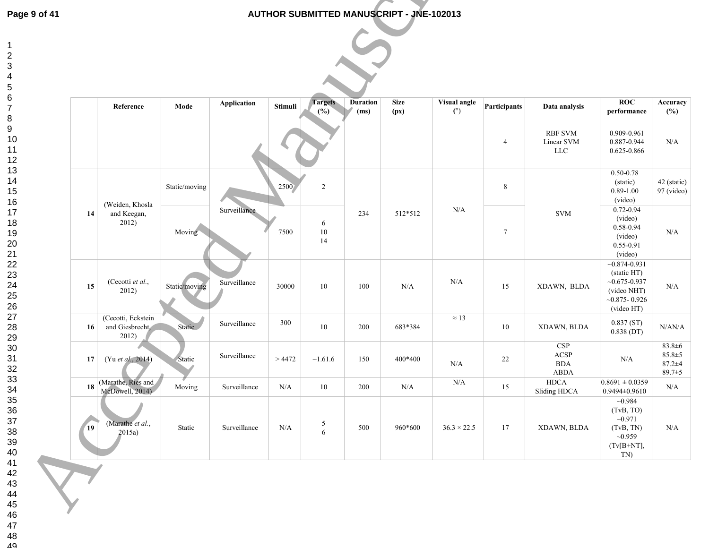**Page 9 of 41**

|                 |                                                |               |              |           |                                       |                  | AUTHOR SUBMITTED MANUSCRIPT   JNE-102013 |                            |                  |                                                           |                                                                                                         |                                                            |
|-----------------|------------------------------------------------|---------------|--------------|-----------|---------------------------------------|------------------|------------------------------------------|----------------------------|------------------|-----------------------------------------------------------|---------------------------------------------------------------------------------------------------------|------------------------------------------------------------|
|                 | Reference                                      | Mode          | Application  | Stimuli   | <b>Targets</b><br>(%)                 | Duration<br>(ms) | <b>Size</b><br>(px)                      | <b>Visual angle</b><br>(°) | Participants     | Data analysis                                             | ROC<br>performance                                                                                      | Accuracy<br>(%)                                            |
|                 |                                                |               |              |           |                                       |                  |                                          |                            | $\overline{4}$   | <b>RBF SVM</b><br>Linear SVM<br>${\rm LLC}$               | 0.909-0.961<br>0.887-0.944<br>0.625-0.866                                                               | N/A                                                        |
|                 | (Weiden, Khosla                                | Static/moving |              | 2500      | $\overline{2}$                        |                  |                                          |                            | $\,8\,$          |                                                           | $0.50 - 0.78$<br>(static)<br>$0.89 - 1.00$<br>(video)                                                   | 42 (static)<br>97 (video)                                  |
| 14              | and Keegan,<br>2012)                           | Moving        | Surveillance | 7500      | 6<br>$10\,$<br>14                     | 234              | 512*512                                  | $\rm N/A$                  | $\boldsymbol{7}$ | <b>SVM</b>                                                | $0.72 - 0.94$<br>(video)<br>0.58-0.94<br>(video)<br>$0.55 - 0.91$<br>(video)                            | N/A                                                        |
| 15              | (Cecotti et al.,<br>2012)                      | Static/moving | Surveillance | 30000     | 10                                    | 100              | $\rm N/A$                                | N/A                        | 15               | XDAWN, BLDA                                               | $~10.874 - 0.931$<br>(static HT)<br>$~10.675 - 0.937$<br>(video NHT)<br>$~10.875 - 0.926$<br>(video HT) | N/A                                                        |
| 16              | (Cecotti, Eckstein<br>and Giesbrecht,<br>2012) | Static        | Surveillance | 300       | 10                                    | $200\,$          | 683*384                                  | $\approx 13$               | $10\,$           | XDAWN, BLDA                                               | 0.837(ST)<br>$0.838$ (DT)                                                                               | $\rm N/AN/A$                                               |
| 17              | (Yu et al., 2014)                              | Static        | Surveillance | >4472     | ~1.61.6                               | 150              | $400*400$                                | $\rm N/A$                  | 22               | CSP<br>$\ensuremath{\mathsf{ACSP}}$<br><b>BDA</b><br>ABDA | N/A                                                                                                     | $83.8 \pm 6$<br>$85.8 \pm 5$<br>$87.2 + 4$<br>$89.7 \pm 5$ |
| 18              | (Marathe, Ries and<br>McDowell, 2014)          | Moving        | Surveillance | $\rm N/A$ | $10\,$                                | 200              | $\rm N/A$                                | $\rm N/A$                  | 15               | ${\rm HDCA}$<br>Sliding HDCA                              | $0.8691 \pm 0.0359$<br>0.9494±0.9610                                                                    | $\rm N/A$                                                  |
| $\overline{19}$ | (Marathe et al.,<br>2015a)                     | Static        | Surveillance | $\rm N/A$ | $\begin{array}{c} 5 \\ 6 \end{array}$ | 500              | $960*600$                                | $36.3 \times 22.5$         | 17               | XDAWN, BLDA                                               | $-0.984$<br>(TvB, TO)<br>$-0.971$<br>(TvB, TN)<br>$-0.959$<br>$(Tv[B+NT],$<br>TN)                       | $\rm N/A$                                                  |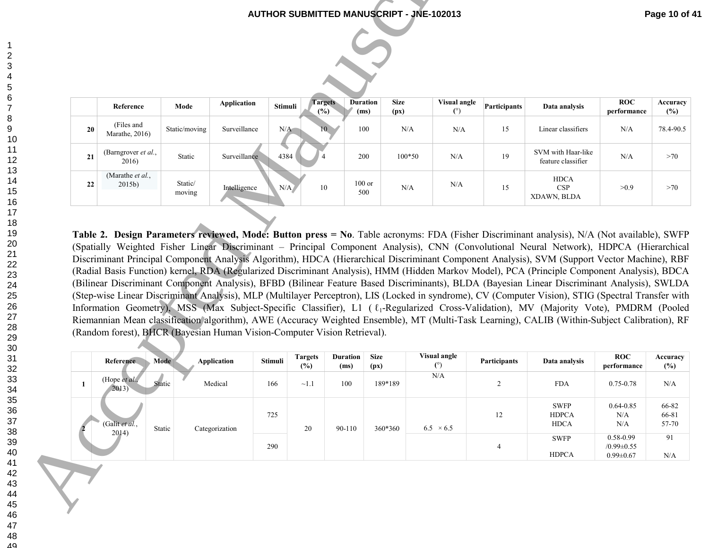## **AUTHOR SUBMITTED MANUSCRIPT \JNE-102013**

|              | Reference                                                                             | Mode              | <b>Application</b>        | Stimuli    | <b>Targets</b><br>(%) | <b>Duration</b><br>(ms) | <b>Size</b><br>(px)            | Visual angle<br>(°)        | Participants         | Data analysis                                                                                                                                                                                                                                                                                                                                                                                                                                                                                                                                                                                                                                                                                                                                                                                                                                                                                                                                                                                                                                                     | <b>ROC</b><br>performance                    | Accuracy<br>(%)                |
|--------------|---------------------------------------------------------------------------------------|-------------------|---------------------------|------------|-----------------------|-------------------------|--------------------------------|----------------------------|----------------------|-------------------------------------------------------------------------------------------------------------------------------------------------------------------------------------------------------------------------------------------------------------------------------------------------------------------------------------------------------------------------------------------------------------------------------------------------------------------------------------------------------------------------------------------------------------------------------------------------------------------------------------------------------------------------------------------------------------------------------------------------------------------------------------------------------------------------------------------------------------------------------------------------------------------------------------------------------------------------------------------------------------------------------------------------------------------|----------------------------------------------|--------------------------------|
| 20           | (Files and<br>Marathe, 2016)                                                          | Static/moving     | Surveillance              | N/A        | 10                    | 100                     | N/A                            | N/A                        | 15                   | Linear classifiers                                                                                                                                                                                                                                                                                                                                                                                                                                                                                                                                                                                                                                                                                                                                                                                                                                                                                                                                                                                                                                                | N/A                                          | 78.4-90.5                      |
| 21           | (Barngrover et al.,<br>2016)                                                          | Static            | Surveillance              | 4384       |                       | 200                     | 100*50                         | N/A                        | 19                   | SVM with Haar-like<br>feature classifier                                                                                                                                                                                                                                                                                                                                                                                                                                                                                                                                                                                                                                                                                                                                                                                                                                                                                                                                                                                                                          | N/A                                          | >70                            |
| 22           | (Marathe et al.,<br>2015 <sub>b</sub>                                                 | Static/<br>moving | Intelligence              | N/A        | 10                    | $100$ or<br>500         | N/A                            | N/A                        | 15                   | <b>HDCA</b><br><b>CSP</b><br>XDAWN, BLDA                                                                                                                                                                                                                                                                                                                                                                                                                                                                                                                                                                                                                                                                                                                                                                                                                                                                                                                                                                                                                          | >0.9                                         | >70                            |
|              |                                                                                       |                   |                           |            |                       |                         |                                |                            |                      | Table 2. Design Parameters reviewed, Mode: Button press = No. Table acronyms: FDA (Fisher Discriminant analysis), N/A (Not available), SWFP                                                                                                                                                                                                                                                                                                                                                                                                                                                                                                                                                                                                                                                                                                                                                                                                                                                                                                                       |                                              |                                |
|              | (Random forest), BHCR (Bayesian Human Vision-Computer Vision Retrieval).<br>Reference | Mode              | <b>Application</b>        | Stimuli    | <b>Targets</b><br>(%) | <b>Duration</b><br>(ms) | <b>Size</b><br>$(\mathbf{p}x)$ | Visual angle<br>(°)<br>N/A | Participants         | (Spatially Weighted Fisher Linear Discriminant - Principal Component Analysis), CNN (Convolutional Neural Network), HDPCA (Hierarchical<br>Discriminant Principal Component Analysis Algorithm), HDCA (Hierarchical Discriminant Component Analysis), SVM (Support Vector Machine), RBF<br>(Radial Basis Function) kernel, RDA (Regularized Discriminant Analysis), HMM (Hidden Markov Model), PCA (Principle Component Analysis), BDCA<br>(Bilinear Discriminant Component Analysis), BFBD (Bilinear Feature Based Discriminants), BLDA (Bayesian Linear Discriminant Analysis), SWLDA<br>(Step-wise Linear Discriminant Analysis), MLP (Multilayer Perceptron), LIS (Locked in syndrome), CV (Computer Vision), STIG (Spectral Transfer with<br>Information Geometry), MSS (Max Subject-Specific Classifier), L1 ( $\ell_1$ -Regularized Cross-Validation), MV (Majority Vote), PMDRM (Pooled<br>Riemannian Mean classification algorithm), AWE (Accuracy Weighted Ensemble), MT (Multi-Task Learning), CALIB (Within-Subject Calibration), RF<br>Data analysis | <b>ROC</b><br>performance                    | Accuracy<br>(%)                |
| $\mathbf{1}$ | (Hope et al.,<br>2013)<br>(Galit et al.,                                              | Static<br>Static  | Medical<br>Categorization | 166<br>725 | ~1.1<br>20            | 100<br>90-110           | 189*189<br>360*360             | $6.5 \times 6.5$           | $\overline{c}$<br>12 | <b>FDA</b><br><b>SWFP</b><br><b>HDPCA</b><br><b>HDCA</b>                                                                                                                                                                                                                                                                                                                                                                                                                                                                                                                                                                                                                                                                                                                                                                                                                                                                                                                                                                                                          | $0.75 - 0.78$<br>$0.64 - 0.85$<br>N/A<br>N/A | N/A<br>66-82<br>66-81<br>57-70 |

| Reference                | <b>Mode</b> | Application    | Stimuli | <b>Targets</b><br>$(\%)$ | <b>Duration</b><br>(ms) | <b>Size</b><br>(px) | Visual angle<br>(°) | Participants | Data analysis                              | <b>ROC</b><br>performance                        | Accuracy<br>$(\%)$      |
|--------------------------|-------------|----------------|---------|--------------------------|-------------------------|---------------------|---------------------|--------------|--------------------------------------------|--------------------------------------------------|-------------------------|
| (Hope et al.,<br>$-2013$ | Static      | Medical        | 166     | $\sim$ 1.1               | 100                     | 189*189             | N/A                 |              | <b>FDA</b>                                 | $0.75 - 0.78$                                    | N/A                     |
| (Galit et al.,           | Static      | Categorization | 725     | 20                       | 90-110                  | 360*360             | $6.5 \times 6.5$    | 12           | <b>SWFP</b><br><b>HDPCA</b><br><b>HDCA</b> | $0.64 - 0.85$<br>N/A<br>N/A                      | 66-82<br>66-81<br>57-70 |
| 2014)                    |             |                | 290     |                          |                         |                     |                     |              | <b>SWFP</b><br><b>HDPCA</b>                | 0.58-0.99<br>$/0.99 \pm 0.55$<br>$0.99 \pm 0.67$ | 91<br>N/A               |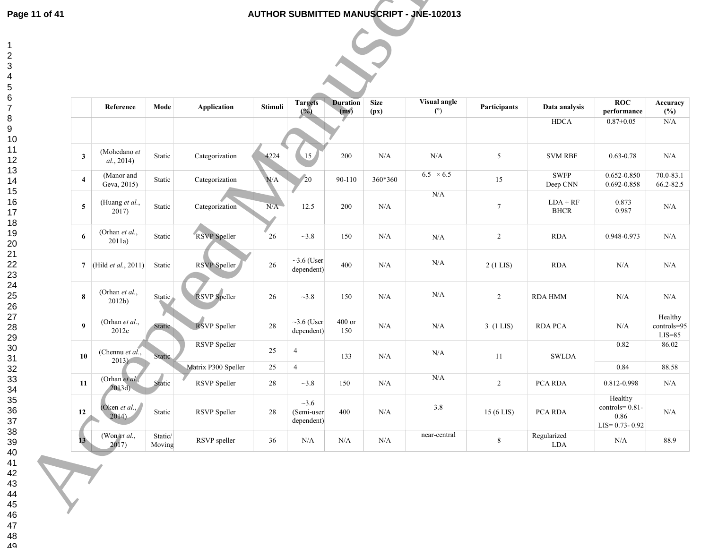|                         |                            |                   |                     |         |                                        |                         |                     | <b>AUTHOR SUBMITTED MANUSCRIPT \JNE-102013</b> |                |                               |                                                          |                                    |
|-------------------------|----------------------------|-------------------|---------------------|---------|----------------------------------------|-------------------------|---------------------|------------------------------------------------|----------------|-------------------------------|----------------------------------------------------------|------------------------------------|
|                         |                            |                   |                     |         |                                        |                         |                     |                                                |                |                               |                                                          |                                    |
|                         | Reference                  | Mode              | <b>Application</b>  | Stimuli | <b>Targets</b><br>(%)                  | <b>Duration</b><br>(ms) | <b>Size</b><br>(px) | <b>Visual angle</b><br>(°)                     | Participants   | Data analysis                 | ROC<br>performance                                       | Accuracy<br>$(\%)$                 |
|                         |                            |                   |                     |         |                                        |                         |                     |                                                |                | <b>HDCA</b>                   | $0.87 \pm 0.05$                                          | N/A                                |
| $\mathbf{3}$            | (Mohedano et<br>al., 2014) | Static            | Categorization      | 4224    | 15                                     | 200                     | N/A                 | N/A                                            | 5              | <b>SVM RBF</b>                | $0.63 - 0.78$                                            | N/A                                |
| $\overline{\mathbf{4}}$ | (Manor and<br>Geva, 2015)  | Static            | Categorization      | N/A     | $\sqrt{20}$                            | 90-110                  | 360*360             | $6.5 \times 6.5$                               | 15             | <b>SWFP</b><br>Deep CNN       | 0.652-0.850<br>0.692-0.858                               | 70.0-83.1<br>66.2-82.5             |
| $\overline{\mathbf{5}}$ | (Huang et al.,<br>2017)    | Static            | Categorization      | N/A     | 12.5                                   | 200                     | N/A                 | N/A                                            | $\tau$         | $LDA + RF$<br><b>BHCR</b>     | 0.873<br>0.987                                           | N/A                                |
| 6                       | (Orhan et al.,<br>2011a)   | Static            | <b>RSVP</b> Speller | 26      | $\sim$ 3.8                             | 150                     | N/A                 | ${\rm N/A}$                                    | $\overline{2}$ | <b>RDA</b>                    | 0.948-0.973                                              | N/A                                |
| $\overline{7}$          | (Hild et al., 2011)        | Static            | RSVP Speller        | $26\,$  | $\sim$ 3.6 (User<br>dependent)         | 400                     | N/A                 | N/A                                            | $2(1$ LIS)     | <b>RDA</b>                    | N/A                                                      | N/A                                |
| $\boldsymbol{8}$        | (Orhan et al.,<br>2012b)   | Static            | <b>RSVP</b> Speller | $26\,$  | $\sim3.8$                              | 150                     | $\rm N/A$           | N/A                                            | $\overline{2}$ | $\operatorname{RDA}$ HMM      | $\rm N/A$                                                | $\rm N/A$                          |
| $\boldsymbol{9}$        | (Orhan et al.,<br>2012c    | Static            | <b>RSVP</b> Speller | 28      | $\sim$ 3.6 (User<br>dependent)         | $400$ or<br>150         | $\rm N/A$           | $\rm N/A$                                      | 3 (1 LIS)      | RDA PCA                       | $\rm N/A$                                                | Healthy<br>controls=95<br>$LIS=85$ |
| 10                      | (Chennu et al.,            | Static            | <b>RSVP</b> Speller | 25      | $\overline{4}$                         | 133                     | N/A                 | $\rm N/A$                                      | $11\,$         | $\ensuremath{\mathrm{SWLDA}}$ | 0.82                                                     | 86.02                              |
|                         | 2013)                      |                   | Mâtrix P300 Speller | $25\,$  | $\overline{4}$                         |                         |                     |                                                |                |                               | 0.84                                                     | 88.58                              |
| 11                      | (Orhan et al.,<br>2013d    | Static            | RSVP Speller        | 28      | ~23.8                                  | 150                     | $\rm N/A$           | $\rm N/A$                                      | $\overline{2}$ | PCA RDA                       | 0.812-0.998                                              | N/A                                |
| $12\,$                  | (Oken et al.,<br>2014      | Static            | RSVP Speller        | $28\,$  | $\sim$ 3.6<br>(Semi-user<br>dependent) | 400                     | $\rm N/A$           | $3.8\,$                                        | 15 (6 LIS)     | PCA RDA                       | Healthy<br>controls=0.81-<br>0.86<br>$LIS = 0.73 - 0.92$ | $\rm N/A$                          |
| 13 <sub>2</sub>         | (Won et al.,<br>2017)      | Static/<br>Moving | RSVP speller        | 36      | $\rm N/A$                              | $\rm N/A$               | $\rm N/A$           | near-central                                   | $\,8\,$        | Regularized<br>$\rm LDA$      | $\rm N/A$                                                | 88.9                               |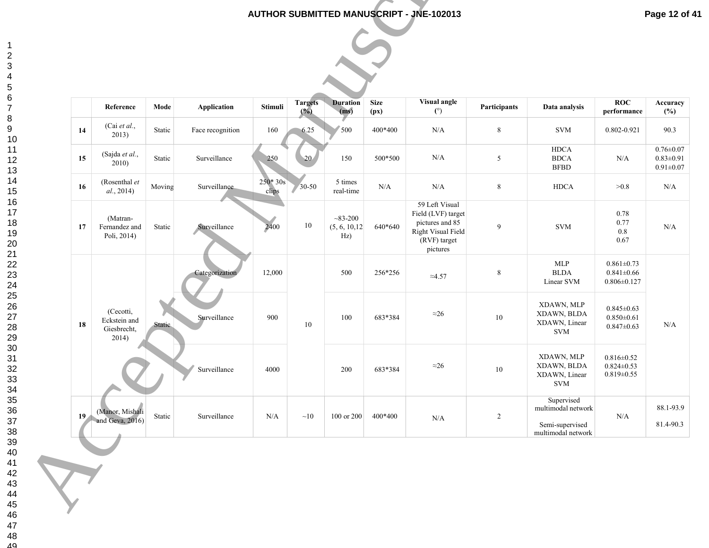|        |                                                   |        |                  |                  |                                            |                                       |                     | <b>AUTHOR SUBMITTED MANUSCRIPT \JNE-102013</b>                                                            |              |                                                                           |                                                           | Page 12 of 4                                                                     |                                                          |  |
|--------|---------------------------------------------------|--------|------------------|------------------|--------------------------------------------|---------------------------------------|---------------------|-----------------------------------------------------------------------------------------------------------|--------------|---------------------------------------------------------------------------|-----------------------------------------------------------|----------------------------------------------------------------------------------|----------------------------------------------------------|--|
|        | Reference                                         | Mode   | Application      | Stimuli          | <b>Targets</b><br>$\frac{\binom{0}{0}}{0}$ | <b>Duration</b><br>(ms)               | <b>Size</b><br>(px) | <b>Visual angle</b><br>$(^\circ)$                                                                         | Participants | Data analysis                                                             | ROC<br>performance                                        | Accuracy<br>(%)                                                                  |                                                          |  |
| $14\,$ | (Cai et al.,<br>2013)                             | Static | Face recognition | 160              | 6.25                                       | 500                                   | 400*400             | N/A                                                                                                       | 8            | <b>SVM</b>                                                                | $0.802 - 0.921$                                           | 90.3                                                                             |                                                          |  |
| 15     | (Sajda et al.,<br>2010)                           | Static | Surveillance     | 250              | 20 <sup>7</sup>                            | 150                                   | 500*500             | $\rm N/A$                                                                                                 | 5            | <b>HDCA</b><br><b>BDCA</b><br><b>BFBD</b>                                 | N/A                                                       | $0.76 \pm 0.07$<br>$0.83 \pm 0.91$<br>$0.91 \pm 0.07$                            |                                                          |  |
| 16     | (Rosenthal et<br>al., 2014)                       | Moving | Surveillance     | 250*30s<br>clips | $30-50$                                    | 5 times<br>real-time                  | $\rm N/A$           | $\rm N/A$                                                                                                 | $8\,$        | <b>HDCA</b>                                                               | >0.8                                                      | N/A                                                                              |                                                          |  |
| 17     | (Matran-<br>Fernandez and<br>Poli, 2014)          | Static | Surveillance     | 2400             | $10\,$                                     | $~183 - 200$<br>(5, 6, 10, 12)<br>Hz) | 640*640             | 59 Left Visual<br>Field (LVF) target<br>pictures and 85<br>Right Visual Field<br>(RVF) target<br>pictures | 9            | <b>SVM</b>                                                                | 0.78<br>0.77<br>$0.8\,$<br>0.67                           | N/A                                                                              |                                                          |  |
|        |                                                   |        | Categorization   | 12,000           |                                            | 500                                   | 256*256             | $\approx 4.57$                                                                                            | $\,8\,$      | <b>MLP</b><br><b>BLDA</b><br>Linear SVM                                   | $0.861 \pm 0.73$<br>$0.841 \pm 0.66$<br>$0.806 \pm 0.127$ |                                                                                  |                                                          |  |
| 18     | (Cecotti,<br>Eckstein and<br>Giesbrecht,<br>2014) | Static | Surveillance     | 900              | $10\,$                                     | 100                                   | 683*384             | $\approx$ 26                                                                                              | $10\,$       | XDAWN, MLP<br>XDAWN, BLDA<br>XDAWN, Linear<br><b>SVM</b>                  | $0.845 \pm 0.63$<br>$0.850 \pm 0.61$<br>$0.847 \pm 0.63$  | $\rm N/A$                                                                        |                                                          |  |
|        |                                                   |        |                  |                  | Surveillance                               | 4000                                  |                     | 200                                                                                                       | 683*384      | ${\approx}26$                                                             | $10\,$                                                    | XDAWN, MLP<br>XDAWN, BLDA<br>XDAWN, Linear<br>$\ensuremath{\mathrm{SVM}}\xspace$ | $0.816 \pm 0.52$<br>$0.824 \pm 0.53$<br>$0.819 \pm 0.55$ |  |
| 19     | (Manor, Mishali<br>and Geva, 2016)                | Static | Surveillance     | $\rm N/A$        | ${\sim}10$                                 | 100 or 200                            | $400*400$           | $\rm N/A$                                                                                                 | $\sqrt{2}$   | Supervised<br>multimodal network<br>Semi-supervised<br>multimodal network | $\rm N/A$                                                 | 88.1-93.9<br>81.4-90.3                                                           |                                                          |  |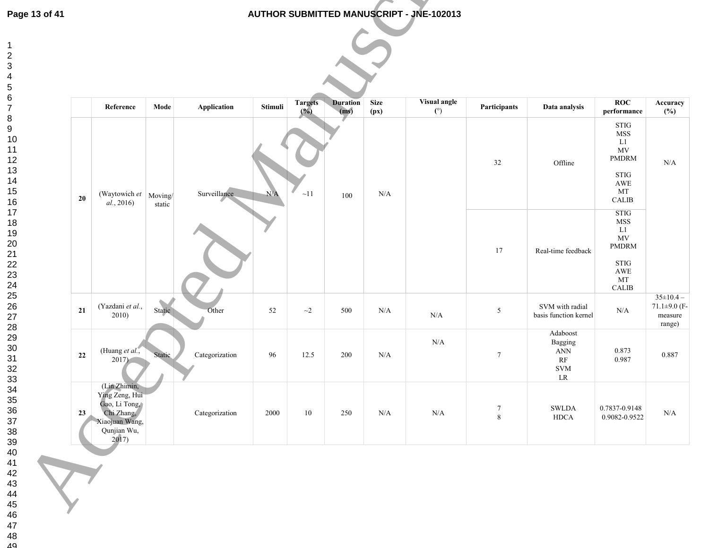**Page 13 of 41**

12

|           |                                                                                                         |                   |                |         |                       |                         |                     | AUTHOR SUBMITTED MANUSCRIPT \JNE-102013 |                                       |                                                                                                 |                                                                                                                                          |                                                            |
|-----------|---------------------------------------------------------------------------------------------------------|-------------------|----------------|---------|-----------------------|-------------------------|---------------------|-----------------------------------------|---------------------------------------|-------------------------------------------------------------------------------------------------|------------------------------------------------------------------------------------------------------------------------------------------|------------------------------------------------------------|
|           | Reference                                                                                               | Mode              | Application    | Stimuli | <b>Targets</b><br>(%) | <b>Duration</b><br>(ms) | <b>Size</b><br>(px) | <b>Visual angle</b><br>$(^\circ\!)$     | Participants                          | Data analysis                                                                                   | ROC<br>performance                                                                                                                       | Accuracy<br>$(\%)$                                         |
| $20\,$    | (Waytowich et<br>al., 2016)                                                                             | Moving/<br>static | Surveillance   | N/A     | $\sim\!\!11$          | 100                     | $\rm N/A$           |                                         | 32                                    | Offline                                                                                         | $\operatorname{STIG}$<br>MSS<br>L1<br>$\ensuremath{\text{MV}}\xspace$<br><b>PMDRM</b><br><b>STIG</b><br>AWE<br>$\rm{MT}$<br><b>CALIB</b> | $\rm N/A$                                                  |
|           |                                                                                                         |                   |                |         |                       |                         |                     |                                         | 17                                    | Real-time feedback                                                                              | STIG<br><b>MSS</b><br>L1<br>MV<br><b>PMDRM</b><br><b>STIG</b><br>$\operatorname{AWE}$<br>$\rm{MT}$<br><b>CALIB</b>                       |                                                            |
| $\bf 21$  | (Yazdani et al.,<br>2010)                                                                               | Static            | Other          | $52\,$  | ${\sim}2$             | 500                     | $\rm N/A$           | $\rm N/A$                               | $\sqrt{5}$                            | SVM with radial<br>basis function kernel                                                        | $\rm N/A$                                                                                                                                | $35 \pm 10.4 -$<br>$71.1 \pm 9.0$ (F-<br>measure<br>range) |
| $\bf{22}$ | (Huang et al., $\ell$<br>2017)                                                                          | <b>Static</b>     | Categorization | 96      | 12.5                  | 200                     | $\rm N/A$           | $\rm N/A$                               | $\boldsymbol{7}$                      | Adaboost<br>Bagging<br>ANN<br>$\mathbf{RF}$<br>$\ensuremath{\mathrm{SVM}}\xspace$<br>${\rm LR}$ | 0.873<br>0.987                                                                                                                           | 0.887                                                      |
| $23\,$    | (Lin Zhimin,<br>Ying Zeng, Hui<br>Gao, Li Tong,<br>Chi Zhang,<br>Xiaojuan Wang,<br>Qunjian Wu,<br>2017) |                   | Categorization | 2000    | $10\,$                | 250                     | $\rm N/A$           | $\rm N/A$                               | $\begin{array}{c} 7 \\ 8 \end{array}$ | $\ensuremath{\mathsf{SWLDA}}$<br>${\rm HDCA}$                                                   | 0.7837-0.9148<br>$0.9082 - 0.9522$                                                                                                       | $\rm N/A$                                                  |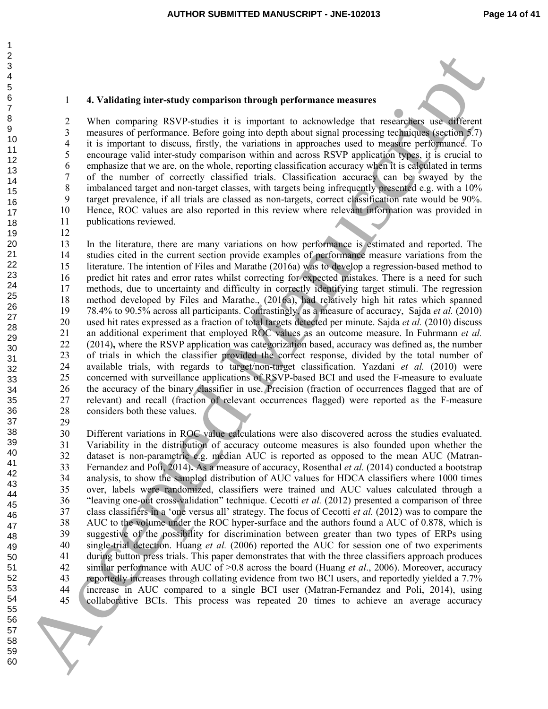## 1 **4. Validating inter-study comparison through performance measures**

2 When comparing RSVP-studies it is important to acknowledge that researchers use different 3 measures of performance. Before going into depth about signal processing techniques (section 5.7) 4 it is important to discuss, firstly, the variations in approaches used to measure performance. To encourage valid inter-study comparison within and across RSVP application types, it is crucial to 5 encourage valid inter-study comparison within and across RSVP application types, it is crucial to 6 emphasize that we are, on the whole, reporting classification accuracy when it is calculated in terms 7 of the number of correctly classified trials. Classification accuracy can be swayed by the 8 imbalanced target and non-target classes, with targets being infrequently presented e.g. with a 10% 9 target prevalence, if all trials are classed as non-targets, correct classification rate would be 90%. 10 Hence, ROC values are also reported in this review where relevant information was provided in 11 publications reviewed.

13 In the literature, there are many variations on how performance is estimated and reported. The 14 studies cited in the current section provide examples of performance measure variations from the 15 literature. The intention of Files and Marathe (2016a) was to develop a regression-based method to 16 predict hit rates and error rates whilst correcting for expected mistakes. There is a need for such 17 methods, due to uncertainty and difficulty in correctly identifying target stimuli. The regression 18 method developed by Files and Marathe., (2016a), had relatively high hit rates which spanned 19 78.4% to 90.5% across all participants. Contrastingly, as a measure of accuracy, Sajda *et al.* (2010) 20 used hit rates expressed as a fraction of total targets detected per minute. Sajda *et al.* (2010) discuss 21 an additional experiment that employed ROC values as an outcome measure. In Fuhrmann *et al.* 22 (2014), where the RSVP application was categorization based, accuracy was defined as, the number<br>23 of trials in which the classifier provided the correct response, divided by the total number of 23 of trials in which the classifier provided the correct response, divided by the total number of 24 available trials, with regards to target/non-target classification. Yazdani *et al.* (2010) were 25 concerned with surveillance applications of RSVP-based BCI and used the F-measure to evaluate 26 the accuracy of the binary classifier in use. Precision (fraction of occurrences flagged that are of 27 relevant) and recall (fraction of relevant occurrences flagged) were reported as the F-measure 28 considers both these values. 3<br>
14. Validating intersets of comparison through performance measures<br>
14. Validating intersets of comparison through performance measures<br>
20 Accepted Manuscript (Street Warehouse Theorem in the accepted Manuscript inte

30 Different variations in ROC value calculations were also discovered across the studies evaluated. 31 Variability in the distribution of accuracy outcome measures is also founded upon whether the 32 dataset is non-parametric e.g. median AUC is reported as opposed to the mean AUC (Matran-33 Fernandez and Poli, 2014)**.** As a measure of accuracy, Rosenthal *et al.* (2014) conducted a bootstrap 34 analysis, to show the sampled distribution of AUC values for HDCA classifiers where 1000 times 35 over, labels were randomized, classifiers were trained and AUC values calculated through a 36 "leaving one-out cross-validation" technique. Cecotti *et al.* (2012) presented a comparison of three 37 class classifiers in a 'one versus all' strategy. The focus of Cecotti *et al.* (2012) was to compare the 38 AUC to the volume under the ROC hyper-surface and the authors found a AUC of 0.878, which is 39 suggestive of the possibility for discrimination between greater than two types of ERPs using 40 single-trial detection. Huang *et al.* (2006) reported the AUC for session one of two experiments 41 during button press trials. This paper demonstrates that with the three classifiers approach produces 42 similar performance with AUC of >0.8 across the board (Huang *et al.*, 2006). Moreover, accuracy<br>43 reportedly increases through collating evidence from two BCI users, and reportedly vielded a 7.7% 43 reportedly increases through collating evidence from two BCI users, and reportedly yielded a 7.7% 44 increase in AUC compared to a single BCI user (Matran-Fernandez and Poli, 2014), using 45 collaborative BCIs. This process was repeated 20 times to achieve an average accuracy

12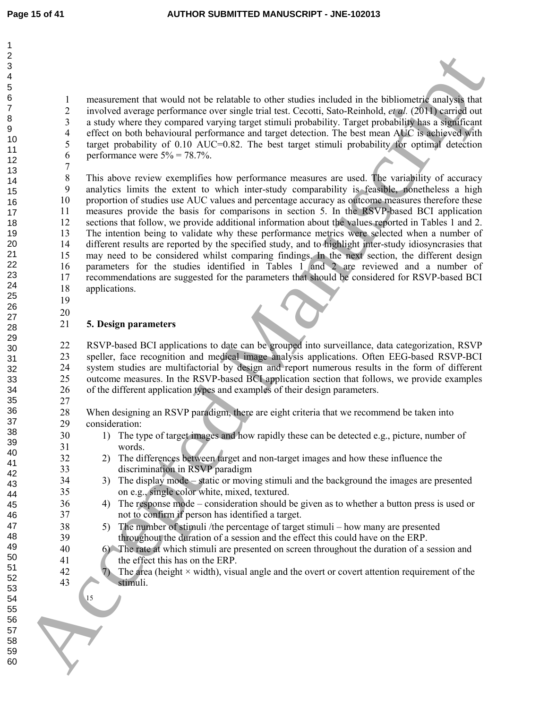1 measurement that would not be relatable to other studies included in the bibliometric analysis that 2 involved average performance over single trial test. Cecotti, Sato-Reinhold, *et al.* (2011) carried out 3 a study where they compared varying target stimuli probability. Target probability has a significant effect on both behavioural performance and target detection. The best mean AUC is achieved with effect on both behavioural performance and target detection. The best mean AUC is achieved with 5 target probability of 0.10 AUC=0.82. The best target stimuli probability for optimal detection 6 performance were  $5\% = 78.7\%$ . 

8 This above review exemplifies how performance measures are used. The variability of accuracy 9 analytics limits the extent to which inter-study comparability is feasible, nonetheless a high 10 proportion of studies use AUC values and percentage accuracy as outcome measures therefore these 11 measures provide the basis for comparisons in section 5. In the RSVP-based BCI application 12 sections that follow, we provide additional information about the values reported in Tables 1 and 2.<br>13 The intention being to validate why these performance metrics were selected when a number of The intention being to validate why these performance metrics were selected when a number of 14 different results are reported by the specified study, and to highlight inter-study idiosyncrasies that 15 may need to be considered whilst comparing findings. In the next section, the different design 16 parameters for the studies identified in Tables 1 and 2 are reviewed and a number of 17 recommendations are suggested for the parameters that should be considered for RSVP-based BCI 18 applications. 2 Accepted Manuscript (i.e. of the manuscript (i.e. of the manuscript (i.e. of the manuscript (i.e. of the manuscript (i.e. of the manuscript (i.e. of the manuscript (i.e. of the manuscript (i.e. of the manuscript (i.e. o

## **5. Design parameters**

22 RSVP-based BCI applications to date can be grouped into surveillance, data categorization, RSVP 23 speller, face recognition and medical image analysis applications. Often EEG-based RSVP-BCI 24 system studies are multifactorial by design and report numerous results in the form of different 25 outcome measures. In the RSVP-based BCI application section that follows, we provide examples 26 of the different application types and examples of their design parameters.

 28 When designing an RSVP paradigm, there are eight criteria that we recommend be taken into 29 consideration:

- 30 1) The type of target images and how rapidly these can be detected e.g., picture, number of 31 words.
- 32 2) The differences between target and non-target images and how these influence the 33 discrimination in RSVP paradigm
- 34 3) The display mode static or moving stimuli and the background the images are presented 35 on e.g., single color white, mixed, textured.
- 36 4) The response mode consideration should be given as to whether a button press is used or 37 not to confirm if person has identified a target.
- 38 5) The number of stimuli /the percentage of target stimuli how many are presented 39 throughout the duration of a session and the effect this could have on the ERP.

40 6) The rate at which stimuli are presented on screen throughout the duration of a session and 41 the effect this has on the ERP.

42 7) The area (height  $\times$  width), visual angle and the overt or covert attention requirement of the 43 stimuli.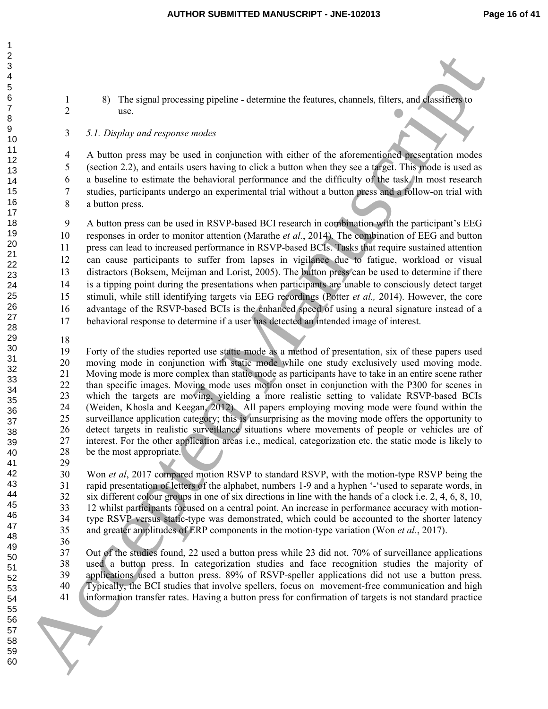1 8) The signal processing pipeline - determine the features, channels, filters, and classifiers to 2 use.

## *5.1. Display and response modes*

4 A button press may be used in conjunction with either of the aforementioned presentation modes 5 (section 2.2), and entails users having to click a button when they see a target. This mode is used as 6 a baseline to estimate the behavioral performance and the difficulty of the task. In most research 7 studies, participants undergo an experimental trial without a button press and a follow-on trial with 8 a button press.

9 A button press can be used in RSVP-based BCI research in combination with the participant's EEG 10 responses in order to monitor attention (Marathe *et al.*, 2014). The combination of EEG and button 11 press can lead to increased performance in RSVP-based BCIs. Tasks that require sustained attention 12 can cause participants to suffer from lapses in vigilance due to fatigue, workload or visual 13 distractors (Boksem, Meijman and Lorist, 2005). The button press can be used to determine if there 14 is a tipping point during the presentations when participants are unable to consciously detect target 15 stimuli, while still identifying targets via EEG recordings (Potter *et al.,* 2014). However, the core 16 advantage of the RSVP-based BCIs is the enhanced speed of using a neural signature instead of a 17 behavioral response to determine if a user has detected an intended image of interest.

19 Forty of the studies reported use static mode as a method of presentation, six of these papers used 20 moving mode in conjunction with static mode while one study exclusively used moving mode. 21 Moving mode is more complex than static mode as participants have to take in an entire scene rather<br>22 than specific images. Moving mode uses motion onset in conjunction with the P300 for scenes in 22 than specific images. Moving mode uses motion onset in conjunction with the P300 for scenes in 23 which the targets are moving, yielding a more realistic setting to validate RSVP-based BCIs 24 (Weiden, Khosla and Keegan, 2012). All papers employing moving mode were found within the 25 surveillance application category; this is unsurprising as the moving mode offers the opportunity to 26 detect targets in realistic surveillance situations where movements of people or vehicles are of 27 interest. For the other application areas i.e., medical, categorization etc. the static mode is likely to 28 be the most appropriate. 24<br>
18 (The vignal processing propertie - determine the Basture, character, and anche and<br>
26 (Sec. 26 (Sec. 26 (Sec. 26 (Sec. 26 (Sec. 26 (Sec. 26 (Sec. 26 (Sec. 26 (Sec. 26 (Sec. 26 (Sec. 26 (Sec. 26 (Sec. 26 (Sec. 26 (

 $\frac{29}{30}$ 30 Won *et al*, 2017 compared motion RSVP to standard RSVP, with the motion-type RSVP being the 31 rapid presentation of letters of the alphabet, numbers 1-9 and a hyphen '-'used to separate words, in 32 six different colour groups in one of six directions in line with the hands of a clock i.e. 2, 4, 6, 8, 10, 33 12 whilst participants focused on a central point. An increase in performance accuracy with motion-34 type RSVP versus static-type was demonstrated, which could be accounted to the shorter latency 35 and greater amplitudes of ERP components in the motion-type variation (Won *et al.*, 2017). 

37 Out of the studies found, 22 used a button press while 23 did not. 70% of surveillance applications 38 used a button press. In categorization studies and face recognition studies the majority of 39 applications used a button press. 89% of RSVP-speller applications did not use a button press. 40 Typically, the BCI studies that involve spellers, focus on movement-free communication and high 41 information transfer rates. Having a button press for confirmation of targets is not standard practice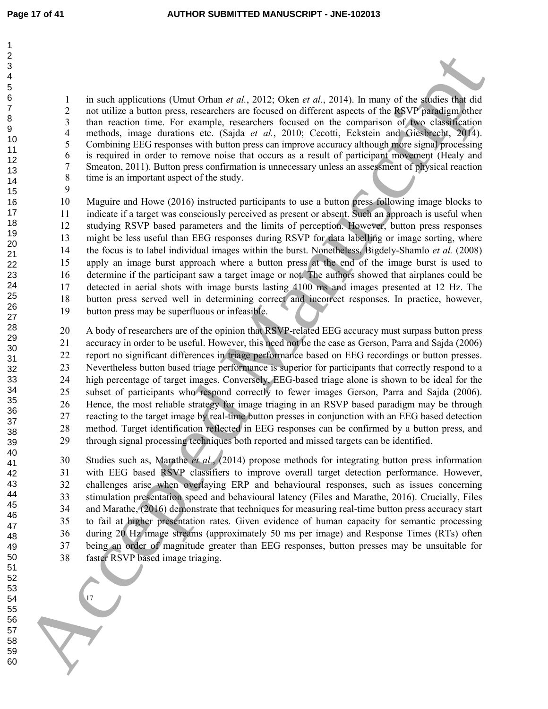1 in such applications (Umut Orhan *et al.*, 2012; Oken *et al.*, 2014). In many of the studies that did 2 not utilize a button press, researchers are focused on different aspects of the RSVP paradigm other 3 than reaction time. For example, researchers focused on the comparison of two classification methods, image durations etc. (Sajda *et al.*, 2010; Cecotti, Eckstein and Giesbrecht, 2014). methods, image durations etc. (Sajda et al., 2010; Cecotti, Eckstein and Giesbrecht, 2014). 5 Combining EEG responses with button press can improve accuracy although more signal processing 6 is required in order to remove noise that occurs as a result of participant movement (Healy and 7 Smeaton, 2011). Button press confirmation is unnecessary unless an assessment of physical reaction 8 time is an important aspect of the study.

10 Maguire and Howe (2016) instructed participants to use a button press following image blocks to 11 indicate if a target was consciously perceived as present or absent. Such an approach is useful when 12 studying RSVP based parameters and the limits of perception. However, button press responses 13 might be less useful than EEG responses during RSVP for data labelling or image sorting, where 14 the focus is to label individual images within the burst. Nonetheless, Bigdely-Shamlo *et al.* (2008) 15 apply an image burst approach where a button press at the end of the image burst is used to 16 determine if the participant saw a target image or not. The authors showed that airplanes could be 17 detected in aerial shots with image bursts lasting 4100 ms and images presented at 12 Hz. The 18 button press served well in determining correct and incorrect responses. In practice, however, 19 button press may be superfluous or infeasible. 20<br>
1 in mechanisms (Linu Orhan *ora*, 2012; Oken *et at*, 2014) is many of the splate in the splate in the splate in the splate in the splate in the splate in the splate in the splate in the splate in the splate in the s

20 A body of researchers are of the opinion that RSVP-related EEG accuracy must surpass button press 21 accuracy in order to be useful. However, this need not be the case as Gerson, Parra and Sajda (2006) 22 report no significant differences in triage performance based on EEG recordings or button presses. 23 Nevertheless button based triage performance is superior for participants that correctly respond to a 24 high percentage of target images. Conversely, EEG-based triage alone is shown to be ideal for the 25 subset of participants who respond correctly to fewer images Gerson, Parra and Sajda (2006). 26 Hence, the most reliable strategy for image triaging in an RSVP based paradigm may be through 27 reacting to the target image by real-time button presses in conjunction with an EEG based detection 28 method. Target identification reflected in EEG responses can be confirmed by a button press, and 29 through signal processing techniques both reported and missed targets can be identified.

30 Studies such as, Marathe *et al.*, (2014) propose methods for integrating button press information 31 with EEG based RSVP classifiers to improve overall target detection performance. However, 32 challenges arise when overlaying ERP and behavioural responses, such as issues concerning 33 stimulation presentation speed and behavioural latency (Files and Marathe, 2016). Crucially, Files 34 and Marathe, (2016) demonstrate that techniques for measuring real-time button press accuracy start 35 to fail at higher presentation rates. Given evidence of human capacity for semantic processing 36 during 20 Hz image streams (approximately 50 ms per image) and Response Times (RTs) often 37 being an order of magnitude greater than EEG responses, button presses may be unsuitable for 38 faster RSVP based image triaging.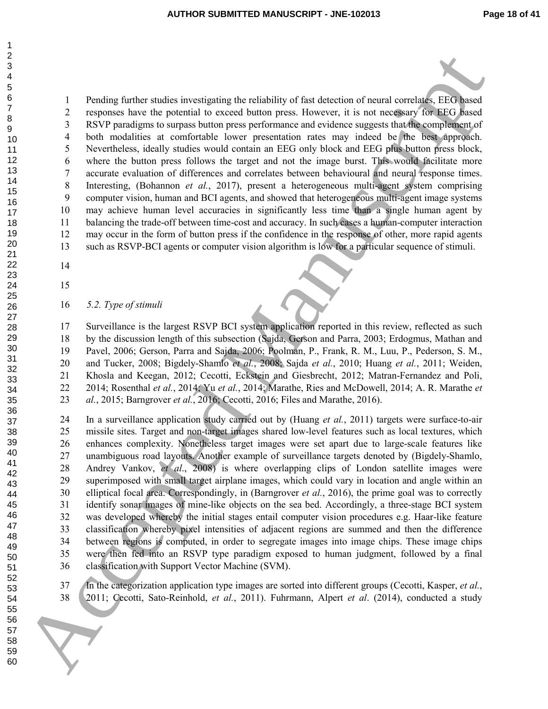1 Pending further studies investigating the reliability of fast detection of neural correlates, EEG based 2 responses have the potential to exceed button press. However, it is not necessary for EEG based 3 RSVP paradigms to surpass button press performance and evidence suggests that the complement of 4 both modalities at comfortable lower presentation rates may indeed be the best approach. 5 Nevertheless, ideally studies would contain an EEG only block and EEG plus button press block, 6 where the button press follows the target and not the image burst. This would facilitate more 7 accurate evaluation of differences and correlates between behavioural and neural response times. 8 Interesting, (Bohannon *et al.*, 2017), present a heterogeneous multi-agent system comprising 9 computer vision, human and BCI agents, and showed that heterogeneous multi-agent image systems 10 may achieve human level accuracies in significantly less time than a single human agent by 11 balancing the trade-off between time-cost and accuracy. In such cases a human-computer interaction 12 may occur in the form of button press if the confidence in the response of other, more rapid agents 13 such as RSVP-BCI agents or computer vision algorithm is low for a particular sequence of stimuli. 2<br>
1 Pending further studies investigating the reliability of fast detection of normal correlation (EEP) and<br>
2 Accepted Manuscript and the positivation of the positivation of the manuscript in the studies of the positiva

## *5.2. Type of stimuli*

17 Surveillance is the largest RSVP BCI system application reported in this review, reflected as such 18 by the discussion length of this subsection (Sajda, Gerson and Parra, 2003; Erdogmus, Mathan and 19 Pavel, 2006; Gerson, Parra and Sajda, 2006; Poolman, P., Frank, R. M., Luu, P., Pederson, S. M., 20 and Tucker, 2008; Bigdely-Shamlo *et al.*, 2008; Sajda *et al.*, 2010; Huang *et al.*, 2011; Weiden, 21 Khosla and Keegan, 2012; Cecotti, Eckstein and Giesbrecht, 2012; Matran-Fernandez and Poli, 22 2014; Rosenthal *et al.*, 2014; Yu *et al.*, 2014; Marathe, Ries and McDowell, 2014; A. R. Marathe *et al.*, 2015; Barngrover *et al.*, 2016; Cecotti, 2016; Files and Marathe, 2016).

24 In a surveillance application study carried out by (Huang *et al.*, 2011) targets were surface-to-air 25 missile sites. Target and non-target images shared low-level features such as local textures, which 26 enhances complexity. Nonetheless target images were set apart due to large-scale features like 27 unambiguous road layouts. Another example of surveillance targets denoted by (Bigdely-Shamlo, 28 Andrey Vankov, *et al*., 2008) is where overlapping clips of London satellite images were 29 superimposed with small target airplane images, which could vary in location and angle within an 30 elliptical focal area. Correspondingly, in (Barngrover *et al.*, 2016), the prime goal was to correctly 31 identify sonar images of mine-like objects on the sea bed. Accordingly, a three-stage BCI system 32 was developed whereby the initial stages entail computer vision procedures e.g. Haar-like feature 33 classification whereby pixel intensities of adjacent regions are summed and then the difference 34 between regions is computed, in order to segregate images into image chips. These image chips 35 were then fed into an RSVP type paradigm exposed to human judgment, followed by a final 36 classification with Support Vector Machine (SVM).

37 In the categorization application type images are sorted into different groups (Cecotti, Kasper, *et al.*, 38 2011; Cecotti, Sato-Reinhold, *et al.*, 2011). Fuhrmann, Alpert *et al*. (2014), conducted a study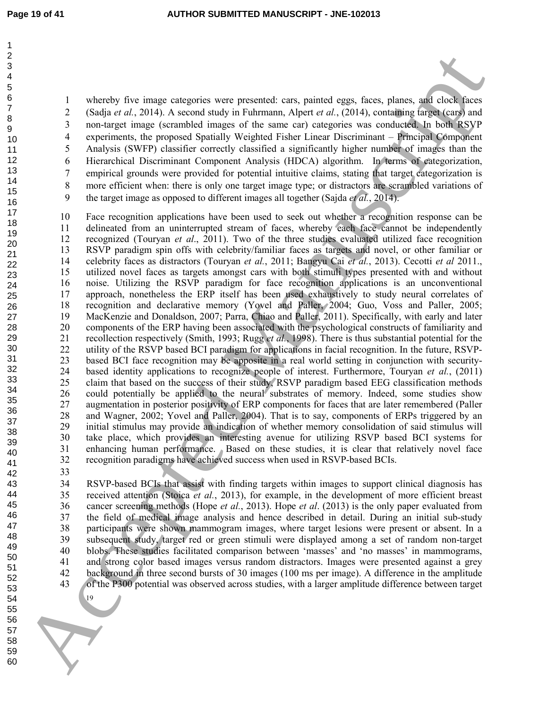1 whereby five image categories were presented: cars, painted eggs, faces, planes, and clock faces 2 (Sadja *et al.*, 2014). A second study in Fuhrmann, Alpert *et al.*, (2014), containing target (cars) and 3 non-target image (scrambled images of the same car) categories was conducted. In both RSVP 4 experiments, the proposed Spatially Weighted Fisher Linear Discriminant – Principal Component 5 Analysis (SWFP) classifier correctly classified a significantly higher number of images than the 6 Hierarchical Discriminant Component Analysis (HDCA) algorithm. In terms of categorization, 7 empirical grounds were provided for potential intuitive claims, stating that target categorization is 8 more efficient when: there is only one target image type; or distractors are scrambled variations of 9 the target image as opposed to different images all together (Sajda *et al.*, 2014).

10 Face recognition applications have been used to seek out whether a recognition response can be 11 delineated from an uninterrupted stream of faces, whereby each face cannot be independently 12 recognized (Touryan *et al*., 2011). Two of the three studies evaluated utilized face recognition 13 RSVP paradigm spin offs with celebrity/familiar faces as targets and novel, or other familiar or 14 celebrity faces as distractors (Touryan *et al.*, 2011; Bangyu Cai *et al.*, 2013). Cecotti *et al* 2011., 15 utilized novel faces as targets amongst cars with both stimuli types presented with and without 16 noise. Utilizing the RSVP paradigm for face recognition applications is an unconventional 17 approach, nonetheless the ERP itself has been used exhaustively to study neural correlates of 18 recognition and declarative memory (Yovel and Paller, 2004; Guo, Voss and Paller, 2005; 19 MacKenzie and Donaldson, 2007; Parra, Chiao and Paller, 2011). Specifically, with early and later<br>20 components of the ERP having been associated with the psychological constructs of familiarity and components of the ERP having been associated with the psychological constructs of familiarity and 21 recollection respectively (Smith, 1993; Rugg *et al.*, 1998). There is thus substantial potential for the 22 utility of the RSVP based BCI paradigm for applications in facial recognition. In the future, RSVPutility of the RSVP based BCI paradigm for applications in facial recognition. In the future, RSVP-23 based BCI face recognition may be apposite in a real world setting in conjunction with security-24 based identity applications to recognize people of interest. Furthermore, Touryan *et al.*, (2011) 25 claim that based on the success of their study, RSVP paradigm based EEG classification methods<br>26 could potentially be applied to the neural substrates of memory. Indeed, some studies show could potentially be applied to the neural substrates of memory. Indeed, some studies show 27 augmentation in posterior positivity of ERP components for faces that are later remembered (Paller 28 and Wagner, 2002; Yovel and Paller, 2004). That is to say, components of ERPs triggered by an 29 initial stimulus may provide an indication of whether memory consolidation of said stimulus will 30 take place, which provides an interesting avenue for utilizing RSVP based BCI systems for 31 enhancing human performance. Based on these studies, it is clear that relatively novel face 32 recognition paradigms have achieved success when used in RSVP-based BCIs. 33 2 a where the manuscript of the main state is the main state in the main state in the main state in the main state in the main state in the main state in the main state in the main state in the main state in the main stat

34 RSVP-based BCIs that assist with finding targets within images to support clinical diagnosis has 35 received attention (Stoica *et al.*, 2013), for example, in the development of more efficient breast 36 cancer screening methods (Hope *et al.*, 2013). Hope *et al*. (2013) is the only paper evaluated from 37 the field of medical image analysis and hence described in detail. During an initial sub-study 38 participants were shown mammogram images, where target lesions were present or absent. In a 39 subsequent study, target red or green stimuli were displayed among a set of random non-target 40 blobs. These studies facilitated comparison between 'masses' and 'no masses' in mammograms, 41 and strong color based images versus random distractors. Images were presented against a grey 42 background in three second bursts of 30 images (100 ms per image). A difference in the amplitude 43 of the P300 potential was observed across studies, with a larger amplitude difference between target

19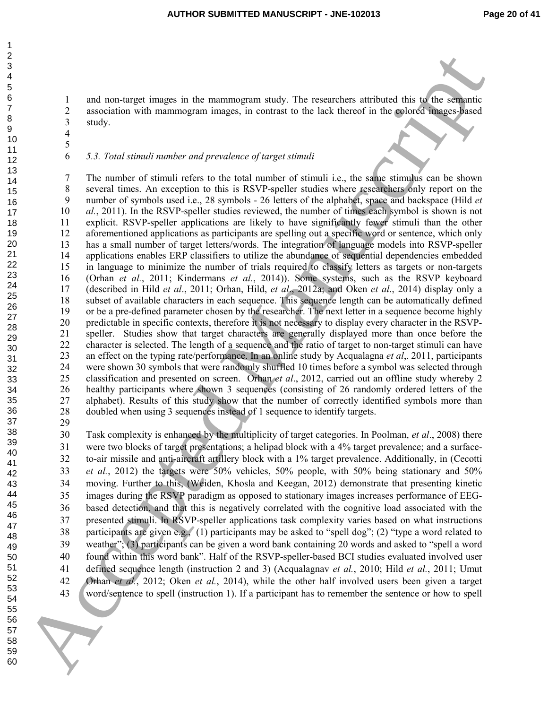1 and non-target images in the mammogram study. The researchers attributed this to the semantic 2 association with mammogram images, in contrast to the lack thereof in the colored images-based 3 study. 

### *5.3. Total stimuli number and prevalence of target stimuli*

7 The number of stimuli refers to the total number of stimuli i.e., the same stimulus can be shown 8 several times. An exception to this is RSVP-speller studies where researchers only report on the 9 number of symbols used i.e., 28 symbols - 26 letters of the alphabet, space and backspace (Hild *et al.*, 2011). In the RSVP-speller studies reviewed, the number of times each symbol is shown is not 11 explicit. RSVP-speller applications are likely to have significantly fewer stimuli than the other 12 aforementioned applications as participants are spelling out a specific word or sentence, which only 13 has a small number of target letters/words. The integration of language models into RSVP-speller 14 applications enables ERP classifiers to utilize the abundance of sequential dependencies embedded 15 in language to minimize the number of trials required to classify letters as targets or non-targets 16 (Orhan *et al.*, 2011; Kindermans *et al.*, 2014)). Some systems, such as the RSVP keyboard 17 (described in Hild *et al*., 2011; Orhan, Hild, *et al*., 2012a; and Oken *et al*., 2014) display only a 18 subset of available characters in each sequence. This sequence length can be automatically defined 19 or be a pre-defined parameter chosen by the researcher. The next letter in a sequence become highly 20 predictable in specific contexts, therefore it is not necessary to display every character in the RSVP-21 speller. Studies show that target characters are generally displayed more than once before the 22 character is selected. The length of a sequence and the ratio of target to non-target stimuli can have 23 an effect on the typing rate/performance. In an online study by Acqualagna *et al*,. 2011, participants 24 were shown 30 symbols that were randomly shuffled 10 times before a symbol was selected through 25 classification and presented on screen. Orhan *et al*., 2012, carried out an offline study whereby 2 26 healthy participants where shown 3 sequences (consisting of 26 randomly ordered letters of the 27 alphabet). Results of this study show that the number of correctly identified symbols more than 28 doubled when using 3 sequences instead of 1 sequence to identify targets. 24<br>
1 and non-arged images in the manuscepture validy. The meansions administer this in the solution<br>
26 Accepted Manuscript (manuscript (manuscript (manuscript (manuscript (manuscript)<br>
26 Accepted Manuscript (manuscript

30 Task complexity is enhanced by the multiplicity of target categories. In Poolman, *et al*., 2008) there 31 were two blocks of target presentations; a helipad block with a 4% target prevalence; and a surface-32 to-air missile and anti-aircraft artillery block with a 1% target prevalence. Additionally, in (Cecotti *et al.*, 2012) the targets were 50% vehicles, 50% people, with 50% being stationary and 50% 34 moving. Further to this, (Weiden, Khosla and Keegan, 2012) demonstrate that presenting kinetic 35 images during the RSVP paradigm as opposed to stationary images increases performance of EEG-36 based detection, and that this is negatively correlated with the cognitive load associated with the 37 presented stimuli. In RSVP-speller applications task complexity varies based on what instructions 38 participants are given e.g., (1) participants may be asked to "spell dog"; (2) "type a word related to 39 weather"; (3) participants can be given a word bank containing 20 words and asked to "spell a word 40 found within this word bank". Half of the RSVP-speller-based BCI studies evaluated involved user 41 defined sequence length (instruction 2 and 3) (Acqualagnav *et al.*, 2010; Hild *et al.*, 2011; Umut 42 Orhan *et al.*, 2012; Oken *et al.*, 2014), while the other half involved users been given a target 43 word/sentence to spell (instruction 1). If a participant has to remember the sentence or how to spell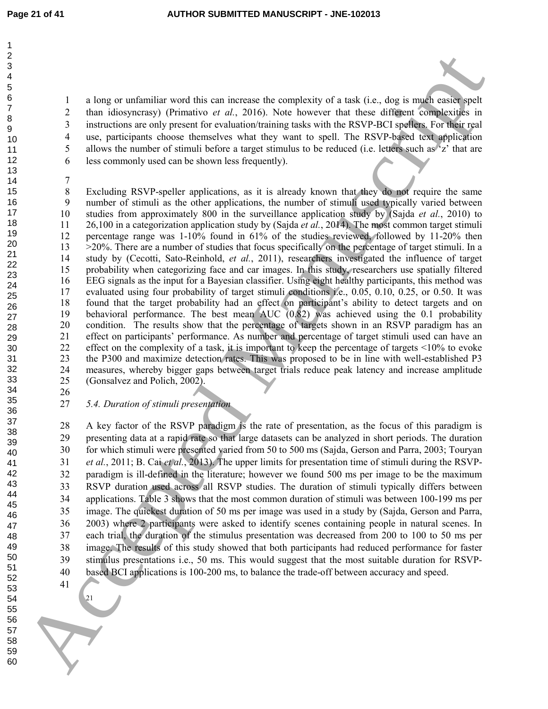1 a long or unfamiliar word this can increase the complexity of a task (i.e., dog is much easier spelt 2 than idiosyncrasy) (Primativo *et al.*, 2016). Note however that these different complexities in 3 instructions are only present for evaluation/training tasks with the RSVP-BCI spellers. For their real 4 use, participants choose themselves what they want to spell. The RSVP-based text application 5 allows the number of stimuli before a target stimulus to be reduced (i.e. letters such as 'z' that are 6 less commonly used can be shown less frequently).

8 Excluding RSVP-speller applications, as it is already known that they do not require the same 9 number of stimuli as the other applications, the number of stimuli used typically varied between studies from approximately 800 in the surveillance application study by (Saida *et al.*, 2010) to studies from approximately 800 in the surveillance application study by (Sajda *et al.*, 2010) to 11 26,100 in a categorization application study by (Sajda *et al.*, 2014). The most common target stimuli 12 percentage range was 1-10% found in 61% of the studies reviewed, followed by 11-20% then  $13 \rightarrow 20\%$ . There are a number of studies that focus specifically on the percentage of target stimuli. In a 14 study by (Cecotti, Sato-Reinhold, *et al.*, 2011), researchers investigated the influence of target 15 probability when categorizing face and car images. In this study, researchers use spatially filtered 16 EEG signals as the input for a Bayesian classifier. Using eight healthy participants, this method was 17 evaluated using four probability of target stimuli conditions i.e., 0.05, 0.10, 0.25, or 0.50. It was 18 found that the target probability had an effect on participant's ability to detect targets and on 19 behavioral performance. The best mean AUC (0.82) was achieved using the 0.1 probability<br>20 condition. The results show that the percentage of targets shown in an RSVP paradigm has an condition. The results show that the percentage of targets shown in an RSVP paradigm has an 21 effect on participants' performance. As number and percentage of target stimuli used can have an 22 effect on the complexity of a task, it is important to keep the percentage of targets <10% to evoke 23 the P300 and maximize detection rates. This was proposed to be in line with well-established P3 24 measures, whereby bigger gaps between target trials reduce peak latency and increase amplitude 25 (Gonsalvez and Polich, 2002). 2 a long or unfamiliar word this can increase the complexity of a unk (i.e., dog is much can get a long of the second manuscript (i.e., dog is much can get a long of the second manuscript (i.e., dog is much can get a long

## *5.4. Duration of stimuli presentation*

28 A key factor of the RSVP paradigm is the rate of presentation, as the focus of this paradigm is 29 presenting data at a rapid rate so that large datasets can be analyzed in short periods. The duration 30 for which stimuli were presented varied from 50 to 500 ms (Sajda, Gerson and Parra, 2003; Touryan *et al.*, 2011; B. Cai *et al.*, 2013). The upper limits for presentation time of stimuli during the RSVP-32 paradigm is ill-defined in the literature; however we found 500 ms per image to be the maximum 33 RSVP duration used across all RSVP studies. The duration of stimuli typically differs between 34 applications. Table 3 shows that the most common duration of stimuli was between 100-199 ms per 35 image. The quickest duration of 50 ms per image was used in a study by (Sajda, Gerson and Parra, 36 2003) where 2 participants were asked to identify scenes containing people in natural scenes. In 37 each trial, the duration of the stimulus presentation was decreased from 200 to 100 to 50 ms per 38 image. The results of this study showed that both participants had reduced performance for faster 39 stimulus presentations i.e., 50 ms. This would suggest that the most suitable duration for RSVP-40 based BCI applications is 100-200 ms, to balance the trade-off between accuracy and speed.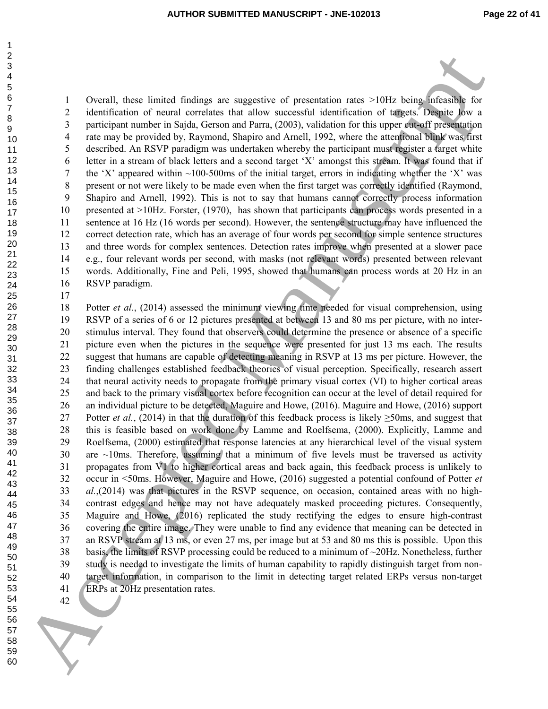1 Overall, these limited findings are suggestive of presentation rates >10Hz being infeasible for 2 identification of neural correlates that allow successful identification of targets. Despite low a 3 participant number in Sajda, Gerson and Parra, (2003), validation for this upper cut-off presentation 4 rate may be provided by, Raymond, Shapiro and Arnell, 1992, where the attentional blink was first 5 described. An RSVP paradigm was undertaken whereby the participant must register a target white 6 letter in a stream of black letters and a second target 'X' amongst this stream. It was found that if 7 the 'X' appeared within  $\sim$ 100-500ms of the initial target, errors in indicating whether the 'X' was 8 present or not were likely to be made even when the first target was correctly identified (Raymond, 9 Shapiro and Arnell, 1992). This is not to say that humans cannot correctly process information 10 presented at >10Hz. Forster, (1970), has shown that participants can process words presented in a 11 sentence at 16 Hz (16 words per second). However, the sentence structure may have influenced the 12 correct detection rate, which has an average of four words per second for simple sentence structures 13 and three words for complex sentences. Detection rates improve when presented at a slower pace 14 e.g., four relevant words per second, with masks (not relevant words) presented between relevant 15 words. Additionally, Fine and Peli, 1995, showed that humans can process words at 20 Hz in an 16 RSVP paradigm.

18 Potter *et al.*, (2014) assessed the minimum viewing time needed for visual comprehension, using 19 RSVP of a series of 6 or 12 pictures presented at between 13 and 80 ms per picture, with no inter-20 stimulus interval. They found that observers could determine the presence or absence of a specific 21 picture even when the pictures in the sequence were presented for just 13 ms each. The results 22 suggest that humans are capable of detecting meaning in RSVP at 13 ms per picture. However, the 23 finding challenges established feedback theories of visual perception. Specifically, research assert 24 that neural activity needs to propagate from the primary visual cortex (VI) to higher cortical areas 25 and back to the primary visual cortex before recognition can occur at the level of detail required for 26 an individual picture to be detected, Maguire and Howe, (2016). Maguire and Howe, (2016) support 27 Potter *et al.*, (2014) in that the duration of this feedback process is likely  $\geq$ 50ms, and suggest that 28 this is feasible based on work done by Lamme and Roelfsema, (2000). Explicitly, Lamme and 29 Roelfsema, (2000) estimated that response latencies at any hierarchical level of the visual system are  $\sim$ 10ms. Therefore, assuming that a minimum of five levels must be traversed as activity 31 propagates from V1 to higher cortical areas and back again, this feedback process is unlikely to 32 occur in <50ms. However, Maguire and Howe, (2016) suggested a potential confound of Potter *et al.*,(2014) was that pictures in the RSVP sequence, on occasion, contained areas with no high-34 contrast edges and hence may not have adequately masked proceeding pictures. Consequently, 35 Maguire and Howe, (2016) replicated the study rectifying the edges to ensure high-contrast 36 covering the entire image. They were unable to find any evidence that meaning can be detected in 37 an RSVP stream at 13 ms, or even 27 ms, per image but at 53 and 80 ms this is possible. Upon this 38 basis, the limits of RSVP processing could be reduced to a minimum of ~20Hz. Nonetheless, further 39 study is needed to investigate the limits of human capability to rapidly distinguish target from non-40 target information, in comparison to the limit in detecting target related ERPs versus non-target 41 ERPs at 20Hz presentation rates. 3<br>
6 Accepted Manuscript and a supposite of protection inter-section in a subject of the section of the section of the section of the section of the section of the section of the section of the section of the section of t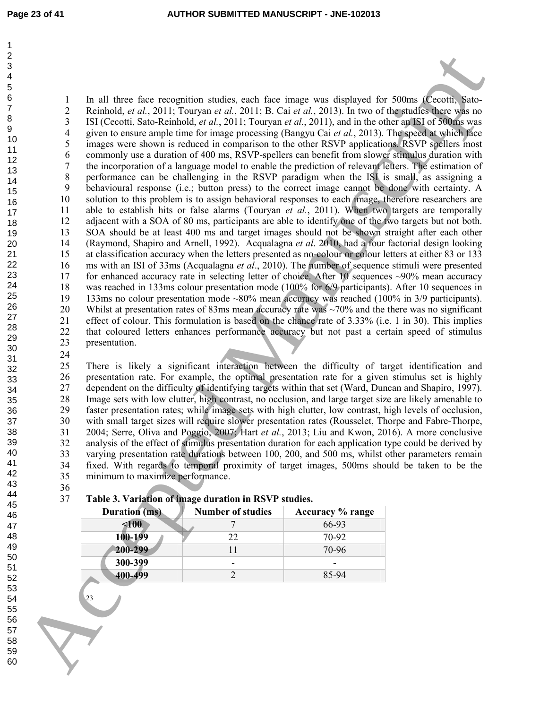1 In all three face recognition studies, each face image was displayed for 500ms (Cecotti, Sato-2 Reinhold, *et al.*, 2011; Touryan *et al.*, 2011; B. Cai *et al.*, 2013). In two of the studies there was no 3 ISI (Cecotti, Sato-Reinhold, *et al.*, 2011; Touryan *et al.*, 2011), and in the other an ISI of 500ms was 4 given to ensure ample time for image processing (Bangyu Cai *et al.*, 2013). The speed at which face images were shown is reduced in comparison to the other RSVP applications. RSVP spellers most 5 images were shown is reduced in comparison to the other RSVP applications. RSVP spellers most 6 commonly use a duration of 400 ms, RSVP-spellers can benefit from slower stimulus duration with 7 the incorporation of a language model to enable the prediction of relevant letters. The estimation of 8 performance can be challenging in the RSVP paradigm when the ISI is small, as assigning a behavioural response (i.e.: button press) to the correct image cannot be done with certainty. A behavioural response (i.e.; button press) to the correct image cannot be done with certainty. A 10 solution to this problem is to assign behavioral responses to each image, therefore researchers are 11 able to establish hits or false alarms (Touryan *et al.*, 2011). When two targets are temporally 12 adjacent with a SOA of 80 ms, participants are able to identify one of the two targets but not both. 13 SOA should be at least 400 ms and target images should not be shown straight after each other 14 (Raymond, Shapiro and Arnell, 1992). Acqualagna *et al*. 2010, had a four factorial design looking 15 at classification accuracy when the letters presented as no-colour or colour letters at either 83 or 133 16 ms with an ISI of 33ms (Acqualagna *et al*., 2010). The number of sequence stimuli were presented 17 for enhanced accuracy rate in selecting letter of choice. After 10 sequences ~90% mean accuracy 18 was reached in 133ms colour presentation mode (100% for 6/9 participants). After 10 sequences in 19 133ms no colour presentation mode ~80% mean accuracy was reached (100% in 3/9 participants). 20 Whilst at presentation rates of 83ms mean accuracy rate was  $\sim$ 70% and the there was no significant effect of colour. This formulation is based on the chance rate of 3.33% (i.e. 1 in 30). This implies effect of colour. This formulation is based on the chance rate of 3.33% (i.e. 1 in 30). This implies 22 that coloured letters enhances performance accuracy but not past a certain speed of stimulus 23 presentation. 3 Accepted Manuscripture states, each for the general states for Steven (fecume Steven (fecume Steven (fecume Steven (fecume Steven (fecume Steven (fecume Steven (fecume Steven (fecume Steven (fecume Steven (fecume Steven

24

25 There is likely a significant interaction between the difficulty of target identification and 26 presentation rate. For example, the optimal presentation rate for a given stimulus set is highly 27 dependent on the difficulty of identifying targets within that set (Ward, Duncan and Shapiro, 1997).<br>28 Image sets with low clutter, high contrast, no occlusion, and large target size are likely amenable to Image sets with low clutter, high contrast, no occlusion, and large target size are likely amenable to 29 faster presentation rates; while image sets with high clutter, low contrast, high levels of occlusion, 30 with small target sizes will require slower presentation rates (Rousselet, Thorpe and Fabre-Thorpe, 31 2004; Serre, Oliva and Poggio, 2007; Hart *et al.*, 2013; Liu and Kwon, 2016). A more conclusive 32 analysis of the effect of stimulus presentation duration for each application type could be derived by 33 varying presentation rate durations between 100, 200, and 500 ms, whilst other parameters remain 34 fixed. With regards to temporal proximity of target images, 500ms should be taken to be the 35 minimum to maximize performance.

36

23

## 37 **Table 3. Variation of image duration in RSVP studies.**

| Duration (ms) | <b>Number of studies</b> | Accuracy % range |
|---------------|--------------------------|------------------|
| < 100         |                          | 66-93            |
| 100-199       | 22.                      | 70-92            |
| 200-299       |                          | 70-96            |
| 300-399       |                          |                  |
| 400-499       |                          | 85-94            |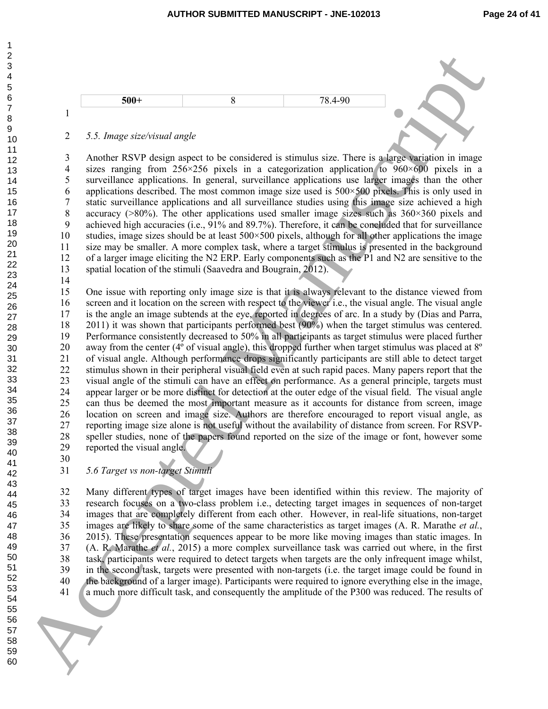

## *5.5. Image size/visual angle*

3 Another RSVP design aspect to be considered is stimulus size. There is a large variation in image 4 sizes ranging from 256×256 pixels in a categorization application to 960×600 pixels in a 5 surveillance applications. In general, surveillance applications use larger images than the other 6 applications described. The most common image size used is  $500 \times 500$  pixels. This is only used in static surveillance applications and all surveillance studies using this image size achieved a high static surveillance applications and all surveillance studies using this image size achieved a high 8 accuracy (>80%). The other applications used smaller image sizes such as  $360 \times 360$  pixels and  $9$  achieved high accuracies (i.e. 91% and  $89.7\%$ ). Therefore it can be concluded that for surveillance 9 achieved high accuracies (i.e., 91% and 89.7%). Therefore, it can be concluded that for surveillance 10 studies, image sizes should be at least  $500 \times 500$  pixels, although for all other applications the image 11 size may be smaller. A more complex task, where a target stimulus is presented in the background 12 of a larger image eliciting the N2 ERP. Early components such as the P1 and N2 are sensitive to the 13 spatial location of the stimuli (Saavedra and Bougrain, 2012).

15 One issue with reporting only image size is that it is always relevant to the distance viewed from 16 screen and it location on the screen with respect to the viewer i.e., the visual angle. The visual angle 17 is the angle an image subtends at the eye, reported in degrees of arc. In a study by (Dias and Parra, 18 2011) it was shown that participants performed best (90%) when the target stimulus was centered. 19 Performance consistently decreased to 50% in all participants as target stimulus were placed further 20 away from the center ( $4^{\circ}$  of visual angle), this dropped further when target stimulus was placed at  $8^{\circ}$ 21 of visual angle. Although performance drops significantly participants are still able to detect target 22 stimulus shown in their peripheral visual field even at such rapid paces. Many papers report that the 23 visual angle of the stimuli can have an effect on performance. As a general principle, targets must 24 appear larger or be more distinct for detection at the outer edge of the visual field. The visual angle 25 can thus be deemed the most important measure as it accounts for distance from screen, image 26 location on screen and image size. Authors are therefore encouraged to report visual angle, as 27 reporting image size alone is not useful without the availability of distance from screen. For RSVP-28 speller studies, none of the papers found reported on the size of the image or font, however some 29 reported the visual angle. 3<br> **50**<br>
60 Accepted Manuscript Symptoms of the considered is simula size. The considered Manuscript Symptoms in the<br>
11 Accepted Manuscript Symptoms of the considered is simula size. There is a proposition in the size of

*5.6 Target vs non-target Stimuli* 

32 Many different types of target images have been identified within this review. The majority of research focuses on a two-class problem i.e., detecting target images in sequences of non-target 33 research focuses on a two-class problem i.e., detecting target images in sequences of non-target 34 images that are completely different from each other. However, in real-life situations, non-target 35 images are likely to share some of the same characteristics as target images (A. R. Marathe *et al.*, 36 2015). These presentation sequences appear to be more like moving images than static images. In 37 (A. R. Marathe *et al.*, 2015) a more complex surveillance task was carried out where, in the first 38 task, participants were required to detect targets when targets are the only infrequent image whilst, 39 in the second task, targets were presented with non-targets (i.e. the target image could be found in 40 the background of a larger image). Participants were required to ignore everything else in the image, 41 a much more difficult task, and consequently the amplitude of the P300 was reduced. The results of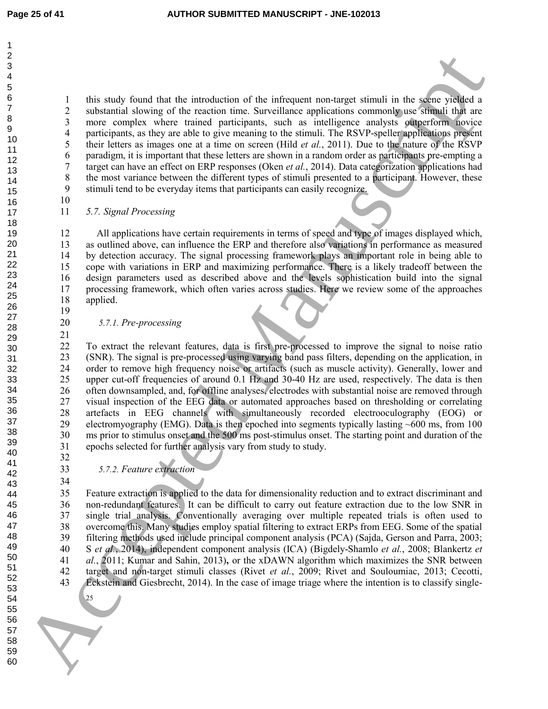1 this study found that the introduction of the infrequent non-target stimuli in the scene yielded a 2 substantial slowing of the reaction time. Surveillance applications commonly use stimuli that are 3 more complex where trained participants, such as intelligence analysts outperform novice<br>4 participants, as they are able to give meaning to the stimuli. The RSVP-speller applications present participants, as they are able to give meaning to the stimuli. The RSVP-speller applications present 5 their letters as images one at a time on screen (Hild *et al.*, 2011). Due to the nature of the RSVP 6 paradigm, it is important that these letters are shown in a random order as participants pre-empting a 7 target can have an effect on ERP responses (Oken *et al.*, 2014). Data categorization applications had 8 the most variance between the different types of stimuli presented to a participant. However, these stimuli tend to be everyday items that participants can easily recognize. stimuli tend to be everyday items that participants can easily recognize. 20 Accepted Manuscript (in the method of the method sympathy strength and the selection of the method sympathy and the method sympathy and the sympathy of the sympathy and the sympathy and the sympathy and the sympathy an

*5.7. Signal Processing* 

12 All applications have certain requirements in terms of speed and type of images displayed which, 13 as outlined above, can influence the ERP and therefore also variations in performance as measured 14 by detection accuracy. The signal processing framework plays an important role in being able to cope with variations in ERP and maximizing performance. There is a likely tradeoff between the 15 cope with variations in ERP and maximizing performance. There is a likely tradeoff between the 16 design parameters used as described above and the levels sophistication build into the signal 17 processing framework, which often varies across studies. Here we review some of the approaches 18 applied.

## *5.7.1. Pre-processing*

22 To extract the relevant features, data is first pre-processed to improve the signal to noise ratio 23 (SNR). The signal is pre-processed using varying band pass filters, depending on the application, in 24 order to remove high frequency noise or artifacts (such as muscle activity). Generally, lower and upper cut-off frequencies of around 0.1 Hz and 30-40 Hz are used, respectively. The data is then upper cut-off frequencies of around 0.1 Hz and 30-40 Hz are used, respectively. The data is then 26 often downsampled, and, for offline analyses, electrodes with substantial noise are removed through 27 visual inspection of the EEG data or automated approaches based on thresholding or correlating 28 artefacts in EEG channels with simultaneously recorded electrooculography (EOG) or electromy electromy (EMG). Data is then enoched into segments typically lasting ~600 ms. from 100 electromyography (EMG). Data is then epoched into segments typically lasting  $~600 \text{ ms}$ , from 100 30 ms prior to stimulus onset and the 500 ms post-stimulus onset. The starting point and duration of the 31 epochs selected for further analysis vary from study to study.

*5.7.2. Feature extraction* 

35 Feature extraction is applied to the data for dimensionality reduction and to extract discriminant and 36 non-redundant features. It can be difficult to carry out feature extraction due to the low SNR in 37 single trial analysis. Conventionally averaging over multiple repeated trials is often used to 38 overcome this. Many studies employ spatial filtering to extract ERPs from EEG. Some of the spatial 39 filtering methods used include principal component analysis (PCA) (Sajda, Gerson and Parra, 2003; 40 S *et al.*, 2014), independent component analysis (ICA) (Bigdely-Shamlo *et al.*, 2008; Blankertz *et al.*, 2011; Kumar and Sahin, 2013)**,** or the xDAWN algorithm which maximizes the SNR between 42 target and non-target stimuli classes (Rivet *et al.*, 2009; Rivet and Souloumiac, 2013; Cecotti, 43 Eckstein and Giesbrecht, 2014). In the case of image triage where the intention is to classify single-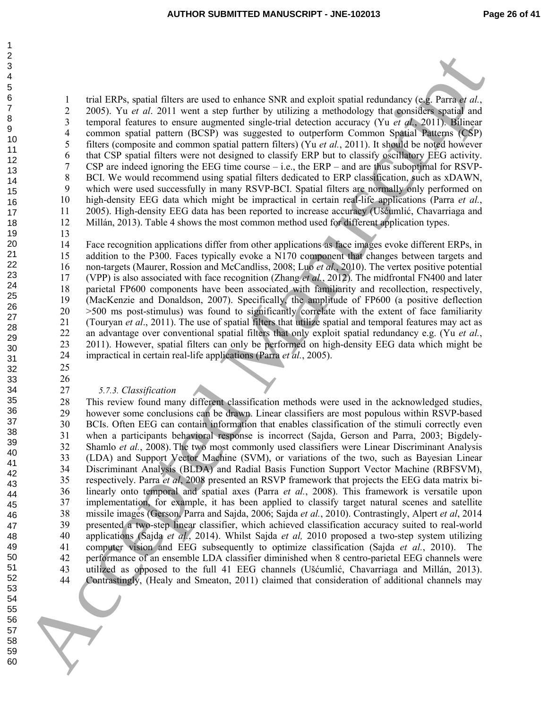1 trial ERPs, spatial filters are used to enhance SNR and exploit spatial redundancy (e.g. Parra *et al.*, 2 2005). Yu *et al*. 2011 went a step further by utilizing a methodology that considers spatial and 3 temporal features to ensure augmented single-trial detection accuracy (Yu *et al.*, 2011). Bilinear<br>4 common spatial pattern (BCSP) was suggested to outperform Common Spatial Patterns (CSP) common spatial pattern (BCSP) was suggested to outperform Common Spatial Patterns (CSP) 5 filters (composite and common spatial pattern filters) (Yu *et al.*, 2011). It should be noted however 6 that CSP spatial filters were not designed to classify ERP but to classify oscillatory EEG activity. 7 CSP are indeed ignoring the EEG time course – i.e., the ERP – and are thus suboptimal for RSVP-8 BCI. We would recommend using spatial filters dedicated to ERP classification, such as xDAWN,<br>9 which were used successfully in many RSVP-BCI. Spatial filters are normally only performed on which were used successfully in many RSVP-BCI. Spatial filters are normally only performed on 10 high-density EEG data which might be impractical in certain real-life applications (Parra *et al.*, 11 2005). High-density EEG data has been reported to increase accuracy (Ušćumlić, Chavarriaga and 12 Millán, 2013). Table 4 shows the most common method used for different application types. 13

14 Face recognition applications differ from other applications as face images evoke different ERPs, in addition to the P300. Faces typically evoke a N170 component that changes between targets and addition to the P300. Faces typically evoke a N170 component that changes between targets and 16 non-targets (Maurer, Rossion and McCandliss, 2008; Luo *et al.*, 2010). The vertex positive potential 17 (VPP) is also associated with face recognition (Zhang *et al.*, 2012). The midfrontal FN400 and later 18 parietal FP600 components have been associated with familiarity and recollection, respectively, 19 (MacKenzie and Donaldson, 2007). Specifically, the amplitude of FP600 (a positive deflection  $20 \rightarrow 500$  ms post-stimulus) was found to significantly correlate with the extent of face familiarity  $>500$  ms post-stimulus) was found to significantly correlate with the extent of face familiarity 21 (Touryan *et al*., 2011). The use of spatial filters that utilize spatial and temporal features may act as 22 an advantage over conventional spatial filters that only exploit spatial redundancy e.g. (Yu *et al.*, 23 2011). However, spatial filters can only be performed on high-density EEG data which might be 24 impractical in certain real-life applications (Parra *et al.*, 2005).

25 26

## 27 *5.7.3. Classification*

28 This review found many different classification methods were used in the acknowledged studies,<br>29 however some conclusions can be drawn. Linear classifiers are most populous within RSVP-based however some conclusions can be drawn. Linear classifiers are most populous within RSVP-based 30 BCIs. Often EEG can contain information that enables classification of the stimuli correctly even 31 when a participants behavioral response is incorrect (Sajda, Gerson and Parra, 2003; Bigdely-32 Shamlo *et al.*, 2008). The two most commonly used classifiers were Linear Discriminant Analysis 33 (LDA) and Support Vector Machine (SVM), or variations of the two, such as Bayesian Linear 34 Discriminant Analysis (BLDA) and Radial Basis Function Support Vector Machine (RBFSVM), 35 respectively. Parra *et al*, 2008 presented an RSVP framework that projects the EEG data matrix bi-36 linearly onto temporal and spatial axes (Parra *et al.*, 2008). This framework is versatile upon 37 implementation, for example, it has been applied to classify target natural scenes and satellite 38 missile images (Gerson, Parra and Sajda, 2006; Sajda *et al.*, 2010). Contrastingly, Alpert *et al*, 2014 39 presented a two-step linear classifier, which achieved classification accuracy suited to real-world 40 applications (Sajda *et al.*, 2014). Whilst Sajda *et al,* 2010 proposed a two-step system utilizing 41 computer vision and EEG subsequently to optimize classification (Sajda *et al.*, 2010). The 42 performance of an ensemble LDA classifier diminished when 8 centro-parietal EEG channels were 43 utilized as opposed to the full 41 EEG channels (Ušćumlić, Chavarriaga and Millán, 2013). 44 Contrastingly, (Healy and Smeaton, 2011) claimed that consideration of additional channels may 20 Accepted Manuscript (Manuscript (Manuscript (Manuscript (Manuscript (Manuscript (Manuscript (Manuscript (Manuscript (Manuscript (Manuscript (Manuscript (Manuscript (Manuscript (Manuscript (Manuscript (Manuscript (Manus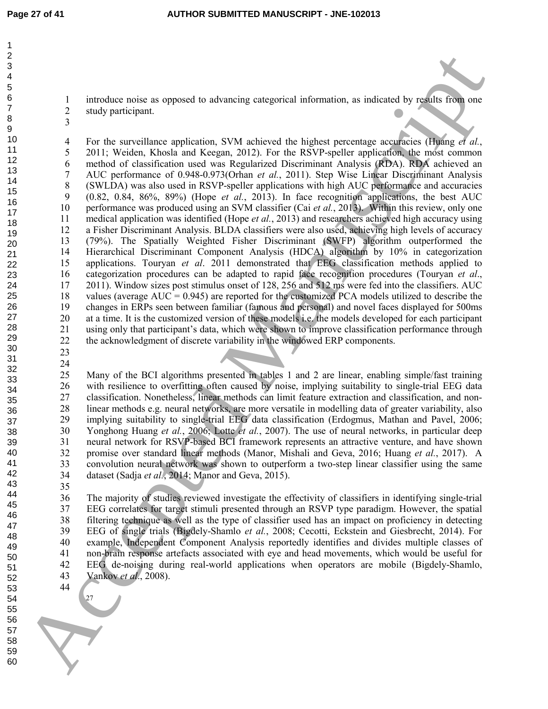1 introduce noise as opposed to advancing categorical information, as indicated by results from one 2 study participant.

4 For the surveillance application, SVM achieved the highest percentage accuracies (Huang *et al.*, 2011; Weiden, Khosla and Keegan, 2012). For the RSVP-speller application, the most common 5 2011; Weiden, Khosla and Keegan, 2012). For the RSVP-speller application, the most common 6 method of classification used was Regularized Discriminant Analysis (RDA). RDA achieved an 7 AUC performance of 0.948-0.973(Orhan *et al.*, 2011). Step Wise Linear Discriminant Analysis 8 (SWLDA) was also used in RSVP-speller applications with high AUC performance and accuracies<br>9 (0.82, 0.84, 86% 89%) (Hope *et al.* 2013) In face recognition applications, the best AUC 9 (0.82, 0.84, 86%, 89%) (Hope *et al.*, 2013). In face recognition applications, the best AUC performance was produced using an SVM classifier (Cai *et al.*, 2013). Within this review, only one 11 medical application was identified (Hope *et al.*, 2013) and researchers achieved high accuracy using 12 a Fisher Discriminant Analysis. BLDA classifiers were also used, achieving high levels of accuracy 13 (79%). The Spatially Weighted Fisher Discriminant (SWFP) algorithm outperformed the 14 Hierarchical Discriminant Component Analysis (HDCA) algorithm by 10% in categorization 15 applications. Touryan *et al*. 2011 demonstrated that EEG classification methods applied to 16 categorization procedures can be adapted to rapid face recognition procedures (Touryan *et al*., 17 2011). Window sizes post stimulus onset of 128, 256 and 512 ms were fed into the classifiers. AUC 18 values (average  $AUC = 0.945$ ) are reported for the customized PCA models utilized to describe the changes in ERPs seen between familiar (famous and personal) and novel faces displayed for 500ms changes in ERPs seen between familiar (famous and personal) and novel faces displayed for 500ms 20 at a time. It is the customized version of these models i.e. the models developed for each participant 21 using only that participant's data, which were shown to improve classification performance through 22 the acknowledgment of discrete variability in the windowed ERP components. 2 A metricial response to distinctive contention information, as withdraw by regular finding and<br>
2 Accepted Manuscriptics and Solvential information and Manuscriptics and Manuscriptics and<br>
2 Accepted Manuscriptics and S

 

> 25 Many of the BCI algorithms presented in tables 1 and 2 are linear, enabling simple/fast training 26 with resilience to overfitting often caused by noise, implying suitability to single-trial EEG data 27 classification. Nonetheless, linear methods can limit feature extraction and classification, and non-28 linear methods e.g. neural networks, are more versatile in modelling data of greater variability, also 29 implying suitability to single-trial EEG data classification (Erdogmus, Mathan and Pavel, 2006; 30 Yonghong Huang *et al.*, 2006; Lotte *et al.*, 2007). The use of neural networks, in particular deep 31 neural network for RSVP-based BCI framework represents an attractive venture, and have shown 32 promise over standard linear methods (Manor, Mishali and Geva, 2016; Huang *et al.*, 2017). A 33 convolution neural network was shown to outperform a two-step linear classifier using the same 34 dataset (Sadja *et al.*, 2014; Manor and Geva, 2015).

> 36 The majority of studies reviewed investigate the effectivity of classifiers in identifying single-trial 37 EEG correlates for target stimuli presented through an RSVP type paradigm. However, the spatial 38 filtering technique as well as the type of classifier used has an impact on proficiency in detecting 39 EEG of single trials (Bigdely-Shamlo *et al.*, 2008; Cecotti, Eckstein and Giesbrecht, 2014). For 40 example, Independent Component Analysis reportedly identifies and divides multiple classes of 41 non-brain response artefacts associated with eye and head movements, which would be useful for 42 EEG de-noising during real-world applications when operators are mobile (Bigdely-Shamlo, 43 Vankov *et al*., 2008).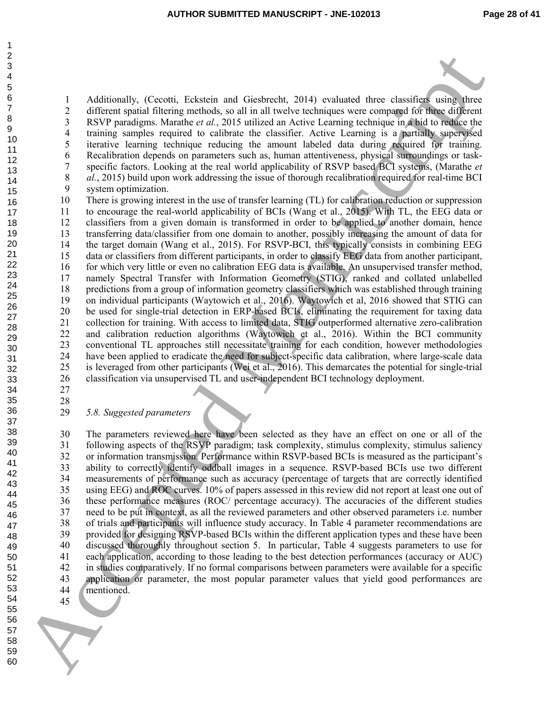1 Additionally, (Cecotti, Eckstein and Giesbrecht, 2014) evaluated three classifiers using three 2 different spatial filtering methods, so all in all twelve techniques were compared for three different 3 RSVP paradigms. Marathe *et al.*, 2015 utilized an Active Learning technique in a bid to reduce the 4 training samples required to calibrate the classifier. Active Learning is a partially supervised 5 iterative learning technique reducing the amount labeled data during required for training. 6 Recalibration depends on parameters such as, human attentiveness, physical surroundings or task-7 specific factors. Looking at the real world applicability of RSVP based BCI systems, (Marathe *et*  8 *al.*, 2015) build upon work addressing the issue of thorough recalibration required for real-time BCI<br>9 system optimization. system optimization.

10 There is growing interest in the use of transfer learning (TL) for calibration reduction or suppression 11 to encourage the real-world applicability of BCIs (Wang et al., 2015). With TL, the EEG data or 12 classifiers from a given domain is transformed in order to be applied to another domain, hence 13 transferring data/classifier from one domain to another, possibly increasing the amount of data for 14 the target domain (Wang et al., 2015). For RSVP-BCI, this typically consists in combining EEG 15 data or classifiers from different participants, in order to classify EEG data from another participant, 16 for which very little or even no calibration EEG data is available. An unsupervised transfer method, 17 namely Spectral Transfer with Information Geometry (STIG), ranked and collated unlabelled 18 predictions from a group of information geometry classifiers which was established through training 19 on individual participants (Waytowich et al., 2016). Waytowich et al, 2016 showed that STIG can 20 be used for single-trial detection in ERP-based BCIs, eliminating the requirement for taxing data 21 collection for training. With access to limited data, STIG outperformed alternative zero-calibration 22 and calibration reduction algorithms (Waytowich et al., 2016). Within the BCI community 23 conventional TL approaches still necessitate training for each condition, however methodologies 24 have been applied to eradicate the need for subject-specific data calibration, where large-scale data 25 is leveraged from other participants (Wei et al., 2016). This demarcates the potential for single-trial 26 classification via unsupervised TL and user-independent BCI technology deployment. 24<br>
40 Actionweily, (Canot), Fictures and Giveleschi, 20:43 evoluted three classifies (now present<br>
26 Accepted Manuscript (now present to contrast the contrast of the contrast of the contrast of the contrast<br>
26 Accepted

27 28

## 29 *5.8. Suggested parameters*

30 The parameters reviewed here have been selected as they have an effect on one or all of the 31 following aspects of the RSVP paradigm; task complexity, stimulus complexity, stimulus saliency 32 or information transmission. Performance within RSVP-based BCIs is measured as the participant's ability to correctly identify oddball images in a sequence. RSVP-based BCIs use two different ability to correctly identify oddball images in a sequence. RSVP-based BCIs use two different 34 measurements of performance such as accuracy (percentage of targets that are correctly identified 35 using EEG) and ROC curves. 10% of papers assessed in this review did not report at least one out of 36 these performance measures (ROC/ percentage accuracy). The accuracies of the different studies 37 need to be put in context, as all the reviewed parameters and other observed parameters i.e. number 38 of trials and participants will influence study accuracy. In Table 4 parameter recommendations are 39 provided for designing RSVP-based BCIs within the different application types and these have been 40 discussed thoroughly throughout section 5. In particular, Table 4 suggests parameters to use for 41 each application, according to those leading to the best detection performances (accuracy or AUC) 42 in studies comparatively. If no formal comparisons between parameters were available for a specific 43 application or parameter, the most popular parameter values that yield good performances are 44 mentioned.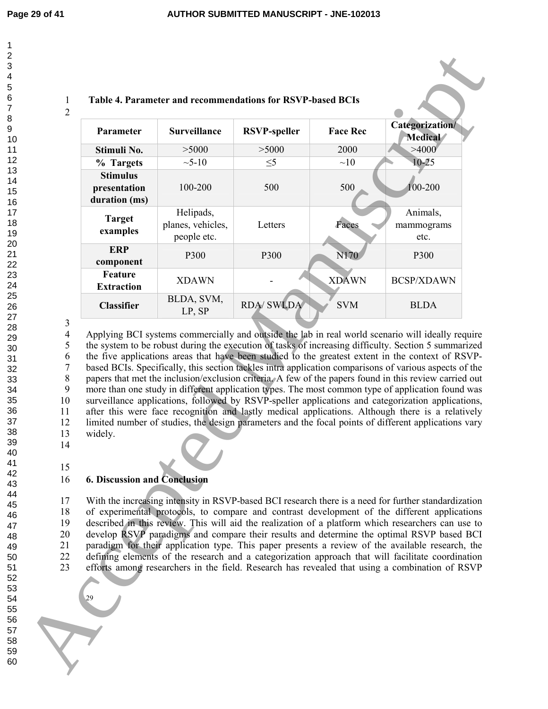| 1              |  |
|----------------|--|
| $\overline{c}$ |  |
|                |  |
| 3<br>4         |  |
|                |  |
| 5<br>6         |  |
|                |  |
|                |  |
|                |  |
|                |  |
|                |  |
|                |  |
|                |  |
|                |  |
|                |  |
|                |  |
|                |  |
|                |  |
|                |  |
|                |  |
|                |  |
|                |  |
|                |  |
|                |  |
|                |  |
|                |  |
|                |  |
|                |  |
|                |  |
|                |  |
|                |  |
|                |  |
|                |  |
|                |  |
|                |  |
|                |  |
|                |  |
|                |  |
|                |  |
|                |  |
|                |  |
|                |  |
| 38             |  |
| 39             |  |
| 40             |  |
|                |  |
| 41             |  |
| 42             |  |
| 43             |  |
| 44             |  |
| 45             |  |
| 46             |  |
| 47             |  |
|                |  |
| 48             |  |
| 49             |  |
| 50             |  |
| 51             |  |
| 52             |  |
| 53             |  |
| 54             |  |
|                |  |
| 55             |  |

| Table 4. Parameter and recommendations for RSVP-based BCIs |
|------------------------------------------------------------|
|                                                            |

| $\mathbf{1}$<br>$\overline{2}$                                             |                                         |                      | Table 4. Parameter and recommendations for RSVP-based BCIs                                                                                                                                                                                                                                                                                                                                                                                                                                                                                                                                                                              |                 |                                          |
|----------------------------------------------------------------------------|-----------------------------------------|----------------------|-----------------------------------------------------------------------------------------------------------------------------------------------------------------------------------------------------------------------------------------------------------------------------------------------------------------------------------------------------------------------------------------------------------------------------------------------------------------------------------------------------------------------------------------------------------------------------------------------------------------------------------------|-----------------|------------------------------------------|
|                                                                            | Parameter                               | <b>Surveillance</b>  | <b>RSVP-speller</b>                                                                                                                                                                                                                                                                                                                                                                                                                                                                                                                                                                                                                     | <b>Face Rec</b> | <b>Categorization/</b><br><b>Medical</b> |
|                                                                            | Stimuli No.                             | > 5000               | > 5000                                                                                                                                                                                                                                                                                                                                                                                                                                                                                                                                                                                                                                  | 2000            | >4000                                    |
|                                                                            | % Targets                               | $~5 - 10$            | $\leq 5$                                                                                                                                                                                                                                                                                                                                                                                                                                                                                                                                                                                                                                | ~10             | $10 - 25$                                |
|                                                                            | <b>Stimulus</b>                         |                      |                                                                                                                                                                                                                                                                                                                                                                                                                                                                                                                                                                                                                                         |                 |                                          |
|                                                                            | presentation                            | 100-200              | 500                                                                                                                                                                                                                                                                                                                                                                                                                                                                                                                                                                                                                                     | 500             | 100-200                                  |
|                                                                            | duration (ms)                           |                      |                                                                                                                                                                                                                                                                                                                                                                                                                                                                                                                                                                                                                                         |                 |                                          |
|                                                                            | <b>Target</b>                           | Helipads,            |                                                                                                                                                                                                                                                                                                                                                                                                                                                                                                                                                                                                                                         |                 | Animals,                                 |
|                                                                            | examples                                | planes, vehicles,    | Letters                                                                                                                                                                                                                                                                                                                                                                                                                                                                                                                                                                                                                                 | Faces           | mammograms                               |
|                                                                            |                                         | people etc.          |                                                                                                                                                                                                                                                                                                                                                                                                                                                                                                                                                                                                                                         |                 | etc.                                     |
|                                                                            | <b>ERP</b>                              | P300                 | P300                                                                                                                                                                                                                                                                                                                                                                                                                                                                                                                                                                                                                                    | N170            | P300                                     |
|                                                                            | component                               |                      |                                                                                                                                                                                                                                                                                                                                                                                                                                                                                                                                                                                                                                         |                 |                                          |
|                                                                            | Feature<br><b>Extraction</b>            | <b>XDAWN</b>         |                                                                                                                                                                                                                                                                                                                                                                                                                                                                                                                                                                                                                                         | <b>XDAWN</b>    | <b>BCSP/XDAWN</b>                        |
|                                                                            | Classifier                              | BLDA, SVM,<br>LP, SP | <b>RDA/SWLDA</b>                                                                                                                                                                                                                                                                                                                                                                                                                                                                                                                                                                                                                        | <b>SVM</b>      | <b>BLDA</b>                              |
| 3<br>4<br>5<br>6<br>7<br>8<br>9<br>10                                      |                                         |                      | Applying BCI systems commercially and outside the lab in real world scenario will ideally require<br>the system to be robust during the execution of tasks of increasing difficulty. Section 5 summarized<br>the five applications areas that have been studied to the greatest extent in the context of RSVP-<br>based BCIs. Specifically, this section tackles intra application comparisons of various aspects of the<br>papers that met the inclusion/exclusion criteria. A few of the papers found in this review carried out<br>more than one study in different application types. The most common type of application found was |                 |                                          |
|                                                                            | widely.<br>6. Discussion and Conclusion |                      | surveillance applications, followed by RSVP-speller applications and categorization applications,<br>after this were face recognition and lastly medical applications. Although there is a relatively<br>limited number of studies, the design parameters and the focal points of different applications vary                                                                                                                                                                                                                                                                                                                           |                 |                                          |
|                                                                            |                                         |                      |                                                                                                                                                                                                                                                                                                                                                                                                                                                                                                                                                                                                                                         |                 |                                          |
|                                                                            |                                         |                      | With the increasing intensity in RSVP-based BCI research there is a need for further standardization                                                                                                                                                                                                                                                                                                                                                                                                                                                                                                                                    |                 |                                          |
|                                                                            |                                         |                      | of experimental protocols, to compare and contrast development of the different applications                                                                                                                                                                                                                                                                                                                                                                                                                                                                                                                                            |                 |                                          |
|                                                                            |                                         |                      | described in this review. This will aid the realization of a platform which researchers can use to<br>develop RSVP paradigms and compare their results and determine the optimal RSVP based BCI                                                                                                                                                                                                                                                                                                                                                                                                                                         |                 |                                          |
|                                                                            |                                         |                      | paradigm for their application type. This paper presents a review of the available research, the                                                                                                                                                                                                                                                                                                                                                                                                                                                                                                                                        |                 |                                          |
|                                                                            |                                         |                      | defining elements of the research and a categorization approach that will facilitate coordination                                                                                                                                                                                                                                                                                                                                                                                                                                                                                                                                       |                 |                                          |
| 11<br>12<br>13<br>14<br>15<br>16<br>17<br>18<br>19<br>20<br>21<br>22<br>23 |                                         |                      | efforts among researchers in the field. Research has revealed that using a combination of RSVP                                                                                                                                                                                                                                                                                                                                                                                                                                                                                                                                          |                 |                                          |
|                                                                            | 29                                      |                      |                                                                                                                                                                                                                                                                                                                                                                                                                                                                                                                                                                                                                                         |                 |                                          |
|                                                                            |                                         |                      |                                                                                                                                                                                                                                                                                                                                                                                                                                                                                                                                                                                                                                         |                 |                                          |
|                                                                            |                                         |                      |                                                                                                                                                                                                                                                                                                                                                                                                                                                                                                                                                                                                                                         |                 |                                          |

## **6. Discussion and Conclusion**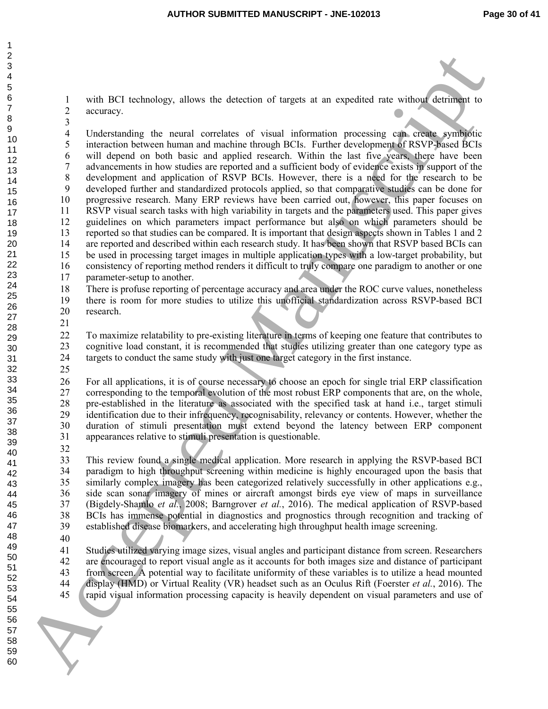1 with BCI technology, allows the detection of targets at an expedited rate without detriment to 2 accuracy.

4 Understanding the neural correlates of visual information processing can create symbiotic<br>5 interaction between human and machine through BCIs. Further development of RSVP-based BCIs interaction between human and machine through BCIs. Further development of RSVP-based BCIs 6 will depend on both basic and applied research. Within the last five years, there have been 7 advancements in how studies are reported and a sufficient body of evidence exists in support of the 8 development and application of RSVP BCIs. However, there is a need for the research to be developed further and standardized protocols applied, so that comparative studies can be done for developed further and standardized protocols applied, so that comparative studies can be done for 10 progressive research. Many ERP reviews have been carried out, however, this paper focuses on 11 RSVP visual search tasks with high variability in targets and the parameters used. This paper gives 12 guidelines on which parameters impact performance but also on which parameters should be 13 reported so that studies can be compared. It is important that design aspects shown in Tables 1 and 2 14 are reported and described within each research study. It has been shown that RSVP based BCIs can 15 be used in processing target images in multiple application types with a low-target probability, but 16 consistency of reporting method renders it difficult to truly compare one paradigm to another or one 17 parameter-setup to another. 2<br>
1 with RCI technology, allows the detector of largets at an expedited rate within determined to<br>
1 function the control of the same control of visual and manuscript control of the same control of the same control of th

18 There is profuse reporting of percentage accuracy and area under the ROC curve values, nonetheless 19 there is room for more studies to utilize this unofficial standardization across RSVP-based BCI<br>20 research. research.

22 To maximize relatability to pre-existing literature in terms of keeping one feature that contributes to 23 cognitive load constant, it is recommended that studies utilizing greater than one category type as 24 targets to conduct the same study with just one target category in the first instance. 

26 For all applications, it is of course necessary to choose an epoch for single trial ERP classification 27 corresponding to the temporal evolution of the most robust ERP components that are, on the whole,<br>28 pre-established in the literature as associated with the specified task at hand i.e., target stimuli 28 pre-established in the literature as associated with the specified task at hand i.e., target stimuli 29 identification due to their infrequency, recognisability, relevancy or contents. However, whether the 30 duration of stimuli presentation must extend beyond the latency between ERP component 31 appearances relative to stimuli presentation is questionable.

33 This review found a single medical application. More research in applying the RSVP-based BCI 34 paradigm to high throughput screening within medicine is highly encouraged upon the basis that 35 similarly complex imagery has been categorized relatively successfully in other applications e.g., 36 side scan sonar imagery of mines or aircraft amongst birds eye view of maps in surveillance 37 (Bigdely-Shamlo *et al.*, 2008; Barngrover *et al.*, 2016). The medical application of RSVP-based 38 BCIs has immense potential in diagnostics and prognostics through recognition and tracking of 39 established disease biomarkers, and accelerating high throughput health image screening. 

41 Studies utilized varying image sizes, visual angles and participant distance from screen. Researchers<br>42 are encouraged to report visual angle as it accounts for both images size and distance of participant are encouraged to report visual angle as it accounts for both images size and distance of participant 43 from screen. A potential way to facilitate uniformity of these variables is to utilize a head mounted 44 display (HMD) or Virtual Reality (VR) headset such as an Oculus Rift (Foerster *et al.*, 2016). The 45 rapid visual information processing capacity is heavily dependent on visual parameters and use of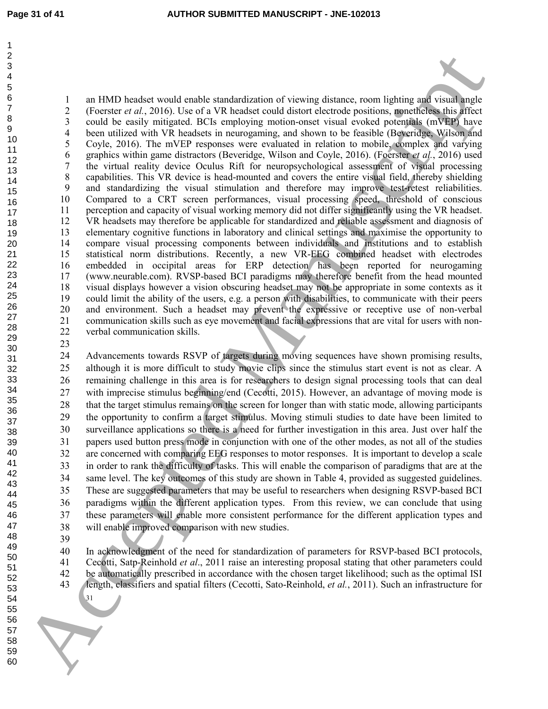1 an HMD headset would enable standardization of viewing distance, room lighting and visual angle 2 (Foerster *et al.*, 2016). Use of a VR headset could distort electrode positions, nonetheless this affect 3 could be easily mitigated. BCIs employing motion-onset visual evoked potentials (mVEP) have 4 been utilized with VR headsets in neurogaming, and shown to be feasible (Beveridge, Wilson and<br>5 Coyle, 2016). The mVEP responses were evaluated in relation to mobile, complex and varying 5 Coyle, 2016). The mVEP responses were evaluated in relation to mobile, complex and varying 6 graphics within game distractors (Beveridge, Wilson and Coyle, 2016). (Foerster *et al.*, 2016) used 7 the virtual reality device Oculus Rift for neuropsychological assessment of visual processing 8 capabilities. This VR device is head-mounted and covers the entire visual field, thereby shielding<br>9 and standardizing the visual stimulation and therefore may improve test-retest reliabilities. and standardizing the visual stimulation and therefore may improve test-retest reliabilities. 10 Compared to a CRT screen performances, visual processing speed, threshold of conscious 11 perception and capacity of visual working memory did not differ significantly using the VR headset. 12 VR headsets may therefore be applicable for standardized and reliable assessment and diagnosis of 13 elementary cognitive functions in laboratory and clinical settings and maximise the opportunity to 14 compare visual processing components between individuals and institutions and to establish 15 statistical norm distributions. Recently, a new VR-EEG combined headset with electrodes 16 embedded in occipital areas for ERP detection has been reported for neurogaming 17 (www.neurable.com). RVSP-based BCI paradigms may therefore benefit from the head mounted 18 visual displays however a vision obscuring headset may not be appropriate in some contexts as it 19 could limit the ability of the users, e.g. a person with disabilities, to communicate with their peers 20 and environment. Such a headset may prevent the expressive or receptive use of non-verbal<br>21 communication skills such as eve movement and facial expressions that are vital for users with noncommunication skills such as eye movement and facial expressions that are vital for users with non-22 verbal communication skills. 23 20<br>
1 and HVD besides would are ble standard zero of viewing desires, cover by the galaxies and consideration<br>
20 Accepted Manuscript (A) and SU Realistic Standard SU Realistic Standard SU Realistic Standard SU Realistic<br>

24 Advancements towards RSVP of targets during moving sequences have shown promising results, 25 although it is more difficult to study movie clips since the stimulus start event is not as clear. A 26 remaining challenge in this area is for researchers to design signal processing tools that can deal 27 with imprecise stimulus beginning/end (Cecotti, 2015). However, an advantage of moving mode is 28 that the target stimulus remains on the screen for longer than with static mode, allowing participants 29 the opportunity to confirm a target stimulus. Moving stimuli studies to date have been limited to 30 surveillance applications so there is a need for further investigation in this area. Just over half the 31 papers used button press mode in conjunction with one of the other modes, as not all of the studies 32 are concerned with comparing EEG responses to motor responses. It is important to develop a scale 33 in order to rank the difficulty of tasks. This will enable the comparison of paradigms that are at the 34 same level. The key outcomes of this study are shown in Table 4, provided as suggested guidelines. 35 These are suggested parameters that may be useful to researchers when designing RSVP-based BCI 36 paradigms within the different application types. From this review, we can conclude that using 37 these parameters will enable more consistent performance for the different application types and 38 will enable improved comparison with new studies.

40 In acknowledgment of the need for standardization of parameters for RSVP-based BCI protocols, 41 Cecotti, Satp-Reinhold *et al.*, 2011 raise an interesting proposal stating that other parameters could<br>42 be automatically prescribed in accordance with the chosen target likelihood: such as the optimal ISI 42 be automatically prescribed in accordance with the chosen target likelihood; such as the optimal ISI 43 length, classifiers and spatial filters (Cecotti, Sato-Reinhold, *et al.*, 2011). Such an infrastructure for

31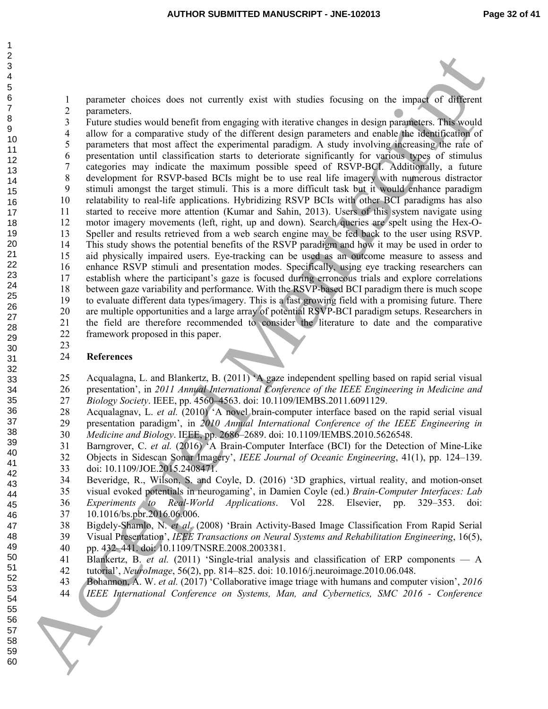1 parameter choices does not currently exist with studies focusing on the impact of different 2 parameters.

3 Future studies would benefit from engaging with iterative changes in design parameters. This would 4 allow for a comparative study of the different design parameters and enable the identification of 5 parameters that most affect the experimental paradigm. A study involving increasing the rate of 6 presentation until classification starts to deteriorate significantly for various types of stimulus 7 categories may indicate the maximum possible speed of RSVP-BCI. Additionally, a future 8 development for RSVP-based BCIs might be to use real life imagery with numerous distractor<br>9 stimuli amongst the target stimuli. This is a more difficult task but it would enhance paradigm stimuli amongst the target stimuli. This is a more difficult task but it would enhance paradigm 10 relatability to real-life applications. Hybridizing RSVP BCIs with other BCI paradigms has also 11 started to receive more attention (Kumar and Sahin, 2013). Users of this system navigate using 12 motor imagery movements (left, right, up and down). Search queries are spelt using the Hex-O-13 Speller and results retrieved from a web search engine may be fed back to the user using RSVP. 14 This study shows the potential benefits of the RSVP paradigm and how it may be used in order to 15 aid physically impaired users. Eye-tracking can be used as an outcome measure to assess and 16 enhance RSVP stimuli and presentation modes. Specifically, using eye tracking researchers can 17 establish where the participant's gaze is focused during erroneous trials and explore correlations 18 between gaze variability and performance. With the RSVP-based BCI paradigm there is much scope 19 to evaluate different data types/imagery. This is a fast growing field with a promising future. There 20 are multiple opportunities and a large array of potential RSVP-BCI paradigm setups. Researchers in 21 the field are therefore recommended to consider the literature to date and the comparative 22 framework proposed in this paper. 24<br>
1 parameter chosens (since red unternally event with studies forcing on the internal of different<br>
26 Accepted Manuscript (since the comparative radio of the different change parameter and complete Change (since the c

## **References**

25 Acqualagna, L. and Blankertz, B. (2011) 'A gaze independent spelling based on rapid serial visual 26 presentation', in *2011 Annual International Conference of the IEEE Engineering in Medicine and Biology Society*. IEEE, pp. 4560–4563. doi: 10.1109/IEMBS.2011.6091129.

28 Acqualagnav, L. *et al.* (2010) 'A novel brain-computer interface based on the rapid serial visual

- 29 presentation paradigm', in *2010 Annual International Conference of the IEEE Engineering in Medicine and Biology*. IEEE, pp. 2686–2689. doi: 10.1109/IEMBS.2010.5626548.
- 31 Barngrover, C. *et al.* (2016) 'A Brain-Computer Interface (BCI) for the Detection of Mine-Like
- 32 Objects in Sidescan Sonar Imagery', *IEEE Journal of Oceanic Engineering*, 41(1), pp. 124–139. 33 doi: 10.1109/JOE.2015.2408471.
- 34 Beveridge, R., Wilson, S. and Coyle, D. (2016) '3D graphics, virtual reality, and motion-onset 35 visual evoked potentials in neurogaming', in Damien Coyle (ed.) *Brain-Computer Interfaces: Lab Experiments to Real-World Applications*. Vol 228. Elsevier, pp. 329–353. doi:
- 37 10.1016/bs.pbr.2016.06.006.
- 38 Bigdely-Shamlo, N. *et al.* (2008) 'Brain Activity-Based Image Classification From Rapid Serial 39 Visual Presentation', *IEEE Transactions on Neural Systems and Rehabilitation Engineering*, 16(5), 40 pp. 432–441. doi: 10.1109/TNSRE.2008.2003381.
- 41 Blankertz, B. *et al.* (2011) 'Single-trial analysis and classification of ERP components A 42 tutorial', *NeuroImage*, 56(2), pp. 814–825. doi: 10.1016/j.neuroimage.2010.06.048.
- 43 Bohannon, A. W. *et al.* (2017) 'Collaborative image triage with humans and computer vision', *2016*
- *IEEE International Conference on Systems, Man, and Cybernetics, SMC 2016 Conference*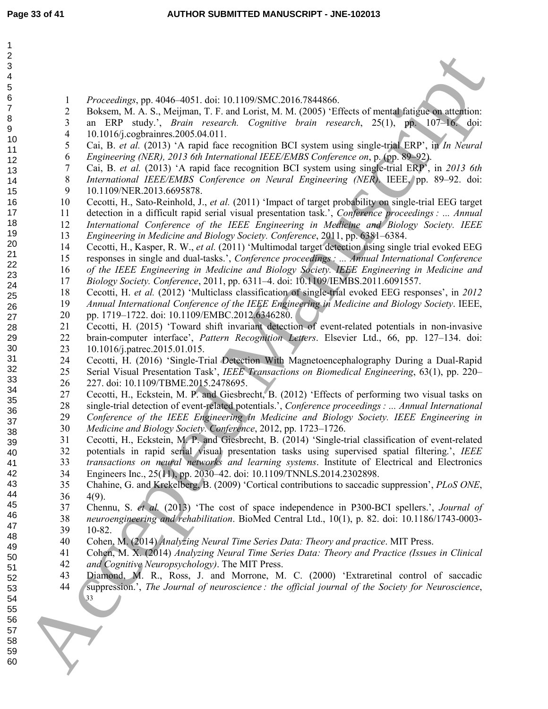*Proceedings*, pp. 4046–4051. doi: 10.1109/SMC.2016.7844866. 2 Boksem, M. A. S., Meijman, T. F. and Lorist, M. M. (2005) 'Effects of mental fatigue on attention: 3 an ERP study.', *Brain research. Cognitive brain research*, 25(1), pp. 107–16. doi: 4 10.1016/j.cogbrainres.2005.04.011. 5 Cai, B. *et al.* (2013) 'A rapid face recognition BCI system using single-trial ERP', in *In Neural Engineering (NER), 2013 6th International IEEE/EMBS Conference on*, p. (pp. 89–92). 7 Cai, B. *et al.* (2013) 'A rapid face recognition BCI system using single-trial ERP', in *2013 6th International IEEE/EMBS Conference on Neural Engineering (NER)*. IEEE, pp. 89–92. doi: 9 10.1109/NER.2013.6695878. 10 Cecotti, H., Sato-Reinhold, J., *et al.* (2011) 'Impact of target probability on single-trial EEG target 11 detection in a difficult rapid serial visual presentation task.', *Conference proceedings : ... Annual International Conference of the IEEE Engineering in Medicine and Biology Society. IEEE Engineering in Medicine and Biology Society. Conference*, 2011, pp. 6381–6384. 14 Cecotti, H., Kasper, R. W., *et al.* (2011) 'Multimodal target detection using single trial evoked EEG 15 responses in single and dual-tasks.', *Conference proceedings : ... Annual International Conference of the IEEE Engineering in Medicine and Biology Society. IEEE Engineering in Medicine and Biology Society. Conference*, 2011, pp. 6311–4. doi: 10.1109/IEMBS.2011.6091557. 18 Cecotti, H. *et al.* (2012) 'Multiclass classification of single-trial evoked EEG responses', in *2012 Annual International Conference of the IEEE Engineering in Medicine and Biology Society*. IEEE, 20 pp. 1719–1722. doi: 10.1109/EMBC.2012.6346280. 21 Cecotti, H. (2015) 'Toward shift invariant detection of event-related potentials in non-invasive 22 brain-computer interface', *Pattern Recognition Letters*. Elsevier Ltd., 66, pp. 127–134. doi: 23 10.1016/j.patrec.2015.01.015. 24 Cecotti, H. (2016) 'Single-Trial Detection With Magnetoencephalography During a Dual-Rapid 25 Serial Visual Presentation Task', *IEEE Transactions on Biomedical Engineering*, 63(1), pp. 220– 26 227. doi: 10.1109/TBME.2015.2478695. 27 Cecotti, H., Eckstein, M. P. and Giesbrecht, B. (2012) 'Effects of performing two visual tasks on 28 single-trial detection of event-related potentials.', *Conference proceedings : ... Annual International Conference of the IEEE Engineering in Medicine and Biology Society. IEEE Engineering in Medicine and Biology Society. Conference*, 2012, pp. 1723–1726. 31 Cecotti, H., Eckstein, M. P. and Giesbrecht, B. (2014) 'Single-trial classification of event-related 32 potentials in rapid serial visual presentation tasks using supervised spatial filtering.', *IEEE transactions on neural networks and learning systems*. Institute of Electrical and Electronics 34 Engineers Inc., 25(11), pp. 2030–42. doi: 10.1109/TNNLS.2014.2302898. 35 Chahine, G. and Krekelberg, B. (2009) 'Cortical contributions to saccadic suppression', *PLoS ONE*, 36 4(9). 37 Chennu, S. *et al.* (2013) 'The cost of space independence in P300-BCI spellers.', *Journal of neuroengineering and rehabilitation*. BioMed Central Ltd., 10(1), p. 82. doi: 10.1186/1743-0003- 39 10-82. 40 Cohen, M. (2014) *Analyzing Neural Time Series Data: Theory and practice*. MIT Press. 41 Cohen, M. X. (2014) *Analyzing Neural Time Series Data: Theory and Practice (Issues in Clinical and Cognitive Neuropsychology)*. The MIT Press. 43 Diamond, M. R., Ross, J. and Morrone, M. C. (2000) 'Extraretinal control of saccadic 44 suppression.', *The Journal of neuroscience : the official journal of the Society for Neuroscience*, 2 Accepted Manuscript Content Content Content Content Content Content Content Content Content Content Content Content Content Content Content Content Content Content Content Content Content Content Content Content Content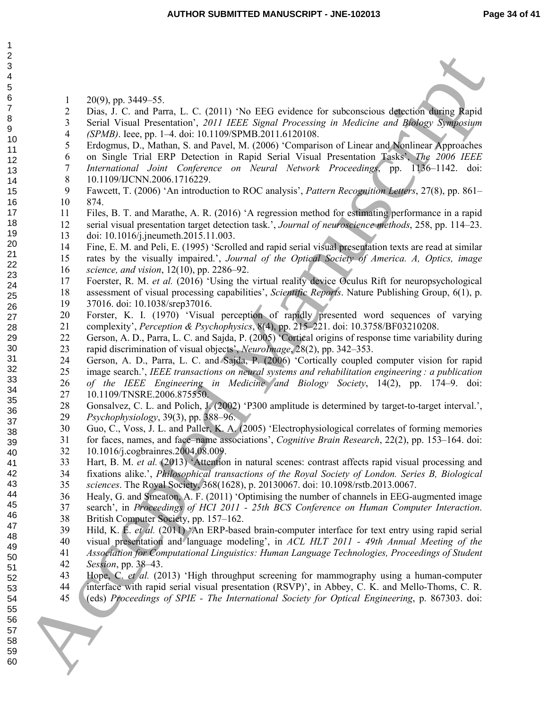- $1 \quad 20(9)$ , pp. 3449–55.
- 2 Dias, J. C. and Parra, L. C. (2011) 'No EEG evidence for subconscious detection during Rapid
- 3 Serial Visual Presentation', *2011 IEEE Signal Processing in Medicine and Biology Symposium (SPMB)*. Ieee, pp. 1–4. doi: 10.1109/SPMB.2011.6120108.
- 5 Erdogmus, D., Mathan, S. and Pavel, M. (2006) 'Comparison of Linear and Nonlinear Approaches 6 on Single Trial ERP Detection in Rapid Serial Visual Presentation Tasks', *The 2006 IEEE International Joint Conference on Neural Network Proceedings*, pp. 1136–1142. doi:
- 8 10.1109/IJCNN.2006.1716229.
- 9 Fawcett, T. (2006) 'An introduction to ROC analysis', *Pattern Recognition Letters*, 27(8), pp. 861– 10 874.
- 11 Files, B. T. and Marathe, A. R. (2016) 'A regression method for estimating performance in a rapid 12 serial visual presentation target detection task.', *Journal of neuroscience methods*, 258, pp. 114–23. 13 doi: 10.1016/j.jneumeth.2015.11.003.
- 14 Fine, E. M. and Peli, E. (1995) 'Scrolled and rapid serial visual presentation texts are read at similar 15 rates by the visually impaired.', *Journal of the Optical Society of America. A, Optics, image science, and vision*, 12(10), pp. 2286–92.
- 17 Foerster, R. M. *et al.* (2016) 'Using the virtual reality device Oculus Rift for neuropsychological 18 assessment of visual processing capabilities', *Scientific Reports*. Nature Publishing Group, 6(1), p. 19 37016. doi: 10.1038/srep37016. 20 Accepted Manuscript (1980) This heat of the main continue of the main continue of the main continue of the main continue of the main continue of the main continue of the main continue of the main continue of the main c
	- 20 Forster, K. I. (1970) 'Visual perception of rapidly presented word sequences of varying 21 complexity', *Perception & Psychophysics*, 8(4), pp. 215–221. doi: 10.3758/BF03210208.
	- 22 Gerson, A. D., Parra, L. C. and Sajda, P. (2005) 'Cortical origins of response time variability during 23 rapid discrimination of visual objects', *NeuroImage*, 28(2), pp. 342–353.
	- 24 Gerson, A. D., Parra, L. C. and Sajda, P. (2006) 'Cortically coupled computer vision for rapid 25 image search.', *IEEE transactions on neural systems and rehabilitation engineering : a publication*
	- *of the IEEE Engineering in Medicine and Biology Society*, 14(2), pp. 174–9. doi: 27 10.1109/TNSRE.2006.875550.
		- 28 Gonsalvez, C. L. and Polich, J. (2002) 'P300 amplitude is determined by target-to-target interval.', *Psychophysiology*, 39(3), pp. 388–96.
		- 30 Guo, C., Voss, J. L. and Paller, K. A. (2005) 'Electrophysiological correlates of forming memories
			- 31 for faces, names, and face–name associations', *Cognitive Brain Research*, 22(2), pp. 153–164. doi: 32 10.1016/j.cogbrainres.2004.08.009.
			- 33 Hart, B. M. *et al.* (2013) 'Attention in natural scenes: contrast affects rapid visual processing and 34 fixations alike.', *Philosophical transactions of the Royal Society of London. Series B, Biological*
			- *sciences*. The Royal Society, 368(1628), p. 20130067. doi: 10.1098/rstb.2013.0067.
			- 36 Healy, G. and Smeaton, A. F. (2011) 'Optimising the number of channels in EEG-augmented image 37 search', in *Proceedings of HCI 2011 - 25th BCS Conference on Human Computer Interaction*.
			- 38 British Computer Society, pp. 157–162.
			- 39 Hild, K. E. *et al.* (2011) 'An ERP-based brain-computer interface for text entry using rapid serial
			- 40 visual presentation and language modeling', in *ACL HLT 2011 49th Annual Meeting of the Association for Computational Linguistics: Human Language Technologies, Proceedings of Student Session*, pp. 38–43.
				- 43 Hope, C. *et al.* (2013) 'High throughput screening for mammography using a human-computer
				- 44 interface with rapid serial visual presentation (RSVP)', in Abbey, C. K. and Mello-Thoms, C. R.
			- 45 (eds) *Proceedings of SPIE The International Society for Optical Engineering*, p. 867303. doi: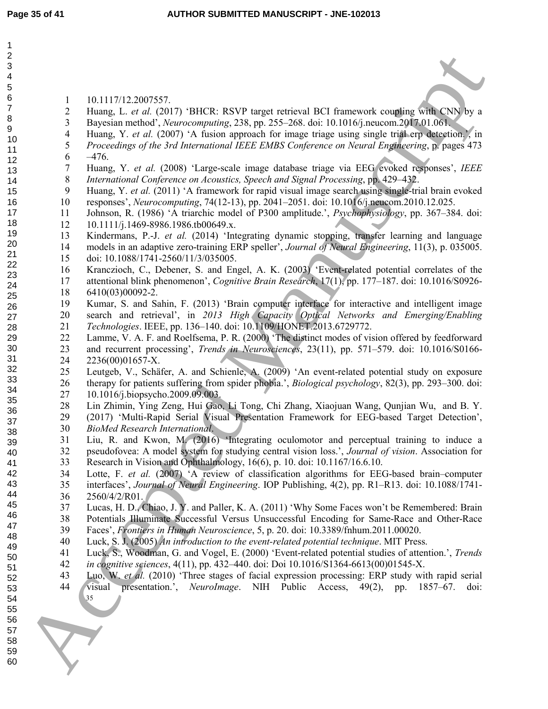- 1 10.1117/12.2007557. 2 Huang, L. *et al.* (2017) 'BHCR: RSVP target retrieval BCI framework coupling with CNN by a 3 Bayesian method', *Neurocomputing*, 238, pp. 255–268. doi: 10.1016/j.neucom.2017.01.061. 4 Huang, Y. *et al.* (2007) 'A fusion approach for image triage using single trial erp detection.', in *Proceedings of the 3rd International IEEE EMBS Conference on Neural Engineering*, p. pages 473  $6 -476.$ 7 Huang, Y. *et al.* (2008) 'Large-scale image database triage via EEG evoked responses', *IEEE International Conference on Acoustics, Speech and Signal Processing*, pp. 429–432. 9 Huang, Y. *et al.* (2011) 'A framework for rapid visual image search using single-trial brain evoked 10 responses', *Neurocomputing*, 74(12-13), pp. 2041–2051. doi: 10.1016/j.neucom.2010.12.025. 11 Johnson, R. (1986) 'A triarchic model of P300 amplitude.', *Psychophysiology*, pp. 367–384. doi: 12 10.1111/j.1469-8986.1986.tb00649.x. 13 Kindermans, P.-J. *et al.* (2014) 'Integrating dynamic stopping, transfer learning and language 14 models in an adaptive zero-training ERP speller', *Journal of Neural Engineering*, 11(3), p. 035005. 15 doi: 10.1088/1741-2560/11/3/035005. 16 Kranczioch, C., Debener, S. and Engel, A. K. (2003) 'Event-related potential correlates of the 17 attentional blink phenomenon', *Cognitive Brain Research*, 17(1), pp. 177–187. doi: 10.1016/S0926- 18 6410(03)00092-2. 19 Kumar, S. and Sahin, F. (2013) 'Brain computer interface for interactive and intelligent image 20 search and retrieval', in *2013 High Capacity Optical Networks and Emerging/Enabling Technologies*. IEEE, pp. 136–140. doi: 10.1109/HONET.2013.6729772. 22 Lamme, V. A. F. and Roelfsema, P. R. (2000) 'The distinct modes of vision offered by feedforward 23 and recurrent processing', *Trends in Neurosciences*, 23(11), pp. 571–579. doi: 10.1016/S0166- 24 2236(00)01657-X. 25 Leutgeb, V., Schäfer, A. and Schienle, A. (2009) 'An event-related potential study on exposure 26 therapy for patients suffering from spider phobia.', *Biological psychology*, 82(3), pp. 293–300. doi: 27 10.1016/j.biopsycho.2009.09.003. 28 Lin Zhimin, Ying Zeng, Hui Gao, Li Tong, Chi Zhang, Xiaojuan Wang, Qunjian Wu, and B. Y. 29 (2017) 'Multi-Rapid Serial Visual Presentation Framework for EEG-based Target Detection', *BioMed Research International*. 31 Liu, R. and Kwon, M. (2016) 'Integrating oculomotor and perceptual training to induce a 32 pseudofovea: A model system for studying central vision loss.', *Journal of vision*. Association for 33 Research in Vision and Ophthalmology, 16(6), p. 10. doi: 10.1167/16.6.10. 34 Lotte, F. *et al.* (2007) 'A review of classification algorithms for EEG-based brain–computer 35 interfaces', *Journal of Neural Engineering*. IOP Publishing, 4(2), pp. R1–R13. doi: 10.1088/1741- 36 2560/4/2/R01. 37 Lucas, H. D., Chiao, J. Y. and Paller, K. A. (2011) 'Why Some Faces won't be Remembered: Brain 38 Potentials Illuminate Successful Versus Unsuccessful Encoding for Same-Race and Other-Race 3<br>  $\frac{1}{2}$ <br>  $\frac{1}{2}$ <br>  $\frac{1}{2}$ <br>  $\frac{1}{2}$ <br>  $\frac{1}{2}$ <br>  $\frac{1}{2}$ <br>  $\frac{1}{2}$ <br>  $\frac{1}{2}$ <br>  $\frac{1}{2}$ <br>  $\frac{1}{2}$ <br>  $\frac{1}{2}$ <br>  $\frac{1}{2}$ <br>  $\frac{1}{2}$ <br>  $\frac{1}{2}$ <br>  $\frac{1}{2}$ <br>  $\frac{1}{2}$ <br>  $\frac{1}{2}$ <br>  $\frac{1}{2}$ <br>  $\frac{1}{2}$ <br>  $\frac{1}{2}$ 
	- 39 Faces', *Frontiers in Human Neuroscience*, 5, p. 20. doi: 10.3389/fnhum.2011.00020.
	- 40 Luck, S. J. (2005) *An introduction to the event-related potential technique*. MIT Press.
	- 41 Luck, S., Woodman, G. and Vogel, E. (2000) 'Event-related potential studies of attention.', *Trends in cognitive sciences*, 4(11), pp. 432–440. doi: Doi 10.1016/S1364-6613(00)01545-X.
		- 43 Luo, W. *et al.* (2010) 'Three stages of facial expression processing: ERP study with rapid serial 44 visual presentation.', *NeuroImage*. NIH Public Access, 49(2), pp. 1857–67. doi:
			-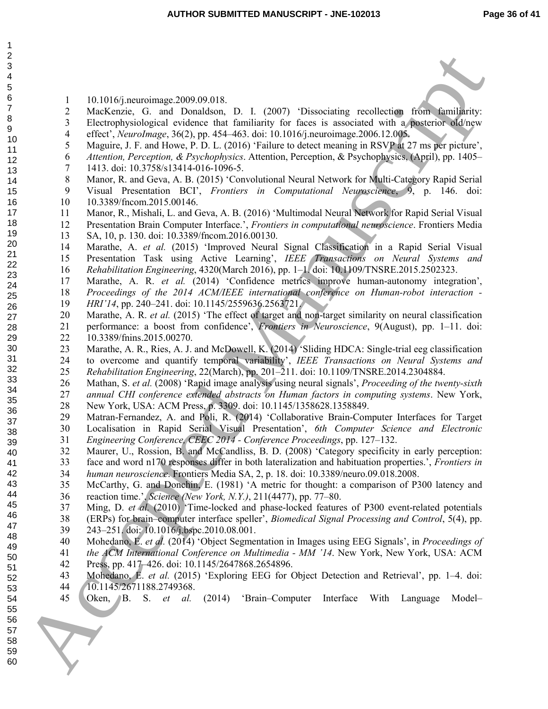- 1 10.1016/j.neuroimage.2009.09.018.
- 2 MacKenzie, G. and Donaldson, D. I. (2007) 'Dissociating recollection from familiarity: 3 Electrophysiological evidence that familiarity for faces is associated with a posterior old/new 4 effect', *NeuroImage*, 36(2), pp. 454–463. doi: 10.1016/j.neuroimage.2006.12.005.
- 5 Maguire, J. F. and Howe, P. D. L. (2016) 'Failure to detect meaning in RSVP at 27 ms per picture',
- *Attention, Perception, & Psychophysics*. Attention, Perception, & Psychophysics, (April), pp. 1405–
- 7 1413. doi: 10.3758/s13414-016-1096-5.
- 8 Manor, R. and Geva, A. B. (2015) 'Convolutional Neural Network for Multi-Category Rapid Serial
- 9 Visual Presentation BCI', *Frontiers in Computational Neuroscience*, 9, p. 146. doi: 10 10.3389/fncom.2015.00146.
- 11 Manor, R., Mishali, L. and Geva, A. B. (2016) 'Multimodal Neural Network for Rapid Serial Visual 12 Presentation Brain Computer Interface.', *Frontiers in computational neuroscience*. Frontiers Media 13 SA, 10, p. 130. doi: 10.3389/fncom.2016.00130.
- 14 Marathe, A. *et al.* (2015) 'Improved Neural Signal Classification in a Rapid Serial Visual 15 Presentation Task using Active Learning', *IEEE Transactions on Neural Systems and Rehabilitation Engineering*, 4320(March 2016), pp. 1–1. doi: 10.1109/TNSRE.2015.2502323.
- 17 Marathe, A. R. *et al.* (2014) 'Confidence metrics improve human-autonomy integration', *Proceedings of the 2014 ACM/IEEE international conference on Human-robot interaction - HRI'14*, pp. 240–241. doi: 10.1145/2559636.2563721.
- 20 Marathe, A. R. *et al.* (2015) 'The effect of target and non-target similarity on neural classification 21 performance: a boost from confidence', *Frontiers in Neuroscience*, 9(August), pp. 1–11. doi: 22 10.3389/fnins.2015.00270.
- 23 Marathe, A. R., Ries, A. J. and McDowell, K. (2014) 'Sliding HDCA: Single-trial eeg classification 24 to overcome and quantify temporal variability', *IEEE Transactions on Neural Systems and Rehabilitation Engineering*, 22(March), pp. 201–211. doi: 10.1109/TNSRE.2014.2304884. 20 Accepted Manuscript (1990) The Control of the Control of the Control of the Control of the Control of the Control of the Control of the Control of the Control of the Control of the Control of the Control of the Control
	- 26 Mathan, S. *et al.* (2008) 'Rapid image analysis using neural signals', *Proceeding of the twenty-sixth annual CHI conference extended abstracts on Human factors in computing systems*. New York,
	- 28 New York, USA: ACM Press, p. 3309. doi: 10.1145/1358628.1358849.
	- 29 Matran-Fernandez, A. and Poli, R. (2014) 'Collaborative Brain-Computer Interfaces for Target 30 Localisation in Rapid Serial Visual Presentation', *6th Computer Science and Electronic Engineering Conference, CEEC 2014 - Conference Proceedings*, pp. 127–132.
	- 32 Maurer, U., Rossion, B. and McCandliss, B. D. (2008) 'Category specificity in early perception: 33 face and word n170 responses differ in both lateralization and habituation properties.', *Frontiers in human neuroscience*. Frontiers Media SA, 2, p. 18. doi: 10.3389/neuro.09.018.2008.
	- 35 McCarthy, G. and Donchin, E. (1981) 'A metric for thought: a comparison of P300 latency and 36 reaction time.', *Science (New York, N.Y.)*, 211(4477), pp. 77–80.
	- 37 Ming, D. *et al.* (2010) 'Time-locked and phase-locked features of P300 event-related potentials 38 (ERPs) for brain–computer interface speller', *Biomedical Signal Processing and Control*, 5(4), pp.
	- 39 243–251. doi: 10.1016/j.bspc.2010.08.001.
	- 40 Mohedano, E. *et al.* (2014) 'Object Segmentation in Images using EEG Signals', in *Proceedings of the ACM International Conference on Multimedia - MM '14*. New York, New York, USA: ACM 42 Press, pp. 417–426. doi: 10.1145/2647868.2654896.
	- 43 Mohedano, E. *et al.* (2015) 'Exploring EEG for Object Detection and Retrieval', pp. 1–4. doi: 44 10.1145/2671188.2749368.
	- 45 Oken, B. S. *et al.* (2014) 'Brain–Computer Interface With Language Model–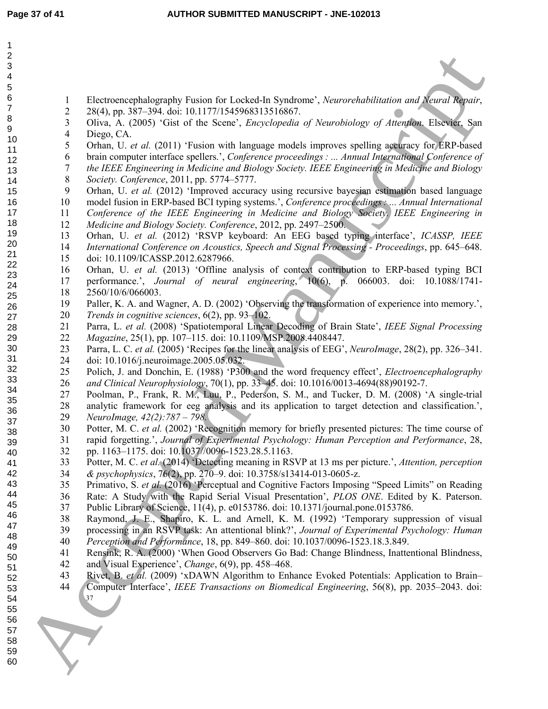| $\overline{2}$ |                |                                                                                                        |
|----------------|----------------|--------------------------------------------------------------------------------------------------------|
| 3              |                |                                                                                                        |
| 4              |                |                                                                                                        |
| 5              |                |                                                                                                        |
| 6              | $\mathbf{1}$   | Electroencephalography Fusion for Locked-In Syndrome', Neurorehabilitation and Neural Repair,          |
| $\overline{7}$ | 2              | 28(4), pp. 387-394. doi: 10.1177/1545968313516867.                                                     |
| 8              | 3              | Oliva, A. (2005) 'Gist of the Scene', <i>Encyclopedia of Neurobiology of Attention</i> . Elsevier, San |
| 9              | $\overline{4}$ | Diego, CA.                                                                                             |
| 10             | 5              | Orhan, U. et al. (2011) 'Fusion with language models improves spelling accuracy for ERP-based          |
| 11             | 6              | brain computer interface spellers.', Conference proceedings :  Annual International Conference of      |
| 12             | 7              | the IEEE Engineering in Medicine and Biology Society. IEEE Engineering in Medicine and Biology         |
| 13             | $8\,$          | Society. Conference, 2011, pp. 5774-5777.                                                              |
| 14             | 9              |                                                                                                        |
| 15             |                | Orhan, U. et al. (2012) 'Improved accuracy using recursive bayesian estimation based language          |
| 16             | 10             | model fusion in ERP-based BCI typing systems.', Conference proceedings: Annual International           |
| 17             | 11             | Conference of the IEEE Engineering in Medicine and Biology Society. IEEE Engineering in                |
| 18             | 12             | Medicine and Biology Society. Conference, 2012, pp. 2497-2500.                                         |
| 19             | 13             | Orhan, U. et al. (2012) 'RSVP keyboard: An EEG based typing/interface', ICASSP, IEEE                   |
| 20             | 14             | International Conference on Acoustics, Speech and Signal Processing - Proceedings, pp. 645–648.        |
| 21             | 15             | doi: 10.1109/ICASSP.2012.6287966.                                                                      |
| 22<br>23       | 16             | Orhan, U. et al. (2013) 'Offline analysis of context contribution to ERP-based typing BCI              |
| 24             | 17             | performance.', Journal of neural engineering, 10(6), p. 066003. doi: 10.1088/1741-                     |
| 25             | 18             | 2560/10/6/066003.                                                                                      |
| 26             | 19             | Paller, K. A. and Wagner, A. D. (2002) 'Observing the transformation of experience into memory.',      |
| 27             | 20             | Trends in cognitive sciences, $6(2)$ , pp. 93-102.                                                     |
| 28             | 21             | Parra, L. et al. (2008) 'Spatiotemporal Linear Decoding of Brain State', IEEE Signal Processing        |
| 29             | 22             | Magazine, 25(1), pp. 107-115. doi: 10.1109/MSP.2008.4408447.                                           |
| 30             | 23             | Parra, L. C. et al. (2005) 'Recipes for the linear analysis of EEG', NeuroImage, 28(2), pp. 326–341.   |
| 31             | 24             | doi: 10.1016/j.neuroimage.2005.05.032.                                                                 |
| 32             |                |                                                                                                        |
| 33             | 25             | Polich, J. and Donchin, E. (1988) 'P300 and the word frequency effect', Electroencephalography         |
| 34             | 26             | and Clinical Neurophysiology, 70(1), pp. 33-45. doi: 10.1016/0013-4694(88)90192-7.                     |
| 35             | 27             | Poolman, P., Frank, R. M., Luu, P., Pederson, S. M., and Tucker, D. M. (2008) 'A single-trial          |
| 36             | 28             | analytic framework for eeg analysis and its application to target detection and classification.',      |
| 37             | 29             | NeuroImage, $42(2):787 - 798$ .                                                                        |
| 38             | 30             | Potter, M. C. et al. (2002) 'Recognition memory for briefly presented pictures: The time course of     |
| 39             | 31             | rapid forgetting.', Journal of Experimental Psychology: Human Perception and Performance, 28,          |
| 40             | 32             | pp. 1163-1175. doi: 10.1037//0096-1523.28.5.1163.                                                      |
| 41             | 33             | Potter, M. C. et al. (2014) 'Detecting meaning in RSVP at 13 ms per picture.', Attention, perception   |
| 42             | 34             | & psychophysics, 76(2), pp. 270–9. doi: 10.3758/s13414-013-0605-z.                                     |
| 43             | 35             | Primativo, S. et al. (2016) 'Perceptual and Cognitive Factors Imposing "Speed Limits" on Reading       |
| 44             | 36             | Rate: A Study with the Rapid Serial Visual Presentation', PLOS ONE. Edited by K. Paterson.             |
| 45             | 37             | Public Library of Science, 11(4), p. e0153786. doi: 10.1371/journal.pone.0153786.                      |
| 46             | 38             | Raymond, J. E., Shapiro, K. L. and Arnell, K. M. (1992) 'Temporary suppression of visual               |
| 47             | 39             | processing in an RSVP task: An attentional blink?', Journal of Experimental Psychology: Human          |
| 48             | 40             | Perception and Performance, 18, pp. 849-860. doi: 10.1037/0096-1523.18.3.849.                          |
| 49             | 41             | Rensink, R. A. (2000) 'When Good Observers Go Bad: Change Blindness, Inattentional Blindness,          |
| 50             | 42             |                                                                                                        |
| 51             |                | and Visual Experience', Change, 6(9), pp. 458–468.                                                     |
| 52             | 43             | Rivet, B. et al. (2009) 'xDAWN Algorithm to Enhance Evoked Potentials: Application to Brain-           |
| 53             | 44             | Computer Interface', IEEE Transactions on Biomedical Engineering, 56(8), pp. 2035–2043. doi:           |
| 54             |                | 37                                                                                                     |
| 55             |                |                                                                                                        |
| 56             |                |                                                                                                        |
| 57             |                |                                                                                                        |
| 58             |                |                                                                                                        |
| 59             |                |                                                                                                        |
| 60             |                |                                                                                                        |
|                |                |                                                                                                        |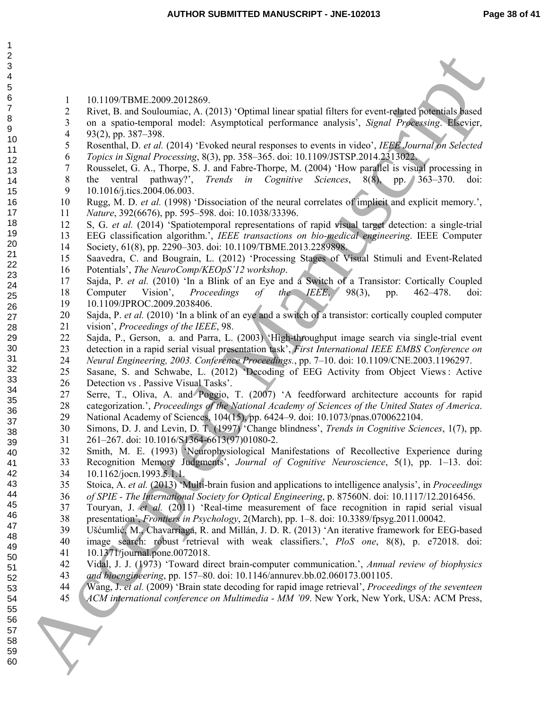- 1 10.1109/TBME.2009.2012869.
- 2 Rivet, B. and Souloumiac, A. (2013) 'Optimal linear spatial filters for event-related potentials based
- 3 on a spatio-temporal model: Asymptotical performance analysis', *Signal Processing*. Elsevier, 4 93(2), pp. 387–398.
- 5 Rosenthal, D. *et al.* (2014) 'Evoked neural responses to events in video', *IEEE Journal on Selected Topics in Signal Processing*, 8(3), pp. 358–365. doi: 10.1109/JSTSP.2014.2313022.
- 
- 7 Rousselet, G. A., Thorpe, S. J. and Fabre-Thorpe, M. (2004) 'How parallel is visual processing in the ventral pathway?'. *Trends in Cognitive Sciences*, 8(8), pp. 363–370. doi: 8 the ventral pathway?', *Trends in Cognitive Sciences*, 8(8), pp. 363–370. doi: 9 10.1016/j.tics.2004.06.003.
- 10 Rugg, M. D. *et al.* (1998) 'Dissociation of the neural correlates of implicit and explicit memory.', *Nature*, 392(6676), pp. 595–598. doi: 10.1038/33396.
- 12 S, G. *et al.* (2014) 'Spatiotemporal representations of rapid visual target detection: a single-trial 13 EEG classification algorithm.', *IEEE transactions on bio-medical engineering*. IEEE Computer 14 Society, 61(8), pp. 2290–303. doi: 10.1109/TBME.2013.2289898.
- 15 Saavedra, C. and Bougrain, L. (2012) 'Processing Stages of Visual Stimuli and Event-Related 16 Potentials', *The NeuroComp/KEOpS'12 workshop*.
- 17 Sajda, P. *et al.* (2010) 'In a Blink of an Eye and a Switch of a Transistor: Cortically Coupled 18 Computer Vision', *Proceedings of the IEEE*, 98(3), pp. 462–478. doi: 19 10.1109/JPROC.2009.2038406. 26<br>
10.1109/TBME 2009/201280, (113) "Optimal linear spatial filters for event-educations (when<br>
26 Accepted Manuscript (113) "Optimal linear spatial filters for event-educations (when<br>
26 Accepted Manuscript (113) "Optima
	- 20 Sajda, P. *et al.* (2010) 'In a blink of an eye and a switch of a transistor: cortically coupled computer 21 vision', *Proceedings of the IEEE*, 98.
		- 22 Sajda, P., Gerson, a. and Parra, L. (2003) 'High-throughput image search via single-trial event 23 detection in a rapid serial visual presentation task', *First International IEEE EMBS Conference on*
	- *Neural Engineering, 2003. Conference Proceedings.*, pp. 7–10. doi: 10.1109/CNE.2003.1196297. 25 Sasane, S. and Schwabe, L. (2012) 'Decoding of EEG Activity from Object Views : Active
	- 26 Detection vs . Passive Visual Tasks'.
		- 27 Serre, T., Oliva, A. and Poggio, T. (2007) 'A feedforward architecture accounts for rapid 28 categorization.', *Proceedings of the National Academy of Sciences of the United States of America*. 29 National Academy of Sciences, 104(15), pp. 6424–9. doi: 10.1073/pnas.0700622104.
		- 30 Simons, D. J. and Levin, D. T. (1997) 'Change blindness', *Trends in Cognitive Sciences*, 1(7), pp. 31 261–267. doi: 10.1016/S1364-6613(97)01080-2.
			- 32 Smith, M. E. (1993) 'Neurophysiological Manifestations of Recollective Experience during 33 Recognition Memory Judgments', *Journal of Cognitive Neuroscience*, 5(1), pp. 1–13. doi: 34 10.1162/jocn.1993.5.1.1.
			- 35 Stoica, A. *et al.* (2013) 'Multi-brain fusion and applications to intelligence analysis', in *Proceedings of SPIE - The International Society for Optical Engineering*, p. 87560N. doi: 10.1117/12.2016456.
			- 37 Touryan, J. *et al.* (2011) 'Real-time measurement of face recognition in rapid serial visual 38 presentation', *Frontiers in Psychology*, 2(March), pp. 1–8. doi: 10.3389/fpsyg.2011.00042.
			- 39 Ušćumlić, M., Chavarriaga, R. and Millán, J. D. R. (2013) 'An iterative framework for EEG-based 40 image search: robust retrieval with weak classifiers.', *PloS one*, 8(8), p. e72018. doi: 41 10.1371/journal.pone.0072018.
			- 42 Vidal, J. J. (1973) 'Toward direct brain-computer communication.', *Annual review of biophysics and bioengineering*, pp. 157–80. doi: 10.1146/annurev.bb.02.060173.001105.
			- 44 Wang, J. *et al.* (2009) 'Brain state decoding for rapid image retrieval', *Proceedings of the seventeen*
			- *ACM international conference on Multimedia MM '09*. New York, New York, USA: ACM Press,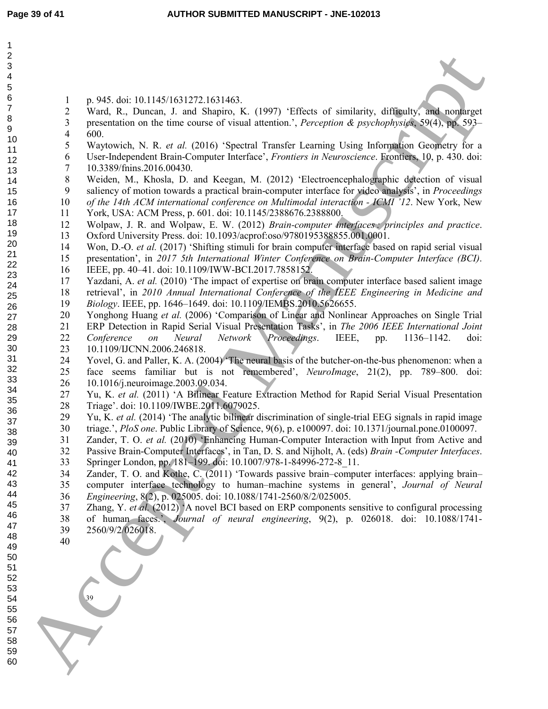| 1        |                                  |                                                                                                                                                                                                                 |
|----------|----------------------------------|-----------------------------------------------------------------------------------------------------------------------------------------------------------------------------------------------------------------|
| 2<br>3   |                                  |                                                                                                                                                                                                                 |
| 4        |                                  |                                                                                                                                                                                                                 |
| 5        |                                  |                                                                                                                                                                                                                 |
| 6<br>7   | 1                                | p. 945. doi: 10.1145/1631272.1631463.                                                                                                                                                                           |
| 8        | $\overline{2}$<br>$\overline{3}$ | Ward, R., Duncan, J. and Shapiro, K. (1997) 'Effects of similarity, difficulty, and nontarget<br>presentation on the time course of visual attention.', <i>Perception &amp; psychophysics</i> , 59(4), pp. 593– |
| 9        | $\overline{4}$                   | 600.                                                                                                                                                                                                            |
| 10<br>11 | 5                                | Waytowich, N. R. et al. (2016) 'Spectral Transfer Learning Using Information Geometry for a                                                                                                                     |
| 12       | 6                                | User-Independent Brain-Computer Interface', <i>Frontiers in Neuroscience</i> . Frontiers, 10, p. 430. doi:                                                                                                      |
| 13       | $\tau$                           | 10.3389/fnins.2016.00430.                                                                                                                                                                                       |
| 14       | $8\,$                            | Weiden, M., Khosla, D. and Keegan, M. (2012) 'Electroencephalographic detection of visual                                                                                                                       |
| 15<br>16 | 9<br>10                          | saliency of motion towards a practical brain-computer interface for video analysis', in <i>Proceedings</i><br>of the 14th ACM international conference on Multimodal interaction - ICMI '12. New York, New      |
| 17       | 11                               | York, USA: ACM Press, p. 601. doi: 10.1145/2388676.2388800.                                                                                                                                                     |
| 18       | 12                               | Wolpaw, J. R. and Wolpaw, E. W. (2012) Brain-computer interfaces: principles and practice.                                                                                                                      |
| 19       | 13                               | Oxford University Press. doi: 10.1093/acprof:oso/9780195388855.001.0001.                                                                                                                                        |
| 20<br>21 | 14                               | Won, D.-O. et al. (2017) 'Shifting stimuli for brain computer interface based on rapid serial visual                                                                                                            |
| 22       | 15<br>16                         | presentation', in 2017 5th International Winter Conference on Brain-Computer Interface (BCI).<br>IEEE, pp. 40–41. doi: 10.1109/IWW-BCI.2017.7858152.                                                            |
| 23       | 17                               | Yazdani, A. et al. (2010) 'The impact of expertise on brain computer interface based salient image                                                                                                              |
| 24<br>25 | 18                               | retrieval', in 2010 Annual International Conference of the IEEE Engineering in Medicine and                                                                                                                     |
| 26       | 19                               | Biology. IEEE, pp. 1646-1649. doi: 10.1109/IEMBS.2010.5626655.                                                                                                                                                  |
| 27       | 20                               | Yonghong Huang et al. (2006) 'Comparison of Linear and Nonlinear Approaches on Single Trial                                                                                                                     |
| 28       | 21                               | ERP Detection in Rapid Serial Visual Presentation Tasks', in The 2006 IEEE International Joint                                                                                                                  |
| 29<br>30 | 22<br>23                         | Conference<br>Neural<br><b>Network</b><br>Proceedings.<br>IEEE,<br>1136-1142.<br>$\dot{\text{doi:}}$<br>on<br>pp.<br>10.1109/IJCNN.2006.246818.                                                                 |
| 31       | 24                               | Yovel, G. and Paller, K. A. (2004) 'The neural basis of the butcher-on-the-bus phenomenon: when a                                                                                                               |
| 32       | 25                               | face seems familiar but is not remembered', NeuroImage, 21(2), pp. 789-800. doi:                                                                                                                                |
| 33<br>34 | 26                               | 10.1016/j.neuroimage.2003.09.034.                                                                                                                                                                               |
| 35       | 27                               | Yu, K. et al. (2011) 'A Bilinear Feature Extraction Method for Rapid Serial Visual Presentation                                                                                                                 |
| 36       | 28<br>29                         | Triage'. doi: 10.1109/IWBE.2011.6079025.<br>Yu, K. et al. (2014) 'The analytic bilinear discrimination of single-trial EEG signals in rapid image                                                               |
| 37       | 30                               | triage.', PloS one. Public Library of Science, 9(6), p. e100097. doi: 10.1371/journal.pone.0100097.                                                                                                             |
| 38<br>39 | 31                               | Zander, T. O. et al. (2010) 'Enhancing Human-Computer Interaction with Input from Active and                                                                                                                    |
| 40       | 32                               | Passive Brain-Computer Interfaces', in Tan, D. S. and Nijholt, A. (eds) Brain -Computer Interfaces.                                                                                                             |
| 41       | 33                               | Springer London, pp. 181-199. doi: 10.1007/978-1-84996-272-8_11.                                                                                                                                                |
| 42<br>43 | 34<br>35                         | Zander, T. O. and Kothe, C. (2011) 'Towards passive brain–computer interfaces: applying brain–<br>computer interface technology to human-machine systems in general', Journal of Neural                         |
| 44       | 36                               | Engineering, 8(2), p. 025005. doi: 10.1088/1741-2560/8/2/025005.                                                                                                                                                |
| 45       | 37                               | Zhang, Y. et al. (2012) 'A novel BCI based on ERP components sensitive to configural processing                                                                                                                 |
| 46       | 38                               | of human faces.', <i>Journal of neural engineering</i> , 9(2), p. 026018. doi: 10.1088/1741-                                                                                                                    |
| 47<br>48 | 39                               | 2560/9/2/026018.                                                                                                                                                                                                |
| 49       | 40                               |                                                                                                                                                                                                                 |
| 50       |                                  |                                                                                                                                                                                                                 |
| 51<br>52 |                                  |                                                                                                                                                                                                                 |
| 53       |                                  |                                                                                                                                                                                                                 |
| 54       |                                  | 39                                                                                                                                                                                                              |
| 55       |                                  |                                                                                                                                                                                                                 |
| 56<br>57 |                                  |                                                                                                                                                                                                                 |
| 58       |                                  |                                                                                                                                                                                                                 |
| 59       |                                  |                                                                                                                                                                                                                 |
| 60       |                                  |                                                                                                                                                                                                                 |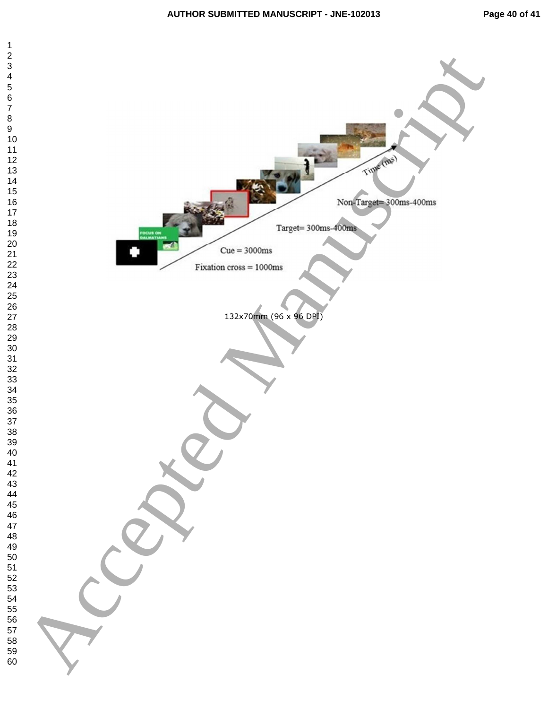